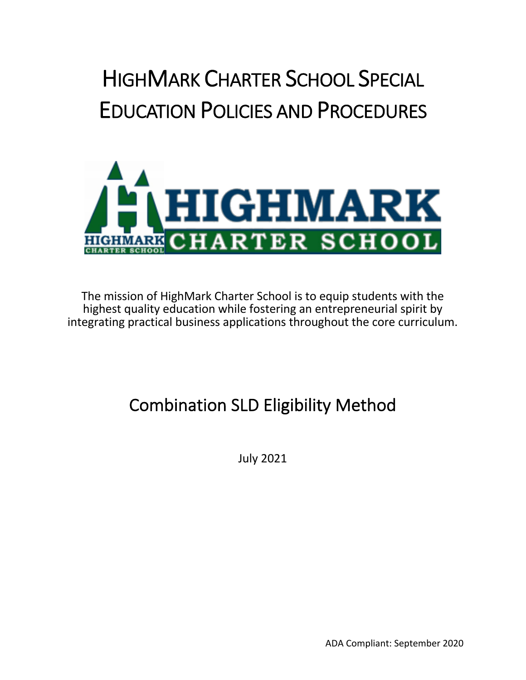# HIGHMARK CHARTER SCHOOL SPECIAL EDUCATION POLICIES AND PROCEDURES



The mission of HighMark Charter School is to equip students with the highest quality education while fostering an entrepreneurial spirit by integrating practical business applications throughout the core curriculum.

# Combination SLD Eligibility Method

July 2021

ADA Compliant: September 2020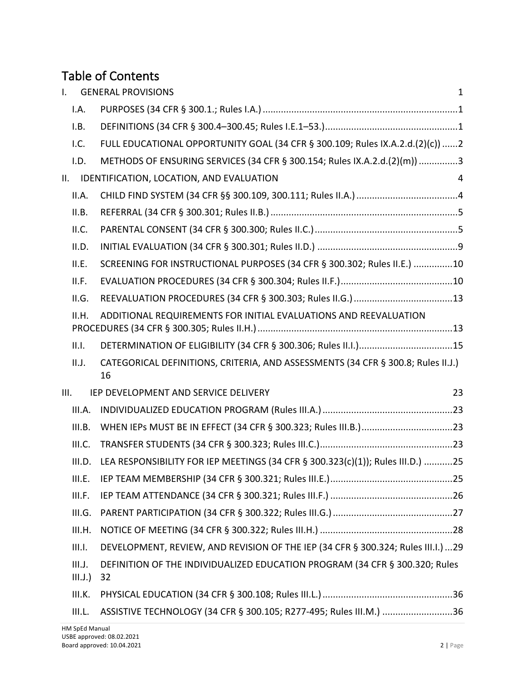## Table of Contents

| $\mathbf{L}$     | <b>GENERAL PROVISIONS</b>                                                              | $\mathbf{1}$ |
|------------------|----------------------------------------------------------------------------------------|--------------|
| I.A.             |                                                                                        |              |
| I.B.             |                                                                                        |              |
| 1.C.             | FULL EDUCATIONAL OPPORTUNITY GOAL (34 CFR § 300.109; Rules IX.A.2.d.(2)(c)) 2          |              |
| I.D.             | METHODS OF ENSURING SERVICES (34 CFR § 300.154; Rules IX.A.2.d.(2)(m)) 3               |              |
| II.              | IDENTIFICATION, LOCATION, AND EVALUATION                                               | 4            |
| II.A.            |                                                                                        |              |
| II.B.            |                                                                                        |              |
| II.C.            |                                                                                        |              |
| II.D.            |                                                                                        |              |
| II.E.            | SCREENING FOR INSTRUCTIONAL PURPOSES (34 CFR § 300.302; Rules II.E.) 10                |              |
| II.F.            |                                                                                        |              |
| II.G.            |                                                                                        |              |
| II.H.            | ADDITIONAL REQUIREMENTS FOR INITIAL EVALUATIONS AND REEVALUATION                       |              |
| II.I.            |                                                                                        |              |
| II.J.            | CATEGORICAL DEFINITIONS, CRITERIA, AND ASSESSMENTS (34 CFR § 300.8; Rules II.J.)<br>16 |              |
| III.             | IEP DEVELOPMENT AND SERVICE DELIVERY                                                   | 23           |
| III.A.           |                                                                                        |              |
| III.B.           |                                                                                        |              |
| III.C.           |                                                                                        |              |
| III.D.           | LEA RESPONSIBILITY FOR IEP MEETINGS (34 CFR § 300.323(c)(1)); Rules III.D.) 25         |              |
| III.E.           |                                                                                        |              |
| III.F.           |                                                                                        |              |
| III.G.           |                                                                                        |              |
| III.H.           |                                                                                        |              |
| III.I.           | DEVELOPMENT, REVIEW, AND REVISION OF THE IEP (34 CFR § 300.324; Rules III.I.)  29      |              |
| III.J.<br>III.J. | DEFINITION OF THE INDIVIDUALIZED EDUCATION PROGRAM (34 CFR § 300.320; Rules<br>32      |              |
| III.K.           |                                                                                        |              |
| III.L.           | ASSISTIVE TECHNOLOGY (34 CFR § 300.105; R277-495; Rules III.M.) 36                     |              |
| HM SpEd Manual   |                                                                                        |              |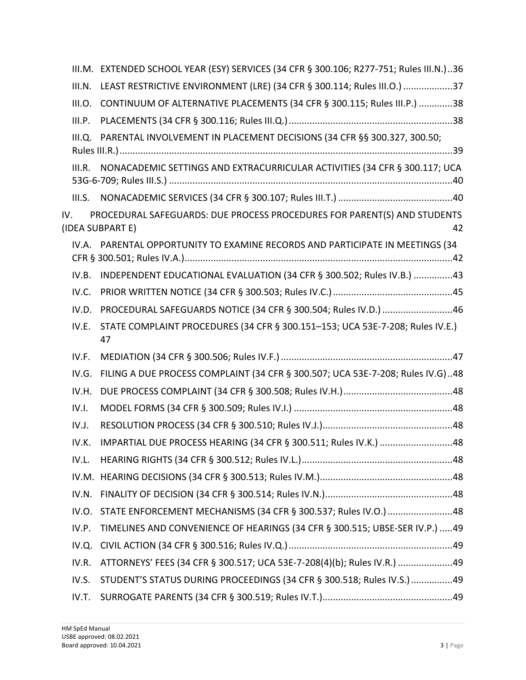|        | III.M. EXTENDED SCHOOL YEAR (ESY) SERVICES (34 CFR § 300.106; R277-751; Rules III.N.)36            |
|--------|----------------------------------------------------------------------------------------------------|
| III.N. | LEAST RESTRICTIVE ENVIRONMENT (LRE) (34 CFR § 300.114; Rules III.O.) 37                            |
| III.O. | CONTINUUM OF ALTERNATIVE PLACEMENTS (34 CFR § 300.115; Rules III.P.) 38                            |
| III.P. |                                                                                                    |
| III.Q. | PARENTAL INVOLVEMENT IN PLACEMENT DECISIONS (34 CFR §§ 300.327, 300.50;                            |
|        |                                                                                                    |
| III.R. | NONACADEMIC SETTINGS AND EXTRACURRICULAR ACTIVITIES (34 CFR § 300.117; UCA                         |
|        |                                                                                                    |
| IV.    | PROCEDURAL SAFEGUARDS: DUE PROCESS PROCEDURES FOR PARENT(S) AND STUDENTS<br>(IDEA SUBPART E)<br>42 |
|        | IV.A. PARENTAL OPPORTUNITY TO EXAMINE RECORDS AND PARTICIPATE IN MEETINGS (34                      |
| IV.B.  | INDEPENDENT EDUCATIONAL EVALUATION (34 CFR § 300.502; Rules IV.B.) 43                              |
| IV.C.  |                                                                                                    |
| IV.D.  | PROCEDURAL SAFEGUARDS NOTICE (34 CFR § 300.504; Rules IV.D.) 46                                    |
| IV.E.  | STATE COMPLAINT PROCEDURES (34 CFR § 300.151-153; UCA 53E-7-208; Rules IV.E.)<br>47                |
| IV.F.  |                                                                                                    |
| IV.G.  | FILING A DUE PROCESS COMPLAINT (34 CFR § 300.507; UCA 53E-7-208; Rules IV.G)48                     |
| IV.H.  |                                                                                                    |
| IV.I.  |                                                                                                    |
| IV.J.  |                                                                                                    |
| IV.K.  | IMPARTIAL DUE PROCESS HEARING (34 CFR § 300.511; Rules IV.K.) 48                                   |
| IV.L.  |                                                                                                    |
|        |                                                                                                    |
| IV.N.  |                                                                                                    |
| IV.O.  | STATE ENFORCEMENT MECHANISMS (34 CFR § 300.537; Rules IV.O.) 48                                    |
| IV.P.  | TIMELINES AND CONVENIENCE OF HEARINGS (34 CFR § 300.515; UBSE-SER IV.P.) 49                        |
| IV.Q.  |                                                                                                    |
| IV.R.  | ATTORNEYS' FEES (34 CFR § 300.517; UCA 53E-7-208(4)(b); Rules IV.R.) 49                            |
| IV.S.  | STUDENT'S STATUS DURING PROCEEDINGS (34 CFR § 300.518; Rules IV.S.) 49                             |
| IV.T.  |                                                                                                    |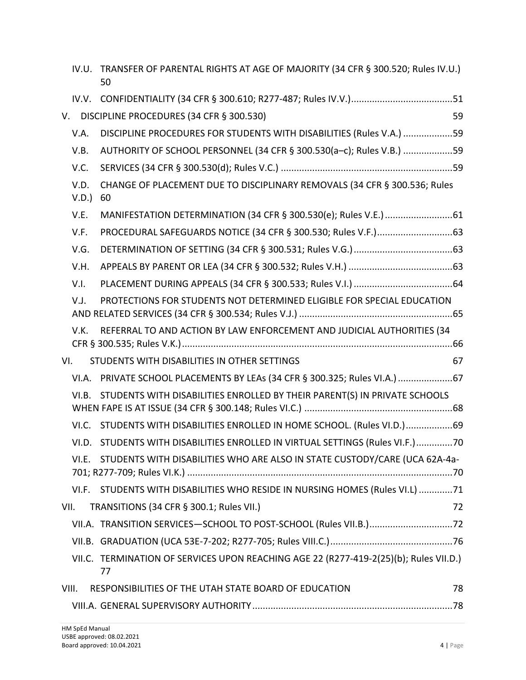|      |              | IV.U. TRANSFER OF PARENTAL RIGHTS AT AGE OF MAJORITY (34 CFR § 300.520; Rules IV.U.)<br>50  |    |
|------|--------------|---------------------------------------------------------------------------------------------|----|
|      |              |                                                                                             |    |
|      |              | V. DISCIPLINE PROCEDURES (34 CFR § 300.530)                                                 | 59 |
|      | V.A.         | DISCIPLINE PROCEDURES FOR STUDENTS WITH DISABILITIES (Rules V.A.) 59                        |    |
|      | V.B.         | AUTHORITY OF SCHOOL PERSONNEL (34 CFR § 300.530(a-c); Rules V.B.) 59                        |    |
|      | V.C.         |                                                                                             |    |
|      | V.D.<br>V.D. | CHANGE OF PLACEMENT DUE TO DISCIPLINARY REMOVALS (34 CFR § 300.536; Rules<br>60             |    |
|      | V.E.         |                                                                                             |    |
|      | V.F.         |                                                                                             |    |
|      | V.G.         |                                                                                             |    |
|      | V.H.         |                                                                                             |    |
|      | V.I.         |                                                                                             |    |
|      | V.J.         | PROTECTIONS FOR STUDENTS NOT DETERMINED ELIGIBLE FOR SPECIAL EDUCATION                      |    |
|      | V.K.         | REFERRAL TO AND ACTION BY LAW ENFORCEMENT AND JUDICIAL AUTHORITIES (34                      |    |
| VI.  |              | STUDENTS WITH DISABILITIES IN OTHER SETTINGS                                                | 67 |
|      |              | VI.A. PRIVATE SCHOOL PLACEMENTS BY LEAs (34 CFR § 300.325; Rules VI.A.) 67                  |    |
|      | VI.B.        | STUDENTS WITH DISABILITIES ENROLLED BY THEIR PARENT(S) IN PRIVATE SCHOOLS                   |    |
|      |              | VI.C. STUDENTS WITH DISABILITIES ENROLLED IN HOME SCHOOL. (Rules VI.D.)69                   |    |
|      |              | VI.D. STUDENTS WITH DISABILITIES ENROLLED IN VIRTUAL SETTINGS (Rules VI.F.)70               |    |
|      | VI.E.        | STUDENTS WITH DISABILITIES WHO ARE ALSO IN STATE CUSTODY/CARE (UCA 62A-4a-                  |    |
|      |              | VI.F. STUDENTS WITH DISABILITIES WHO RESIDE IN NURSING HOMES (Rules VI.L) 71                |    |
| VII. |              | TRANSITIONS (34 CFR § 300.1; Rules VII.)                                                    | 72 |
|      |              | VII.A. TRANSITION SERVICES-SCHOOL TO POST-SCHOOL (Rules VII.B.)72                           |    |
|      |              |                                                                                             |    |
|      |              | VII.C. TERMINATION OF SERVICES UPON REACHING AGE 22 (R277-419-2(25)(b); Rules VII.D.)<br>77 |    |
|      | VIII.        | RESPONSIBILITIES OF THE UTAH STATE BOARD OF EDUCATION                                       | 78 |
|      |              |                                                                                             |    |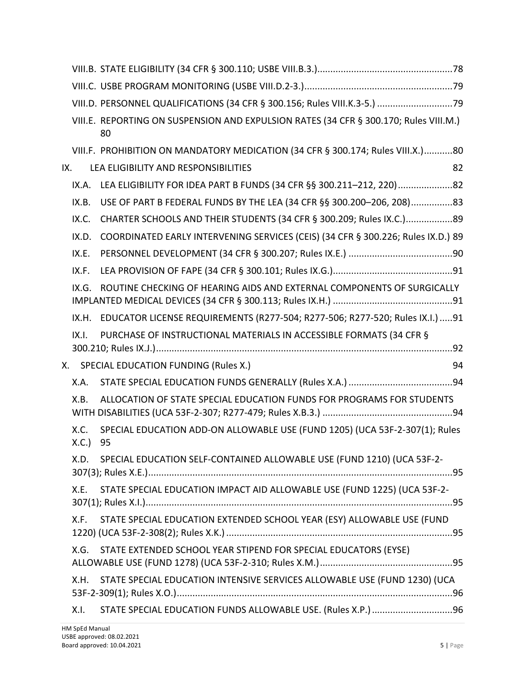|     |              | VIII.D. PERSONNEL QUALIFICATIONS (34 CFR § 300.156; Rules VIII.K.3-5.) 79                   |    |
|-----|--------------|---------------------------------------------------------------------------------------------|----|
|     |              | VIII.E. REPORTING ON SUSPENSION AND EXPULSION RATES (34 CFR § 300.170; Rules VIII.M.)<br>80 |    |
|     |              | VIII.F. PROHIBITION ON MANDATORY MEDICATION (34 CFR § 300.174; Rules VIII.X.)80             |    |
| IX. |              | LEA ELIGIBILITY AND RESPONSIBILITIES                                                        | 82 |
|     | IX.A.        | LEA ELIGIBILITY FOR IDEA PART B FUNDS (34 CFR §§ 300.211-212, 220)82                        |    |
|     | IX.B.        | USE OF PART B FEDERAL FUNDS BY THE LEA (34 CFR §§ 300.200-206, 208)83                       |    |
|     | IX.C.        | CHARTER SCHOOLS AND THEIR STUDENTS (34 CFR § 300.209; Rules IX.C.)89                        |    |
|     | IX.D.        | COORDINATED EARLY INTERVENING SERVICES (CEIS) (34 CFR § 300.226; Rules IX.D.) 89            |    |
|     | IX.E.        |                                                                                             |    |
|     | IX.F.        |                                                                                             |    |
|     | IX.G.        | ROUTINE CHECKING OF HEARING AIDS AND EXTERNAL COMPONENTS OF SURGICALLY                      |    |
|     | IX.H.        | EDUCATOR LICENSE REQUIREMENTS (R277-504; R277-506; R277-520; Rules IX.I.)  91               |    |
|     | IX.1.        | PURCHASE OF INSTRUCTIONAL MATERIALS IN ACCESSIBLE FORMATS (34 CFR §                         |    |
|     |              | X. SPECIAL EDUCATION FUNDING (Rules X.)                                                     | 94 |
|     | X.A.         |                                                                                             |    |
|     | X.B.         | ALLOCATION OF STATE SPECIAL EDUCATION FUNDS FOR PROGRAMS FOR STUDENTS                       |    |
|     | X.C.<br>X.C. | SPECIAL EDUCATION ADD-ON ALLOWABLE USE (FUND 1205) (UCA 53F-2-307(1); Rules<br>95           |    |
|     | X.D.         | SPECIAL EDUCATION SELF-CONTAINED ALLOWABLE USE (FUND 1210) (UCA 53F-2-                      |    |
|     | X.E.         | STATE SPECIAL EDUCATION IMPACT AID ALLOWABLE USE (FUND 1225) (UCA 53F-2-                    |    |
|     | X.F.         | STATE SPECIAL EDUCATION EXTENDED SCHOOL YEAR (ESY) ALLOWABLE USE (FUND                      |    |
|     | X.G.         | STATE EXTENDED SCHOOL YEAR STIPEND FOR SPECIAL EDUCATORS (EYSE)                             |    |
|     | X.H.         | STATE SPECIAL EDUCATION INTENSIVE SERVICES ALLOWABLE USE (FUND 1230) (UCA                   |    |
|     | X.I.         | STATE SPECIAL EDUCATION FUNDS ALLOWABLE USE. (Rules X.P.) 96                                |    |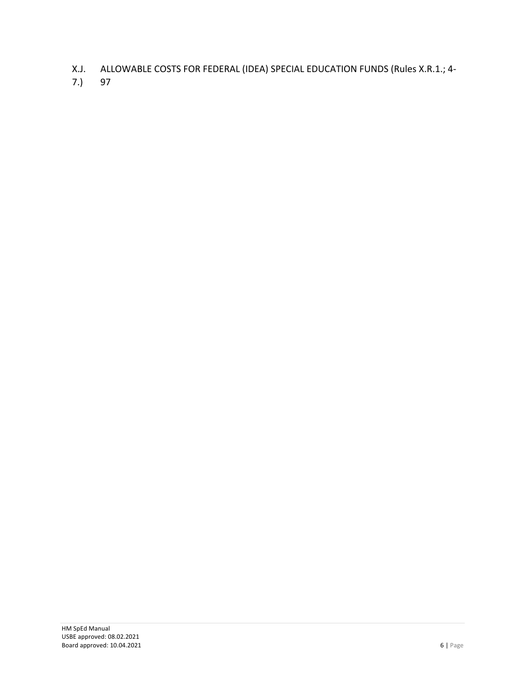- X.J. ALLOWABLE COSTS FOR FEDERAL (IDEA) SPECIAL EDUCATION FUNDS (Rules X.R.1.; 4-
- 7.) 97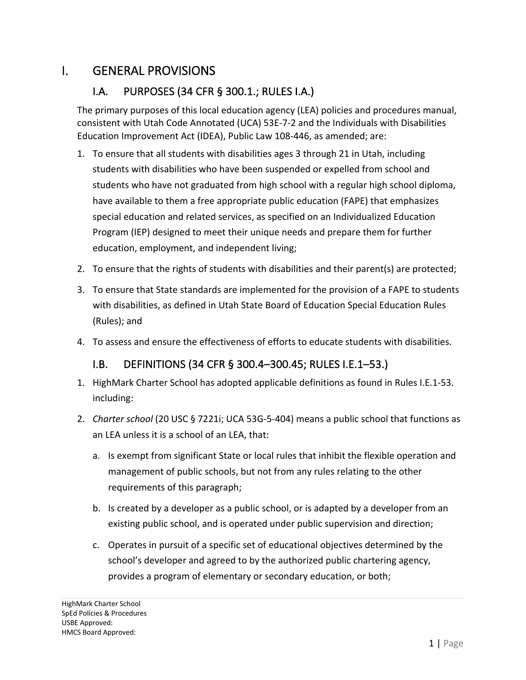#### I. GENERAL PROVISIONS

#### I.A. PURPOSES (34 CFR § 300.1.; RULES I.A.)

The primary purposes of this local education agency (LEA) policies and procedures manual, consistent with Utah Code Annotated (UCA) 53E-7-2 and the Individuals with Disabilities Education Improvement Act (IDEA), Public Law 108-446, as amended; are:

- 1. To ensure that all students with disabilities ages 3 through 21 in Utah, including students with disabilities who have been suspended or expelled from school and students who have not graduated from high school with a regular high school diploma, have available to them a free appropriate public education (FAPE) that emphasizes special education and related services, as specified on an Individualized Education Program (IEP) designed to meet their unique needs and prepare them for further education, employment, and independent living;
- 2. To ensure that the rights of students with disabilities and their parent(s) are protected;
- 3. To ensure that State standards are implemented for the provision of a FAPE to students with disabilities, as defined in Utah State Board of Education Special Education Rules (Rules); and
- 4. To assess and ensure the effectiveness of efforts to educate students with disabilities.

#### I.B. DEFINITIONS (34 CFR § 300.4–300.45; RULES I.E.1–53.)

- 1. HighMark Charter School has adopted applicable definitions as found in Rules I.E.1-53. including:
- 2. *Charter school* (20 USC § 7221i; UCA 53G-5-404) means a public school that functions as an LEA unless it is a school of an LEA, that:
	- a. Is exempt from significant State or local rules that inhibit the flexible operation and management of public schools, but not from any rules relating to the other requirements of this paragraph;
	- b. Is created by a developer as a public school, or is adapted by a developer from an existing public school, and is operated under public supervision and direction;
	- c. Operates in pursuit of a specific set of educational objectives determined by the school's developer and agreed to by the authorized public chartering agency, provides a program of elementary or secondary education, or both;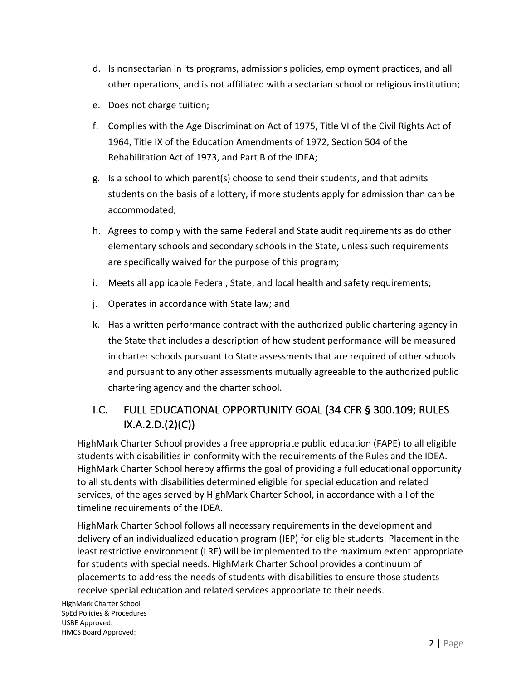- d. Is nonsectarian in its programs, admissions policies, employment practices, and all other operations, and is not affiliated with a sectarian school or religious institution;
- e. Does not charge tuition;
- f. Complies with the Age Discrimination Act of 1975, Title VI of the Civil Rights Act of 1964, Title IX of the Education Amendments of 1972, Section 504 of the Rehabilitation Act of 1973, and Part B of the IDEA;
- g. Is a school to which parent(s) choose to send their students, and that admits students on the basis of a lottery, if more students apply for admission than can be accommodated;
- h. Agrees to comply with the same Federal and State audit requirements as do other elementary schools and secondary schools in the State, unless such requirements are specifically waived for the purpose of this program;
- i. Meets all applicable Federal, State, and local health and safety requirements;
- j. Operates in accordance with State law; and
- k. Has a written performance contract with the authorized public chartering agency in the State that includes a description of how student performance will be measured in charter schools pursuant to State assessments that are required of other schools and pursuant to any other assessments mutually agreeable to the authorized public chartering agency and the charter school.

#### I.C. FULL EDUCATIONAL OPPORTUNITY GOAL (34 CFR § 300.109; RULES  $IX.A.2.D.(2)(C))$

HighMark Charter School provides a free appropriate public education (FAPE) to all eligible students with disabilities in conformity with the requirements of the Rules and the IDEA. HighMark Charter School hereby affirms the goal of providing a full educational opportunity to all students with disabilities determined eligible for special education and related services, of the ages served by HighMark Charter School, in accordance with all of the timeline requirements of the IDEA.

HighMark Charter School follows all necessary requirements in the development and delivery of an individualized education program (IEP) for eligible students. Placement in the least restrictive environment (LRE) will be implemented to the maximum extent appropriate for students with special needs. HighMark Charter School provides a continuum of placements to address the needs of students with disabilities to ensure those students receive special education and related services appropriate to their needs.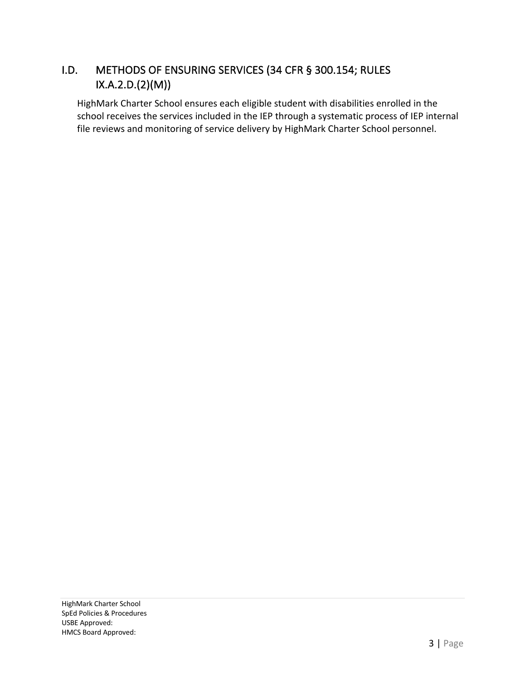#### I.D. METHODS OF ENSURING SERVICES (34 CFR § 300.154; RULES IX.A.2.D.(2)(M))

HighMark Charter School ensures each eligible student with disabilities enrolled in the school receives the services included in the IEP through a systematic process of IEP internal file reviews and monitoring of service delivery by HighMark Charter School personnel.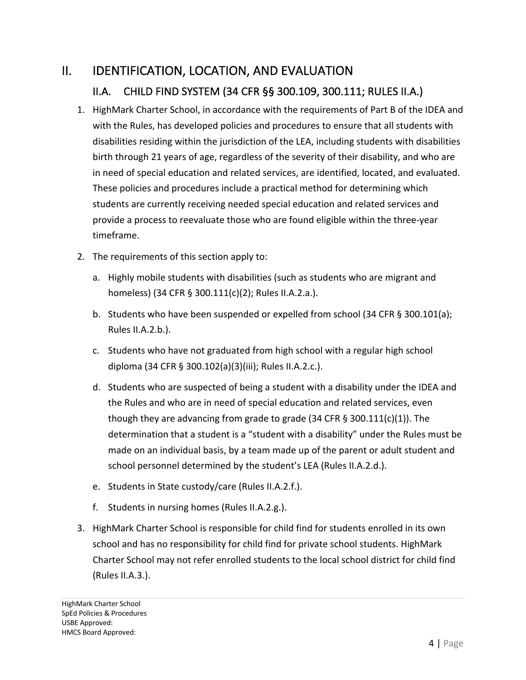### II. IDENTIFICATION, LOCATION, AND EVALUATION II.A. CHILD FIND SYSTEM (34 CFR §§ 300.109, 300.111; RULES II.A.)

- 1. HighMark Charter School, in accordance with the requirements of Part B of the IDEA and with the Rules, has developed policies and procedures to ensure that all students with disabilities residing within the jurisdiction of the LEA, including students with disabilities birth through 21 years of age, regardless of the severity of their disability, and who are in need of special education and related services, are identified, located, and evaluated. These policies and procedures include a practical method for determining which students are currently receiving needed special education and related services and provide a process to reevaluate those who are found eligible within the three-year timeframe.
- 2. The requirements of this section apply to:
	- a. Highly mobile students with disabilities (such as students who are migrant and homeless) (34 CFR § 300.111(c)(2); Rules II.A.2.a.).
	- b. Students who have been suspended or expelled from school (34 CFR § 300.101(a); Rules II.A.2.b.).
	- c. Students who have not graduated from high school with a regular high school diploma (34 CFR § 300.102(a)(3)(iii); Rules II.A.2.c.).
	- d. Students who are suspected of being a student with a disability under the IDEA and the Rules and who are in need of special education and related services, even though they are advancing from grade to grade  $(34$  CFR  $\S$  300.111(c)(1)). The determination that a student is a "student with a disability" under the Rules must be made on an individual basis, by a team made up of the parent or adult student and school personnel determined by the student's LEA (Rules II.A.2.d.).
	- e. Students in State custody/care (Rules II.A.2.f.).
	- f. Students in nursing homes (Rules II.A.2.g.).
- 3. HighMark Charter School is responsible for child find for students enrolled in its own school and has no responsibility for child find for private school students. HighMark Charter School may not refer enrolled students to the local school district for child find (Rules II.A.3.).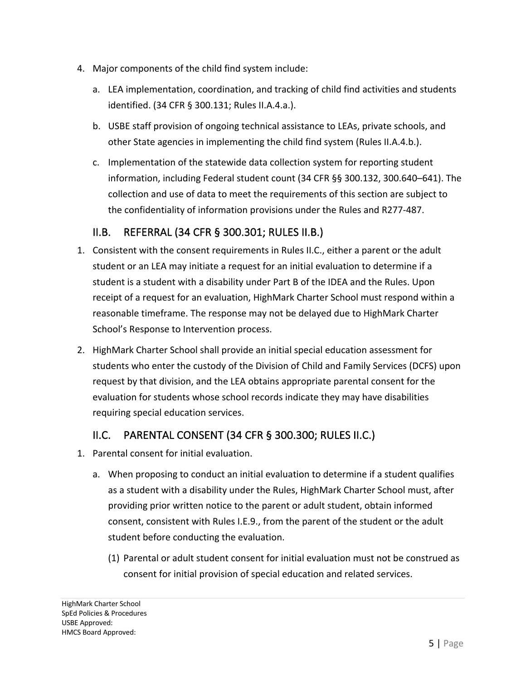- 4. Major components of the child find system include:
	- a. LEA implementation, coordination, and tracking of child find activities and students identified. (34 CFR § 300.131; Rules II.A.4.a.).
	- b. USBE staff provision of ongoing technical assistance to LEAs, private schools, and other State agencies in implementing the child find system (Rules II.A.4.b.).
	- c. Implementation of the statewide data collection system for reporting student information, including Federal student count (34 CFR §§ 300.132, 300.640–641). The collection and use of data to meet the requirements of this section are subject to the confidentiality of information provisions under the Rules and R277-487.

#### II.B. REFERRAL (34 CFR § 300.301; RULES II.B.)

- 1. Consistent with the consent requirements in Rules II.C., either a parent or the adult student or an LEA may initiate a request for an initial evaluation to determine if a student is a student with a disability under Part B of the IDEA and the Rules. Upon receipt of a request for an evaluation, HighMark Charter School must respond within a reasonable timeframe. The response may not be delayed due to HighMark Charter School's Response to Intervention process.
- 2. HighMark Charter School shall provide an initial special education assessment for students who enter the custody of the Division of Child and Family Services (DCFS) upon request by that division, and the LEA obtains appropriate parental consent for the evaluation for students whose school records indicate they may have disabilities requiring special education services.

#### II.C. PARENTAL CONSENT (34 CFR § 300.300; RULES II.C.)

- 1. Parental consent for initial evaluation.
	- a. When proposing to conduct an initial evaluation to determine if a student qualifies as a student with a disability under the Rules, HighMark Charter School must, after providing prior written notice to the parent or adult student, obtain informed consent, consistent with Rules I.E.9., from the parent of the student or the adult student before conducting the evaluation.
		- (1) Parental or adult student consent for initial evaluation must not be construed as consent for initial provision of special education and related services.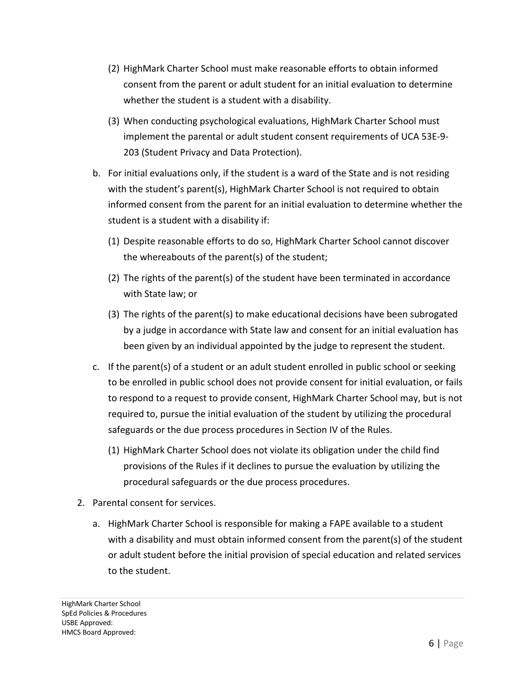- (2) HighMark Charter School must make reasonable efforts to obtain informed consent from the parent or adult student for an initial evaluation to determine whether the student is a student with a disability.
- (3) When conducting psychological evaluations, HighMark Charter School must implement the parental or adult student consent requirements of UCA 53E-9- 203 (Student Privacy and Data Protection).
- b. For initial evaluations only, if the student is a ward of the State and is not residing with the student's parent(s), HighMark Charter School is not required to obtain informed consent from the parent for an initial evaluation to determine whether the student is a student with a disability if:
	- (1) Despite reasonable efforts to do so, HighMark Charter School cannot discover the whereabouts of the parent(s) of the student;
	- (2) The rights of the parent(s) of the student have been terminated in accordance with State law; or
	- (3) The rights of the parent(s) to make educational decisions have been subrogated by a judge in accordance with State law and consent for an initial evaluation has been given by an individual appointed by the judge to represent the student.
- c. If the parent(s) of a student or an adult student enrolled in public school or seeking to be enrolled in public school does not provide consent for initial evaluation, or fails to respond to a request to provide consent, HighMark Charter School may, but is not required to, pursue the initial evaluation of the student by utilizing the procedural safeguards or the due process procedures in Section IV of the Rules.
	- (1) HighMark Charter School does not violate its obligation under the child find provisions of the Rules if it declines to pursue the evaluation by utilizing the procedural safeguards or the due process procedures.
- 2. Parental consent for services.
	- a. HighMark Charter School is responsible for making a FAPE available to a student with a disability and must obtain informed consent from the parent(s) of the student or adult student before the initial provision of special education and related services to the student.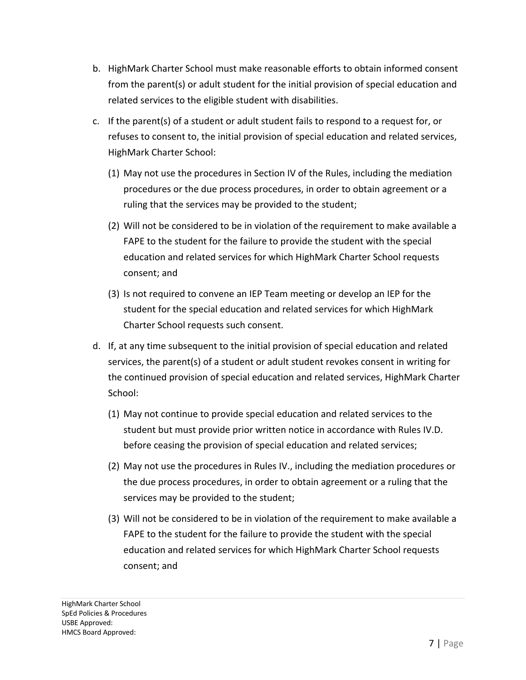- b. HighMark Charter School must make reasonable efforts to obtain informed consent from the parent(s) or adult student for the initial provision of special education and related services to the eligible student with disabilities.
- c. If the parent(s) of a student or adult student fails to respond to a request for, or refuses to consent to, the initial provision of special education and related services, HighMark Charter School:
	- (1) May not use the procedures in Section IV of the Rules, including the mediation procedures or the due process procedures, in order to obtain agreement or a ruling that the services may be provided to the student;
	- (2) Will not be considered to be in violation of the requirement to make available a FAPE to the student for the failure to provide the student with the special education and related services for which HighMark Charter School requests consent; and
	- (3) Is not required to convene an IEP Team meeting or develop an IEP for the student for the special education and related services for which HighMark Charter School requests such consent.
- d. If, at any time subsequent to the initial provision of special education and related services, the parent(s) of a student or adult student revokes consent in writing for the continued provision of special education and related services, HighMark Charter School:
	- (1) May not continue to provide special education and related services to the student but must provide prior written notice in accordance with Rules IV.D. before ceasing the provision of special education and related services;
	- (2) May not use the procedures in Rules IV., including the mediation procedures or the due process procedures, in order to obtain agreement or a ruling that the services may be provided to the student;
	- (3) Will not be considered to be in violation of the requirement to make available a FAPE to the student for the failure to provide the student with the special education and related services for which HighMark Charter School requests consent; and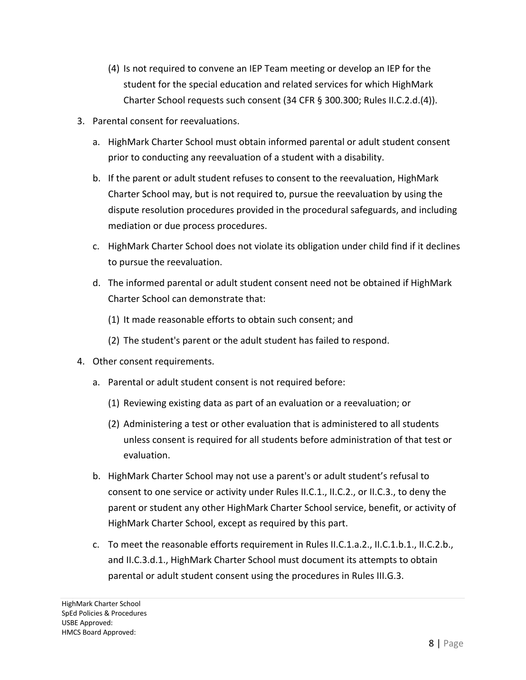- (4) Is not required to convene an IEP Team meeting or develop an IEP for the student for the special education and related services for which HighMark Charter School requests such consent (34 CFR § 300.300; Rules II.C.2.d.(4)).
- 3. Parental consent for reevaluations.
	- a. HighMark Charter School must obtain informed parental or adult student consent prior to conducting any reevaluation of a student with a disability.
	- b. If the parent or adult student refuses to consent to the reevaluation, HighMark Charter School may, but is not required to, pursue the reevaluation by using the dispute resolution procedures provided in the procedural safeguards, and including mediation or due process procedures.
	- c. HighMark Charter School does not violate its obligation under child find if it declines to pursue the reevaluation.
	- d. The informed parental or adult student consent need not be obtained if HighMark Charter School can demonstrate that:
		- (1) It made reasonable efforts to obtain such consent; and
		- (2) The student's parent or the adult student has failed to respond.
- 4. Other consent requirements.
	- a. Parental or adult student consent is not required before:
		- (1) Reviewing existing data as part of an evaluation or a reevaluation; or
		- (2) Administering a test or other evaluation that is administered to all students unless consent is required for all students before administration of that test or evaluation.
	- b. HighMark Charter School may not use a parent's or adult student's refusal to consent to one service or activity under Rules II.C.1., II.C.2., or II.C.3., to deny the parent or student any other HighMark Charter School service, benefit, or activity of HighMark Charter School, except as required by this part.
	- c. To meet the reasonable efforts requirement in Rules II.C.1.a.2., II.C.1.b.1., II.C.2.b., and II.C.3.d.1., HighMark Charter School must document its attempts to obtain parental or adult student consent using the procedures in Rules III.G.3.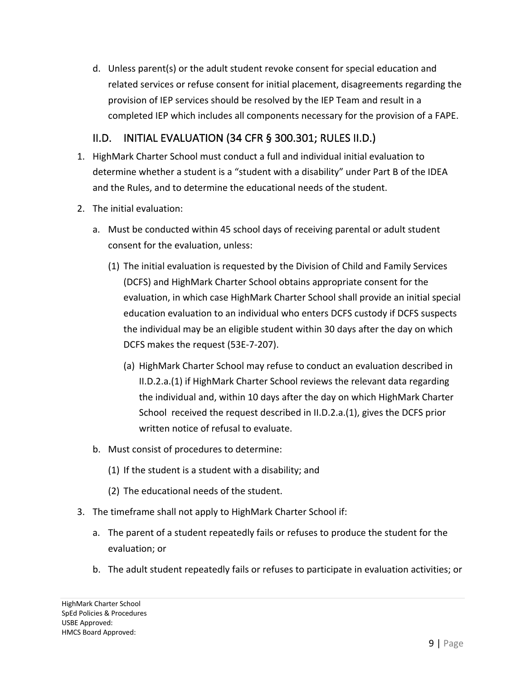d. Unless parent(s) or the adult student revoke consent for special education and related services or refuse consent for initial placement, disagreements regarding the provision of IEP services should be resolved by the IEP Team and result in a completed IEP which includes all components necessary for the provision of a FAPE.

#### II.D. INITIAL EVALUATION (34 CFR § 300.301; RULES II.D.)

- 1. HighMark Charter School must conduct a full and individual initial evaluation to determine whether a student is a "student with a disability" under Part B of the IDEA and the Rules, and to determine the educational needs of the student.
- 2. The initial evaluation:
	- a. Must be conducted within 45 school days of receiving parental or adult student consent for the evaluation, unless:
		- (1) The initial evaluation is requested by the Division of Child and Family Services (DCFS) and HighMark Charter School obtains appropriate consent for the evaluation, in which case HighMark Charter School shall provide an initial special education evaluation to an individual who enters DCFS custody if DCFS suspects the individual may be an eligible student within 30 days after the day on which DCFS makes the request (53E-7-207).
			- (a) HighMark Charter School may refuse to conduct an evaluation described in II.D.2.a.(1) if HighMark Charter School reviews the relevant data regarding the individual and, within 10 days after the day on which HighMark Charter School received the request described in II.D.2.a.(1), gives the DCFS prior written notice of refusal to evaluate.
	- b. Must consist of procedures to determine:
		- (1) If the student is a student with a disability; and
		- (2) The educational needs of the student.
- 3. The timeframe shall not apply to HighMark Charter School if:
	- a. The parent of a student repeatedly fails or refuses to produce the student for the evaluation; or
	- b. The adult student repeatedly fails or refuses to participate in evaluation activities; or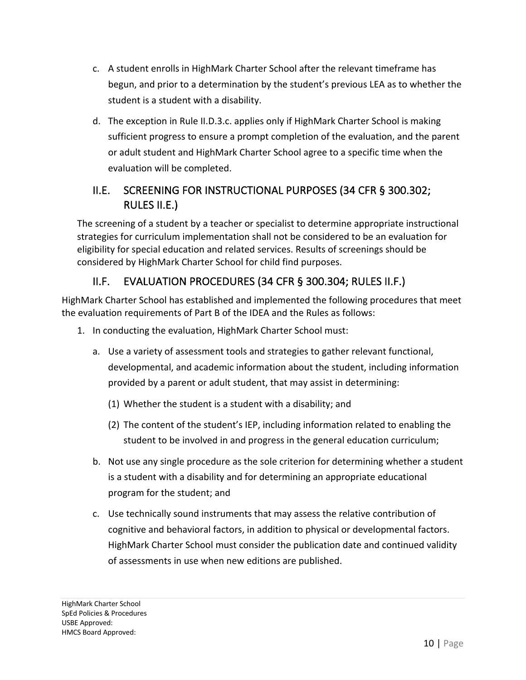- c. A student enrolls in HighMark Charter School after the relevant timeframe has begun, and prior to a determination by the student's previous LEA as to whether the student is a student with a disability.
- d. The exception in Rule II.D.3.c. applies only if HighMark Charter School is making sufficient progress to ensure a prompt completion of the evaluation, and the parent or adult student and HighMark Charter School agree to a specific time when the evaluation will be completed.

#### II.E. SCREENING FOR INSTRUCTIONAL PURPOSES (34 CFR § 300.302; RULES II.E.)

The screening of a student by a teacher or specialist to determine appropriate instructional strategies for curriculum implementation shall not be considered to be an evaluation for eligibility for special education and related services. Results of screenings should be considered by HighMark Charter School for child find purposes.

#### II.F. EVALUATION PROCEDURES (34 CFR § 300.304; RULES II.F.)

HighMark Charter School has established and implemented the following procedures that meet the evaluation requirements of Part B of the IDEA and the Rules as follows:

- 1. In conducting the evaluation, HighMark Charter School must:
	- a. Use a variety of assessment tools and strategies to gather relevant functional, developmental, and academic information about the student, including information provided by a parent or adult student, that may assist in determining:
		- (1) Whether the student is a student with a disability; and
		- (2) The content of the student's IEP, including information related to enabling the student to be involved in and progress in the general education curriculum;
	- b. Not use any single procedure as the sole criterion for determining whether a student is a student with a disability and for determining an appropriate educational program for the student; and
	- c. Use technically sound instruments that may assess the relative contribution of cognitive and behavioral factors, in addition to physical or developmental factors. HighMark Charter School must consider the publication date and continued validity of assessments in use when new editions are published.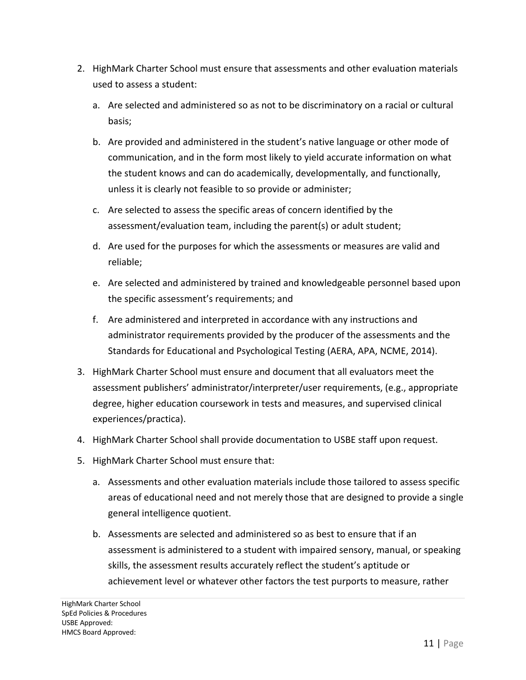- 2. HighMark Charter School must ensure that assessments and other evaluation materials used to assess a student:
	- a. Are selected and administered so as not to be discriminatory on a racial or cultural basis;
	- b. Are provided and administered in the student's native language or other mode of communication, and in the form most likely to yield accurate information on what the student knows and can do academically, developmentally, and functionally, unless it is clearly not feasible to so provide or administer;
	- c. Are selected to assess the specific areas of concern identified by the assessment/evaluation team, including the parent(s) or adult student;
	- d. Are used for the purposes for which the assessments or measures are valid and reliable;
	- e. Are selected and administered by trained and knowledgeable personnel based upon the specific assessment's requirements; and
	- f. Are administered and interpreted in accordance with any instructions and administrator requirements provided by the producer of the assessments and the Standards for Educational and Psychological Testing (AERA, APA, NCME, 2014).
- 3. HighMark Charter School must ensure and document that all evaluators meet the assessment publishers' administrator/interpreter/user requirements, (e.g., appropriate degree, higher education coursework in tests and measures, and supervised clinical experiences/practica).
- 4. HighMark Charter School shall provide documentation to USBE staff upon request.
- 5. HighMark Charter School must ensure that:
	- a. Assessments and other evaluation materials include those tailored to assess specific areas of educational need and not merely those that are designed to provide a single general intelligence quotient.
	- b. Assessments are selected and administered so as best to ensure that if an assessment is administered to a student with impaired sensory, manual, or speaking skills, the assessment results accurately reflect the student's aptitude or achievement level or whatever other factors the test purports to measure, rather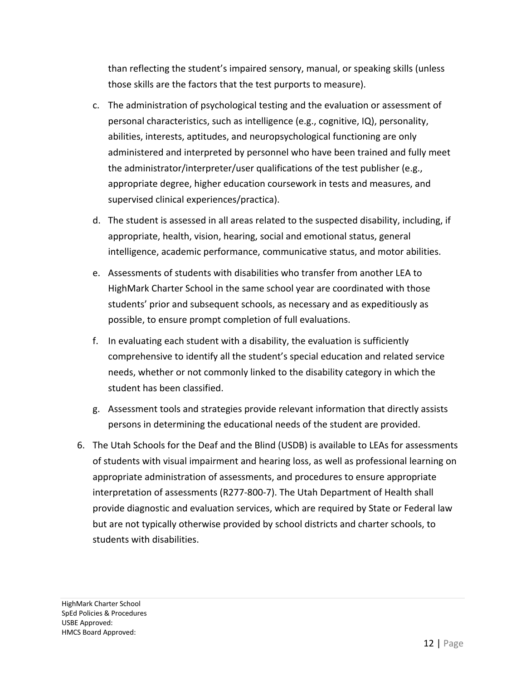than reflecting the student's impaired sensory, manual, or speaking skills (unless those skills are the factors that the test purports to measure).

- c. The administration of psychological testing and the evaluation or assessment of personal characteristics, such as intelligence (e.g., cognitive, IQ), personality, abilities, interests, aptitudes, and neuropsychological functioning are only administered and interpreted by personnel who have been trained and fully meet the administrator/interpreter/user qualifications of the test publisher (e.g., appropriate degree, higher education coursework in tests and measures, and supervised clinical experiences/practica).
- d. The student is assessed in all areas related to the suspected disability, including, if appropriate, health, vision, hearing, social and emotional status, general intelligence, academic performance, communicative status, and motor abilities.
- e. Assessments of students with disabilities who transfer from another LEA to HighMark Charter School in the same school year are coordinated with those students' prior and subsequent schools, as necessary and as expeditiously as possible, to ensure prompt completion of full evaluations.
- f. In evaluating each student with a disability, the evaluation is sufficiently comprehensive to identify all the student's special education and related service needs, whether or not commonly linked to the disability category in which the student has been classified.
- g. Assessment tools and strategies provide relevant information that directly assists persons in determining the educational needs of the student are provided.
- 6. The Utah Schools for the Deaf and the Blind (USDB) is available to LEAs for assessments of students with visual impairment and hearing loss, as well as professional learning on appropriate administration of assessments, and procedures to ensure appropriate interpretation of assessments (R277-800-7). The Utah Department of Health shall provide diagnostic and evaluation services, which are required by State or Federal law but are not typically otherwise provided by school districts and charter schools, to students with disabilities.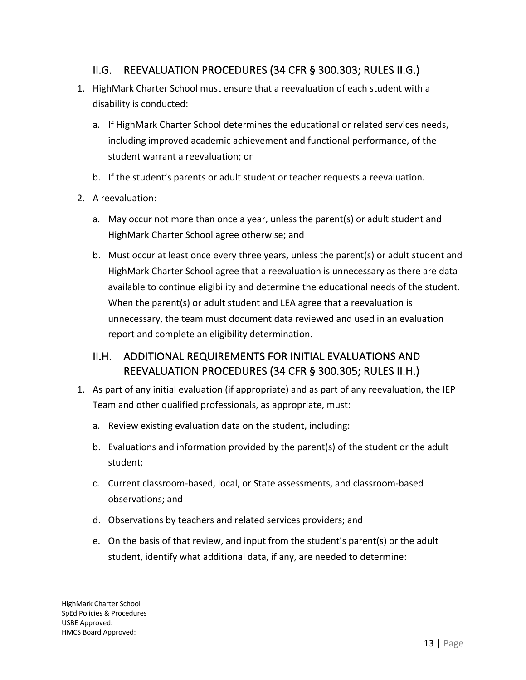#### II.G. REEVALUATION PROCEDURES (34 CFR § 300.303; RULES II.G.)

- 1. HighMark Charter School must ensure that a reevaluation of each student with a disability is conducted:
	- a. If HighMark Charter School determines the educational or related services needs, including improved academic achievement and functional performance, of the student warrant a reevaluation; or
	- b. If the student's parents or adult student or teacher requests a reevaluation.
- 2. A reevaluation:
	- a. May occur not more than once a year, unless the parent(s) or adult student and HighMark Charter School agree otherwise; and
	- b. Must occur at least once every three years, unless the parent(s) or adult student and HighMark Charter School agree that a reevaluation is unnecessary as there are data available to continue eligibility and determine the educational needs of the student. When the parent(s) or adult student and LEA agree that a reevaluation is unnecessary, the team must document data reviewed and used in an evaluation report and complete an eligibility determination.

#### II.H. ADDITIONAL REQUIREMENTS FOR INITIAL EVALUATIONS AND REEVALUATION PROCEDURES (34 CFR § 300.305; RULES II.H.)

- 1. As part of any initial evaluation (if appropriate) and as part of any reevaluation, the IEP Team and other qualified professionals, as appropriate, must:
	- a. Review existing evaluation data on the student, including:
	- b. Evaluations and information provided by the parent(s) of the student or the adult student;
	- c. Current classroom-based, local, or State assessments, and classroom-based observations; and
	- d. Observations by teachers and related services providers; and
	- e. On the basis of that review, and input from the student's parent(s) or the adult student, identify what additional data, if any, are needed to determine: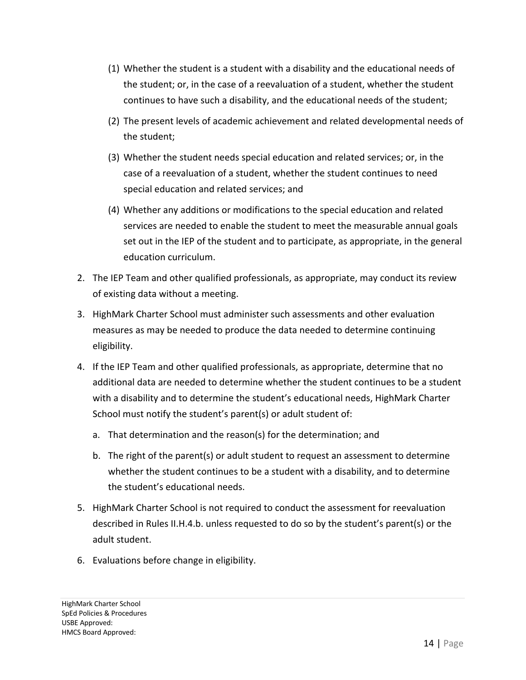- (1) Whether the student is a student with a disability and the educational needs of the student; or, in the case of a reevaluation of a student, whether the student continues to have such a disability, and the educational needs of the student;
- (2) The present levels of academic achievement and related developmental needs of the student;
- (3) Whether the student needs special education and related services; or, in the case of a reevaluation of a student, whether the student continues to need special education and related services; and
- (4) Whether any additions or modifications to the special education and related services are needed to enable the student to meet the measurable annual goals set out in the IEP of the student and to participate, as appropriate, in the general education curriculum.
- 2. The IEP Team and other qualified professionals, as appropriate, may conduct its review of existing data without a meeting.
- 3. HighMark Charter School must administer such assessments and other evaluation measures as may be needed to produce the data needed to determine continuing eligibility.
- 4. If the IEP Team and other qualified professionals, as appropriate, determine that no additional data are needed to determine whether the student continues to be a student with a disability and to determine the student's educational needs, HighMark Charter School must notify the student's parent(s) or adult student of:
	- a. That determination and the reason(s) for the determination; and
	- b. The right of the parent(s) or adult student to request an assessment to determine whether the student continues to be a student with a disability, and to determine the student's educational needs.
- 5. HighMark Charter School is not required to conduct the assessment for reevaluation described in Rules II.H.4.b. unless requested to do so by the student's parent(s) or the adult student.
- 6. Evaluations before change in eligibility.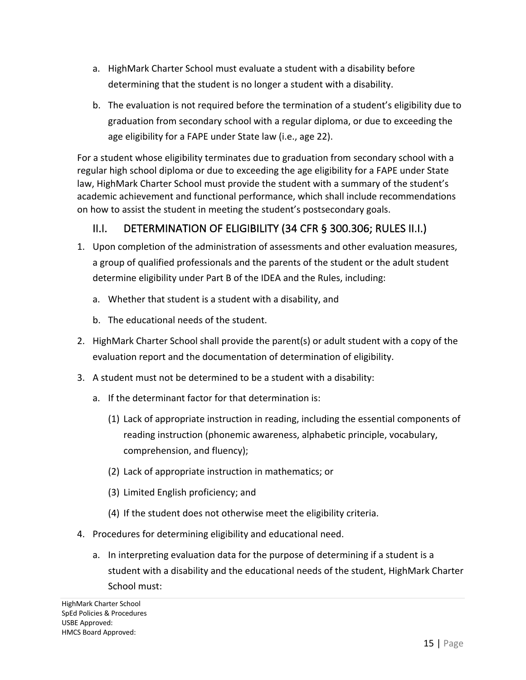- a. HighMark Charter School must evaluate a student with a disability before determining that the student is no longer a student with a disability.
- b. The evaluation is not required before the termination of a student's eligibility due to graduation from secondary school with a regular diploma, or due to exceeding the age eligibility for a FAPE under State law (i.e., age 22).

For a student whose eligibility terminates due to graduation from secondary school with a regular high school diploma or due to exceeding the age eligibility for a FAPE under State law, HighMark Charter School must provide the student with a summary of the student's academic achievement and functional performance, which shall include recommendations on how to assist the student in meeting the student's postsecondary goals.

#### II.I. DETERMINATION OF ELIGIBILITY (34 CFR § 300.306; RULES II.I.)

- 1. Upon completion of the administration of assessments and other evaluation measures, a group of qualified professionals and the parents of the student or the adult student determine eligibility under Part B of the IDEA and the Rules, including:
	- a. Whether that student is a student with a disability, and
	- b. The educational needs of the student.
- 2. HighMark Charter School shall provide the parent(s) or adult student with a copy of the evaluation report and the documentation of determination of eligibility.
- 3. A student must not be determined to be a student with a disability:
	- a. If the determinant factor for that determination is:
		- (1) Lack of appropriate instruction in reading, including the essential components of reading instruction (phonemic awareness, alphabetic principle, vocabulary, comprehension, and fluency);
		- (2) Lack of appropriate instruction in mathematics; or
		- (3) Limited English proficiency; and
		- (4) If the student does not otherwise meet the eligibility criteria.
- 4. Procedures for determining eligibility and educational need.
	- a. In interpreting evaluation data for the purpose of determining if a student is a student with a disability and the educational needs of the student, HighMark Charter School must: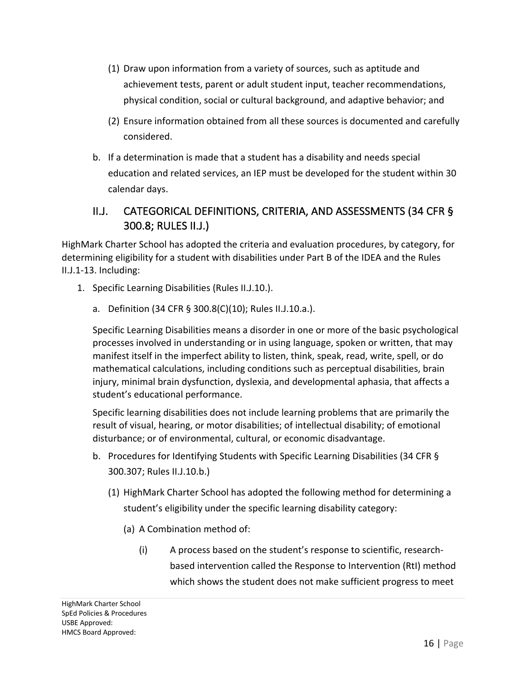- (1) Draw upon information from a variety of sources, such as aptitude and achievement tests, parent or adult student input, teacher recommendations, physical condition, social or cultural background, and adaptive behavior; and
- (2) Ensure information obtained from all these sources is documented and carefully considered.
- b. If a determination is made that a student has a disability and needs special education and related services, an IEP must be developed for the student within 30 calendar days.

#### II.J. CATEGORICAL DEFINITIONS, CRITERIA, AND ASSESSMENTS (34 CFR § 300.8; RULES II.J.)

HighMark Charter School has adopted the criteria and evaluation procedures, by category, for determining eligibility for a student with disabilities under Part B of the IDEA and the Rules II.J.1-13. Including:

- 1. Specific Learning Disabilities (Rules II.J.10.).
	- a. Definition (34 CFR § 300.8(C)(10); Rules II.J.10.a.).

Specific Learning Disabilities means a disorder in one or more of the basic psychological processes involved in understanding or in using language, spoken or written, that may manifest itself in the imperfect ability to listen, think, speak, read, write, spell, or do mathematical calculations, including conditions such as perceptual disabilities, brain injury, minimal brain dysfunction, dyslexia, and developmental aphasia, that affects a student's educational performance.

Specific learning disabilities does not include learning problems that are primarily the result of visual, hearing, or motor disabilities; of intellectual disability; of emotional disturbance; or of environmental, cultural, or economic disadvantage.

- b. Procedures for Identifying Students with Specific Learning Disabilities (34 CFR § 300.307; Rules II.J.10.b.)
	- (1) HighMark Charter School has adopted the following method for determining a student's eligibility under the specific learning disability category:
		- (a) A Combination method of:
			- (i) A process based on the student's response to scientific, researchbased intervention called the Response to Intervention (RtI) method which shows the student does not make sufficient progress to meet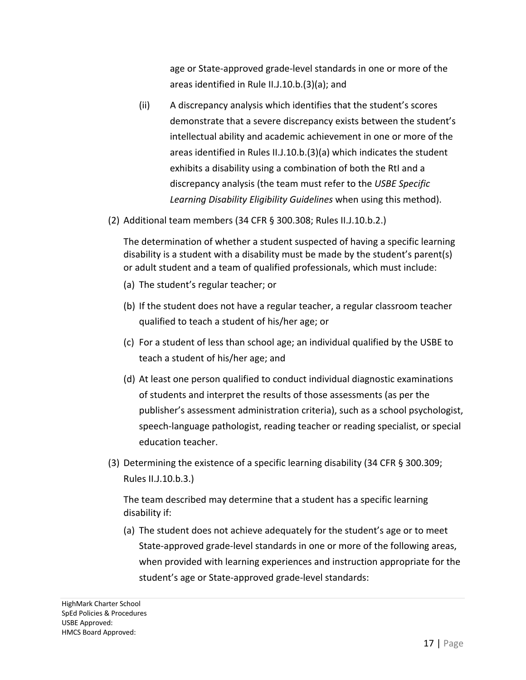age or State-approved grade-level standards in one or more of the areas identified in Rule II.J.10.b.(3)(a); and

- (ii) A discrepancy analysis which identifies that the student's scores demonstrate that a severe discrepancy exists between the student's intellectual ability and academic achievement in one or more of the areas identified in Rules II.J.10.b.(3)(a) which indicates the student exhibits a disability using a combination of both the RtI and a discrepancy analysis (the team must refer to the *USBE Specific Learning Disability Eligibility Guidelines* when using this method).
- (2) Additional team members (34 CFR § 300.308; Rules II.J.10.b.2.)

The determination of whether a student suspected of having a specific learning disability is a student with a disability must be made by the student's parent(s) or adult student and a team of qualified professionals, which must include:

- (a) The student's regular teacher; or
- (b) If the student does not have a regular teacher, a regular classroom teacher qualified to teach a student of his/her age; or
- (c) For a student of less than school age; an individual qualified by the USBE to teach a student of his/her age; and
- (d) At least one person qualified to conduct individual diagnostic examinations of students and interpret the results of those assessments (as per the publisher's assessment administration criteria), such as a school psychologist, speech-language pathologist, reading teacher or reading specialist, or special education teacher.
- (3) Determining the existence of a specific learning disability (34 CFR § 300.309; Rules II.J.10.b.3.)

The team described may determine that a student has a specific learning disability if:

(a) The student does not achieve adequately for the student's age or to meet State-approved grade-level standards in one or more of the following areas, when provided with learning experiences and instruction appropriate for the student's age or State-approved grade-level standards: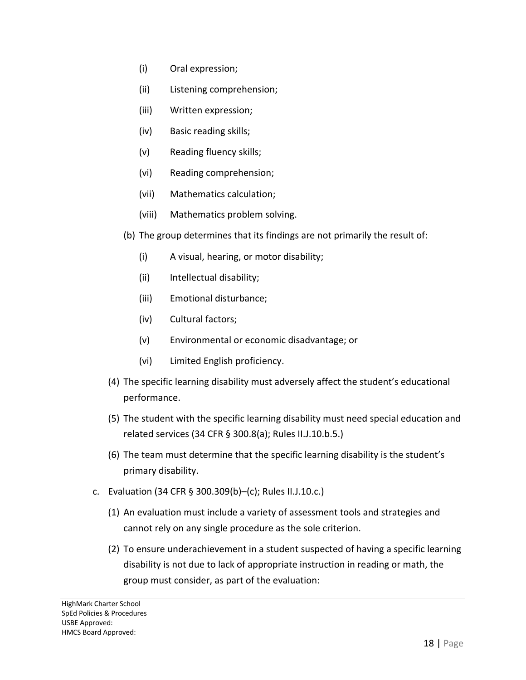- (i) Oral expression;
- (ii) Listening comprehension;
- (iii) Written expression;
- (iv) Basic reading skills;
- (v) Reading fluency skills;
- (vi) Reading comprehension;
- (vii) Mathematics calculation;
- (viii) Mathematics problem solving.
- (b) The group determines that its findings are not primarily the result of:
	- (i) A visual, hearing, or motor disability;
	- (ii) Intellectual disability;
	- (iii) Emotional disturbance;
	- (iv) Cultural factors;
	- (v) Environmental or economic disadvantage; or
	- (vi) Limited English proficiency.
- (4) The specific learning disability must adversely affect the student's educational performance.
- (5) The student with the specific learning disability must need special education and related services (34 CFR § 300.8(a); Rules II.J.10.b.5.)
- (6) The team must determine that the specific learning disability is the student's primary disability.
- c. Evaluation (34 CFR § 300.309(b)–(c); Rules II.J.10.c.)
	- (1) An evaluation must include a variety of assessment tools and strategies and cannot rely on any single procedure as the sole criterion.
	- (2) To ensure underachievement in a student suspected of having a specific learning disability is not due to lack of appropriate instruction in reading or math, the group must consider, as part of the evaluation: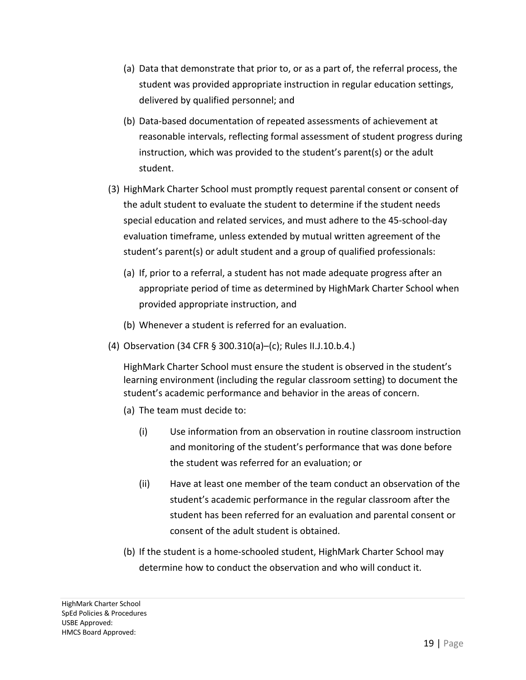- (a) Data that demonstrate that prior to, or as a part of, the referral process, the student was provided appropriate instruction in regular education settings, delivered by qualified personnel; and
- (b) Data-based documentation of repeated assessments of achievement at reasonable intervals, reflecting formal assessment of student progress during instruction, which was provided to the student's parent(s) or the adult student.
- (3) HighMark Charter School must promptly request parental consent or consent of the adult student to evaluate the student to determine if the student needs special education and related services, and must adhere to the 45-school-day evaluation timeframe, unless extended by mutual written agreement of the student's parent(s) or adult student and a group of qualified professionals:
	- (a) If, prior to a referral, a student has not made adequate progress after an appropriate period of time as determined by HighMark Charter School when provided appropriate instruction, and
	- (b) Whenever a student is referred for an evaluation.
- (4) Observation (34 CFR § 300.310(a)–(c); Rules II.J.10.b.4.)

HighMark Charter School must ensure the student is observed in the student's learning environment (including the regular classroom setting) to document the student's academic performance and behavior in the areas of concern.

- (a) The team must decide to:
	- (i) Use information from an observation in routine classroom instruction and monitoring of the student's performance that was done before the student was referred for an evaluation; or
	- (ii) Have at least one member of the team conduct an observation of the student's academic performance in the regular classroom after the student has been referred for an evaluation and parental consent or consent of the adult student is obtained.
- (b) If the student is a home-schooled student, HighMark Charter School may determine how to conduct the observation and who will conduct it.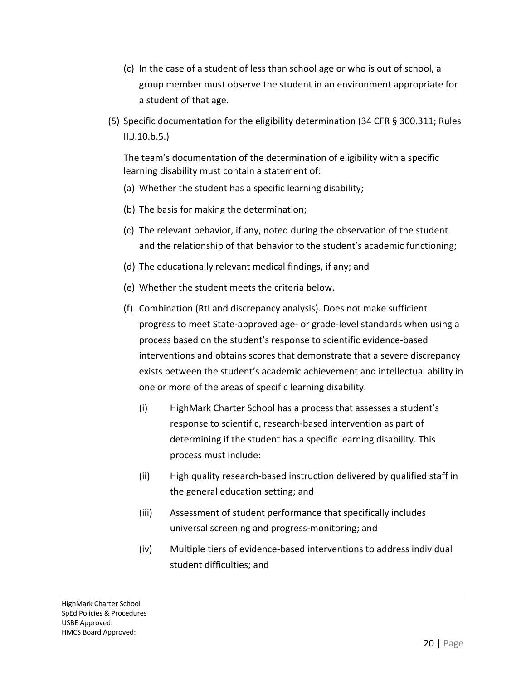- (c) In the case of a student of less than school age or who is out of school, a group member must observe the student in an environment appropriate for a student of that age.
- (5) Specific documentation for the eligibility determination (34 CFR § 300.311; Rules II.J.10.b.5.)

The team's documentation of the determination of eligibility with a specific learning disability must contain a statement of:

- (a) Whether the student has a specific learning disability;
- (b) The basis for making the determination;
- (c) The relevant behavior, if any, noted during the observation of the student and the relationship of that behavior to the student's academic functioning;
- (d) The educationally relevant medical findings, if any; and
- (e) Whether the student meets the criteria below.
- (f) Combination (RtI and discrepancy analysis). Does not make sufficient progress to meet State-approved age- or grade-level standards when using a process based on the student's response to scientific evidence-based interventions and obtains scores that demonstrate that a severe discrepancy exists between the student's academic achievement and intellectual ability in one or more of the areas of specific learning disability.
	- (i) HighMark Charter School has a process that assesses a student's response to scientific, research-based intervention as part of determining if the student has a specific learning disability. This process must include:
	- (ii) High quality research-based instruction delivered by qualified staff in the general education setting; and
	- (iii) Assessment of student performance that specifically includes universal screening and progress-monitoring; and
	- (iv) Multiple tiers of evidence-based interventions to address individual student difficulties; and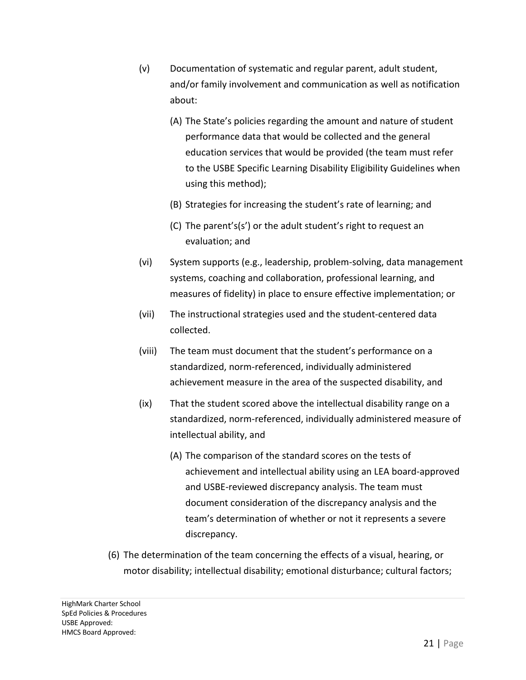- (v) Documentation of systematic and regular parent, adult student, and/or family involvement and communication as well as notification about:
	- (A) The State's policies regarding the amount and nature of student performance data that would be collected and the general education services that would be provided (the team must refer to the USBE Specific Learning Disability Eligibility Guidelines when using this method);
	- (B) Strategies for increasing the student's rate of learning; and
	- (C) The parent's(s') or the adult student's right to request an evaluation; and
- (vi) System supports (e.g., leadership, problem-solving, data management systems, coaching and collaboration, professional learning, and measures of fidelity) in place to ensure effective implementation; or
- (vii) The instructional strategies used and the student-centered data collected.
- (viii) The team must document that the student's performance on a standardized, norm-referenced, individually administered achievement measure in the area of the suspected disability, and
- (ix) That the student scored above the intellectual disability range on a standardized, norm-referenced, individually administered measure of intellectual ability, and
	- (A) The comparison of the standard scores on the tests of achievement and intellectual ability using an LEA board-approved and USBE-reviewed discrepancy analysis. The team must document consideration of the discrepancy analysis and the team's determination of whether or not it represents a severe discrepancy.
- (6) The determination of the team concerning the effects of a visual, hearing, or motor disability; intellectual disability; emotional disturbance; cultural factors;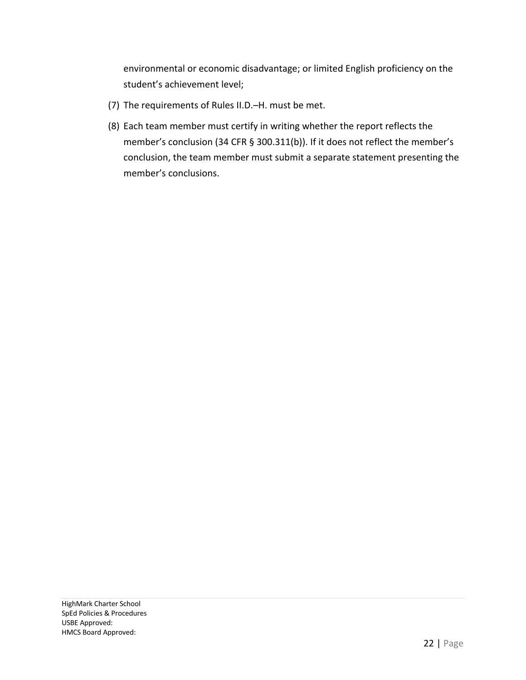environmental or economic disadvantage; or limited English proficiency on the student's achievement level;

- (7) The requirements of Rules II.D.–H. must be met.
- (8) Each team member must certify in writing whether the report reflects the member's conclusion (34 CFR § 300.311(b)). If it does not reflect the member's conclusion, the team member must submit a separate statement presenting the member's conclusions.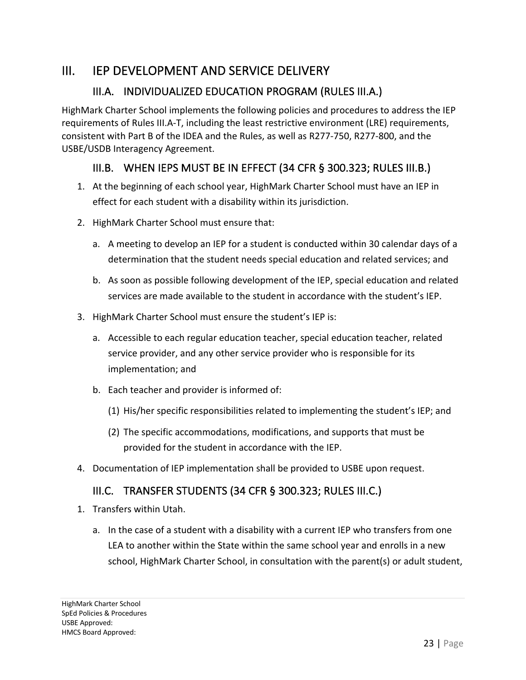#### III. IEP DEVELOPMENT AND SERVICE DELIVERY

#### III.A. INDIVIDUALIZED EDUCATION PROGRAM (RULES III.A.)

HighMark Charter School implements the following policies and procedures to address the IEP requirements of Rules III.A-T, including the least restrictive environment (LRE) requirements, consistent with Part B of the IDEA and the Rules, as well as R277-750, R277-800, and the USBE/USDB Interagency Agreement.

#### III.B. WHEN IEPS MUST BE IN EFFECT (34 CFR § 300.323; RULES III.B.)

- 1. At the beginning of each school year, HighMark Charter School must have an IEP in effect for each student with a disability within its jurisdiction.
- 2. HighMark Charter School must ensure that:
	- a. A meeting to develop an IEP for a student is conducted within 30 calendar days of a determination that the student needs special education and related services; and
	- b. As soon as possible following development of the IEP, special education and related services are made available to the student in accordance with the student's IEP.
- 3. HighMark Charter School must ensure the student's IEP is:
	- a. Accessible to each regular education teacher, special education teacher, related service provider, and any other service provider who is responsible for its implementation; and
	- b. Each teacher and provider is informed of:
		- (1) His/her specific responsibilities related to implementing the student's IEP; and
		- (2) The specific accommodations, modifications, and supports that must be provided for the student in accordance with the IEP.
- 4. Documentation of IEP implementation shall be provided to USBE upon request.

#### III.C. TRANSFER STUDENTS (34 CFR § 300.323; RULES III.C.)

- 1. Transfers within Utah.
	- a. In the case of a student with a disability with a current IEP who transfers from one LEA to another within the State within the same school year and enrolls in a new school, HighMark Charter School, in consultation with the parent(s) or adult student,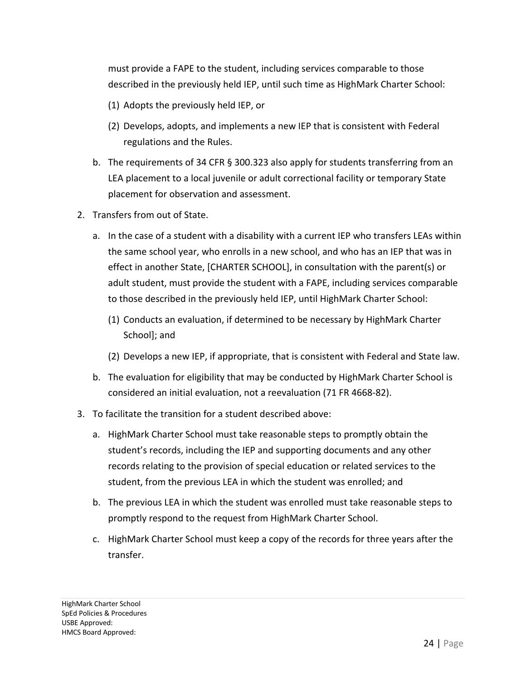must provide a FAPE to the student, including services comparable to those described in the previously held IEP, until such time as HighMark Charter School:

- (1) Adopts the previously held IEP, or
- (2) Develops, adopts, and implements a new IEP that is consistent with Federal regulations and the Rules.
- b. The requirements of 34 CFR § 300.323 also apply for students transferring from an LEA placement to a local juvenile or adult correctional facility or temporary State placement for observation and assessment.
- 2. Transfers from out of State.
	- a. In the case of a student with a disability with a current IEP who transfers LEAs within the same school year, who enrolls in a new school, and who has an IEP that was in effect in another State, [CHARTER SCHOOL], in consultation with the parent(s) or adult student, must provide the student with a FAPE, including services comparable to those described in the previously held IEP, until HighMark Charter School:
		- (1) Conducts an evaluation, if determined to be necessary by HighMark Charter School]; and
		- (2) Develops a new IEP, if appropriate, that is consistent with Federal and State law.
	- b. The evaluation for eligibility that may be conducted by HighMark Charter School is considered an initial evaluation, not a reevaluation (71 FR 4668-82).
- 3. To facilitate the transition for a student described above:
	- a. HighMark Charter School must take reasonable steps to promptly obtain the student's records, including the IEP and supporting documents and any other records relating to the provision of special education or related services to the student, from the previous LEA in which the student was enrolled; and
	- b. The previous LEA in which the student was enrolled must take reasonable steps to promptly respond to the request from HighMark Charter School.
	- c. HighMark Charter School must keep a copy of the records for three years after the transfer.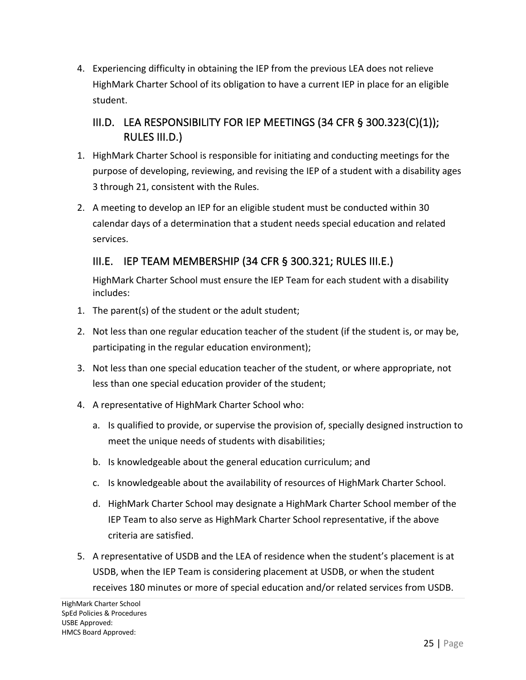4. Experiencing difficulty in obtaining the IEP from the previous LEA does not relieve HighMark Charter School of its obligation to have a current IEP in place for an eligible student.

#### III.D. LEA RESPONSIBILITY FOR IEP MEETINGS (34 CFR § 300.323(C)(1)); RULES III.D.)

- 1. HighMark Charter School is responsible for initiating and conducting meetings for the purpose of developing, reviewing, and revising the IEP of a student with a disability ages 3 through 21, consistent with the Rules.
- 2. A meeting to develop an IEP for an eligible student must be conducted within 30 calendar days of a determination that a student needs special education and related services.

#### III.E. IEP TEAM MEMBERSHIP (34 CFR § 300.321; RULES III.E.)

HighMark Charter School must ensure the IEP Team for each student with a disability includes:

- 1. The parent(s) of the student or the adult student;
- 2. Not less than one regular education teacher of the student (if the student is, or may be, participating in the regular education environment);
- 3. Not less than one special education teacher of the student, or where appropriate, not less than one special education provider of the student;
- 4. A representative of HighMark Charter School who:
	- a. Is qualified to provide, or supervise the provision of, specially designed instruction to meet the unique needs of students with disabilities;
	- b. Is knowledgeable about the general education curriculum; and
	- c. Is knowledgeable about the availability of resources of HighMark Charter School.
	- d. HighMark Charter School may designate a HighMark Charter School member of the IEP Team to also serve as HighMark Charter School representative, if the above criteria are satisfied.
- 5. A representative of USDB and the LEA of residence when the student's placement is at USDB, when the IEP Team is considering placement at USDB, or when the student receives 180 minutes or more of special education and/or related services from USDB.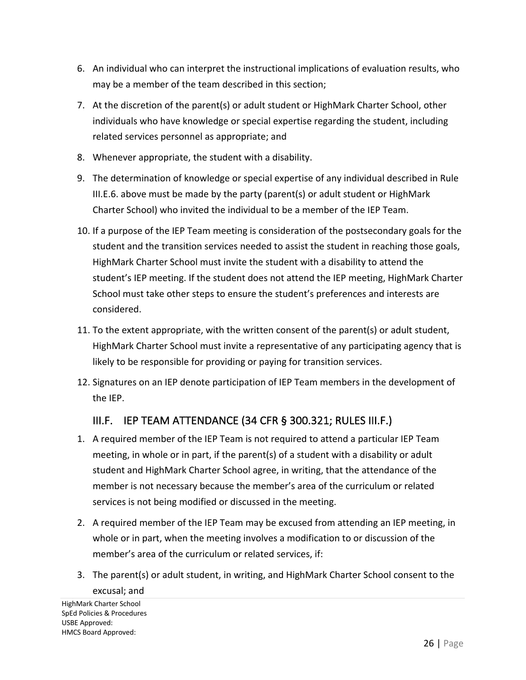- 6. An individual who can interpret the instructional implications of evaluation results, who may be a member of the team described in this section;
- 7. At the discretion of the parent(s) or adult student or HighMark Charter School, other individuals who have knowledge or special expertise regarding the student, including related services personnel as appropriate; and
- 8. Whenever appropriate, the student with a disability.
- 9. The determination of knowledge or special expertise of any individual described in Rule III.E.6. above must be made by the party (parent(s) or adult student or HighMark Charter School) who invited the individual to be a member of the IEP Team.
- 10. If a purpose of the IEP Team meeting is consideration of the postsecondary goals for the student and the transition services needed to assist the student in reaching those goals, HighMark Charter School must invite the student with a disability to attend the student's IEP meeting. If the student does not attend the IEP meeting, HighMark Charter School must take other steps to ensure the student's preferences and interests are considered.
- 11. To the extent appropriate, with the written consent of the parent(s) or adult student, HighMark Charter School must invite a representative of any participating agency that is likely to be responsible for providing or paying for transition services.
- 12. Signatures on an IEP denote participation of IEP Team members in the development of the IEP.

#### III.F. IEP TEAM ATTENDANCE (34 CFR § 300.321; RULES III.F.)

- 1. A required member of the IEP Team is not required to attend a particular IEP Team meeting, in whole or in part, if the parent(s) of a student with a disability or adult student and HighMark Charter School agree, in writing, that the attendance of the member is not necessary because the member's area of the curriculum or related services is not being modified or discussed in the meeting.
- 2. A required member of the IEP Team may be excused from attending an IEP meeting, in whole or in part, when the meeting involves a modification to or discussion of the member's area of the curriculum or related services, if:
- 3. The parent(s) or adult student, in writing, and HighMark Charter School consent to the excusal; and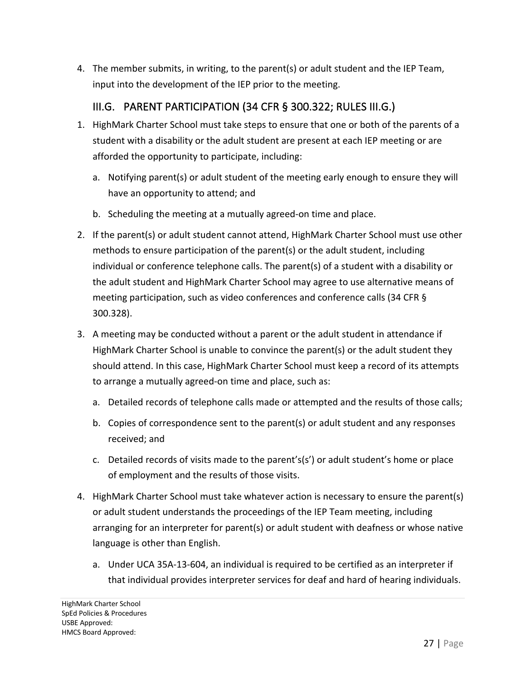4. The member submits, in writing, to the parent(s) or adult student and the IEP Team, input into the development of the IEP prior to the meeting.

#### III.G. PARENT PARTICIPATION (34 CFR § 300.322; RULES III.G.)

- 1. HighMark Charter School must take steps to ensure that one or both of the parents of a student with a disability or the adult student are present at each IEP meeting or are afforded the opportunity to participate, including:
	- a. Notifying parent(s) or adult student of the meeting early enough to ensure they will have an opportunity to attend; and
	- b. Scheduling the meeting at a mutually agreed-on time and place.
- 2. If the parent(s) or adult student cannot attend, HighMark Charter School must use other methods to ensure participation of the parent(s) or the adult student, including individual or conference telephone calls. The parent(s) of a student with a disability or the adult student and HighMark Charter School may agree to use alternative means of meeting participation, such as video conferences and conference calls (34 CFR § 300.328).
- 3. A meeting may be conducted without a parent or the adult student in attendance if HighMark Charter School is unable to convince the parent(s) or the adult student they should attend. In this case, HighMark Charter School must keep a record of its attempts to arrange a mutually agreed-on time and place, such as:
	- a. Detailed records of telephone calls made or attempted and the results of those calls;
	- b. Copies of correspondence sent to the parent(s) or adult student and any responses received; and
	- c. Detailed records of visits made to the parent's(s') or adult student's home or place of employment and the results of those visits.
- 4. HighMark Charter School must take whatever action is necessary to ensure the parent(s) or adult student understands the proceedings of the IEP Team meeting, including arranging for an interpreter for parent(s) or adult student with deafness or whose native language is other than English.
	- a. Under UCA 35A-13-604, an individual is required to be certified as an interpreter if that individual provides interpreter services for deaf and hard of hearing individuals.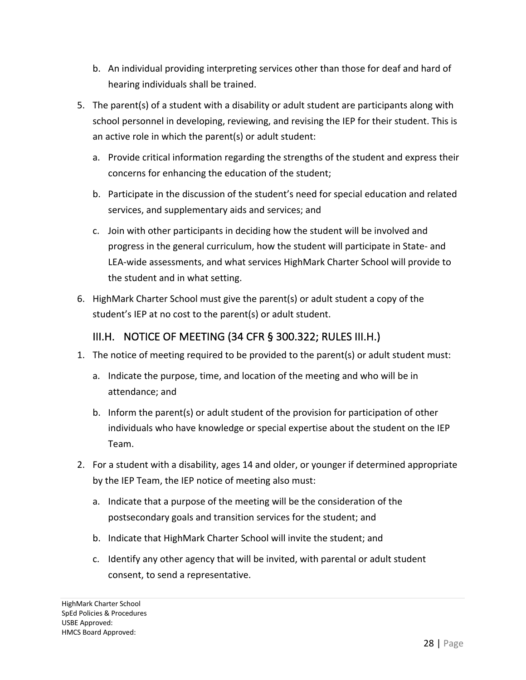- b. An individual providing interpreting services other than those for deaf and hard of hearing individuals shall be trained.
- 5. The parent(s) of a student with a disability or adult student are participants along with school personnel in developing, reviewing, and revising the IEP for their student. This is an active role in which the parent(s) or adult student:
	- a. Provide critical information regarding the strengths of the student and express their concerns for enhancing the education of the student;
	- b. Participate in the discussion of the student's need for special education and related services, and supplementary aids and services; and
	- c. Join with other participants in deciding how the student will be involved and progress in the general curriculum, how the student will participate in State- and LEA-wide assessments, and what services HighMark Charter School will provide to the student and in what setting.
- 6. HighMark Charter School must give the parent(s) or adult student a copy of the student's IEP at no cost to the parent(s) or adult student.

#### III.H. NOTICE OF MEETING (34 CFR § 300.322; RULES III.H.)

- 1. The notice of meeting required to be provided to the parent(s) or adult student must:
	- a. Indicate the purpose, time, and location of the meeting and who will be in attendance; and
	- b. Inform the parent(s) or adult student of the provision for participation of other individuals who have knowledge or special expertise about the student on the IEP Team.
- 2. For a student with a disability, ages 14 and older, or younger if determined appropriate by the IEP Team, the IEP notice of meeting also must:
	- a. Indicate that a purpose of the meeting will be the consideration of the postsecondary goals and transition services for the student; and
	- b. Indicate that HighMark Charter School will invite the student; and
	- c. Identify any other agency that will be invited, with parental or adult student consent, to send a representative.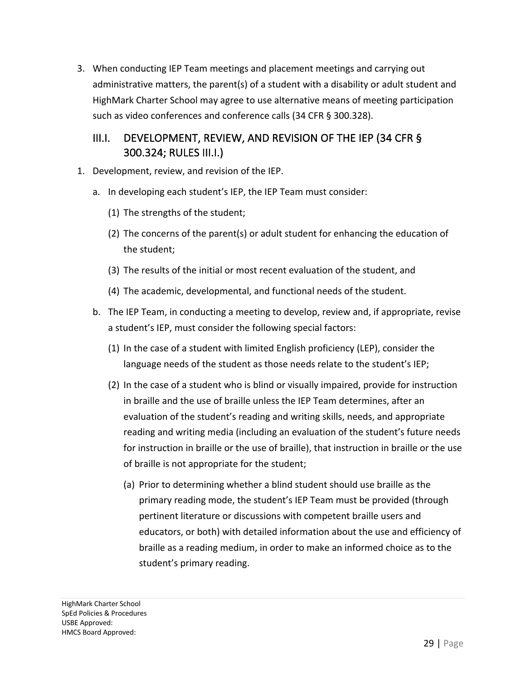3. When conducting IEP Team meetings and placement meetings and carrying out administrative matters, the parent(s) of a student with a disability or adult student and HighMark Charter School may agree to use alternative means of meeting participation such as video conferences and conference calls (34 CFR § 300.328).

#### III.I. DEVELOPMENT, REVIEW, AND REVISION OF THE IEP (34 CFR § 300.324; RULES III.I.)

- 1. Development, review, and revision of the IEP.
	- a. In developing each student's IEP, the IEP Team must consider:
		- (1) The strengths of the student;
		- (2) The concerns of the parent(s) or adult student for enhancing the education of the student;
		- (3) The results of the initial or most recent evaluation of the student, and
		- (4) The academic, developmental, and functional needs of the student.
	- b. The IEP Team, in conducting a meeting to develop, review and, if appropriate, revise a student's IEP, must consider the following special factors:
		- (1) In the case of a student with limited English proficiency (LEP), consider the language needs of the student as those needs relate to the student's IEP;
		- (2) In the case of a student who is blind or visually impaired, provide for instruction in braille and the use of braille unless the IEP Team determines, after an evaluation of the student's reading and writing skills, needs, and appropriate reading and writing media (including an evaluation of the student's future needs for instruction in braille or the use of braille), that instruction in braille or the use of braille is not appropriate for the student;
			- (a) Prior to determining whether a blind student should use braille as the primary reading mode, the student's IEP Team must be provided (through pertinent literature or discussions with competent braille users and educators, or both) with detailed information about the use and efficiency of braille as a reading medium, in order to make an informed choice as to the student's primary reading.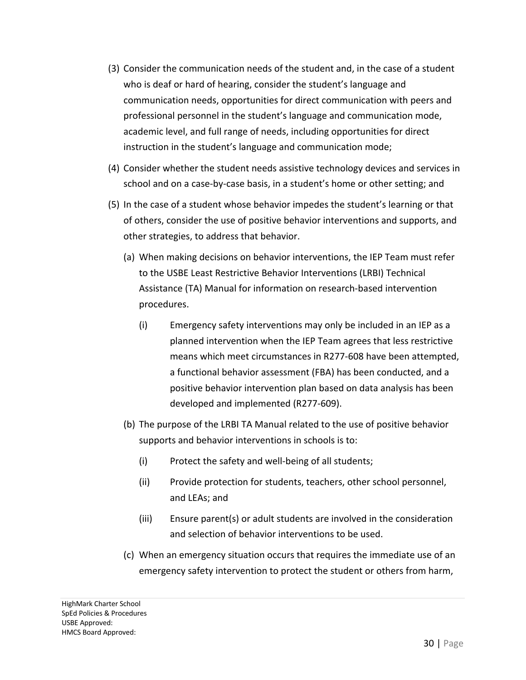- (3) Consider the communication needs of the student and, in the case of a student who is deaf or hard of hearing, consider the student's language and communication needs, opportunities for direct communication with peers and professional personnel in the student's language and communication mode, academic level, and full range of needs, including opportunities for direct instruction in the student's language and communication mode;
- (4) Consider whether the student needs assistive technology devices and services in school and on a case-by-case basis, in a student's home or other setting; and
- (5) In the case of a student whose behavior impedes the student's learning or that of others, consider the use of positive behavior interventions and supports, and other strategies, to address that behavior.
	- (a) When making decisions on behavior interventions, the IEP Team must refer to the USBE Least Restrictive Behavior Interventions (LRBI) Technical Assistance (TA) Manual for information on research-based intervention procedures.
		- (i) Emergency safety interventions may only be included in an IEP as a planned intervention when the IEP Team agrees that less restrictive means which meet circumstances in R277-608 have been attempted, a functional behavior assessment (FBA) has been conducted, and a positive behavior intervention plan based on data analysis has been developed and implemented (R277-609).
	- (b) The purpose of the LRBI TA Manual related to the use of positive behavior supports and behavior interventions in schools is to:
		- (i) Protect the safety and well-being of all students;
		- (ii) Provide protection for students, teachers, other school personnel, and LEAs; and
		- (iii) Ensure parent(s) or adult students are involved in the consideration and selection of behavior interventions to be used.
	- (c) When an emergency situation occurs that requires the immediate use of an emergency safety intervention to protect the student or others from harm,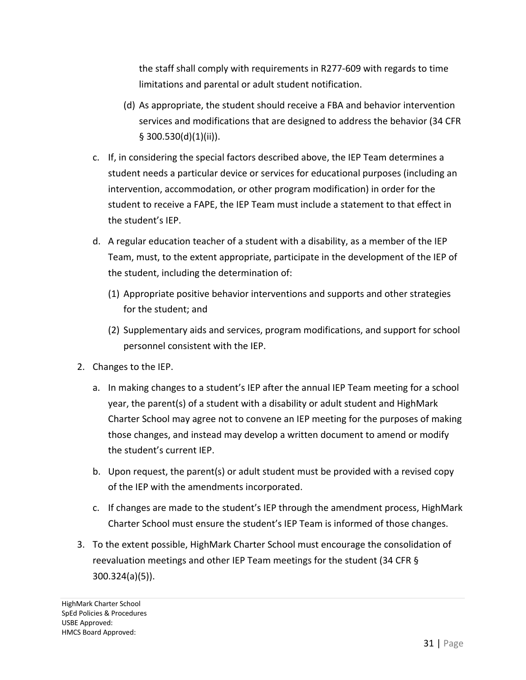the staff shall comply with requirements in R277-609 with regards to time limitations and parental or adult student notification.

- (d) As appropriate, the student should receive a FBA and behavior intervention services and modifications that are designed to address the behavior (34 CFR § 300.530(d)(1)(ii)).
- c. If, in considering the special factors described above, the IEP Team determines a student needs a particular device or services for educational purposes (including an intervention, accommodation, or other program modification) in order for the student to receive a FAPE, the IEP Team must include a statement to that effect in the student's IEP.
- d. A regular education teacher of a student with a disability, as a member of the IEP Team, must, to the extent appropriate, participate in the development of the IEP of the student, including the determination of:
	- (1) Appropriate positive behavior interventions and supports and other strategies for the student; and
	- (2) Supplementary aids and services, program modifications, and support for school personnel consistent with the IEP.
- 2. Changes to the IEP.
	- a. In making changes to a student's IEP after the annual IEP Team meeting for a school year, the parent(s) of a student with a disability or adult student and HighMark Charter School may agree not to convene an IEP meeting for the purposes of making those changes, and instead may develop a written document to amend or modify the student's current IEP.
	- b. Upon request, the parent(s) or adult student must be provided with a revised copy of the IEP with the amendments incorporated.
	- c. If changes are made to the student's IEP through the amendment process, HighMark Charter School must ensure the student's IEP Team is informed of those changes.
- 3. To the extent possible, HighMark Charter School must encourage the consolidation of reevaluation meetings and other IEP Team meetings for the student (34 CFR § 300.324(a)(5)).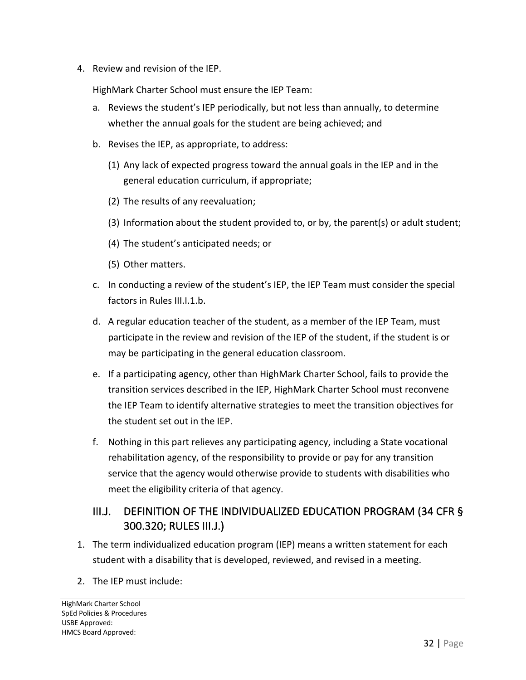4. Review and revision of the IEP.

HighMark Charter School must ensure the IEP Team:

- a. Reviews the student's IEP periodically, but not less than annually, to determine whether the annual goals for the student are being achieved; and
- b. Revises the IEP, as appropriate, to address:
	- (1) Any lack of expected progress toward the annual goals in the IEP and in the general education curriculum, if appropriate;
	- (2) The results of any reevaluation;
	- (3) Information about the student provided to, or by, the parent(s) or adult student;
	- (4) The student's anticipated needs; or
	- (5) Other matters.
- c. In conducting a review of the student's IEP, the IEP Team must consider the special factors in Rules III.I.1.b.
- d. A regular education teacher of the student, as a member of the IEP Team, must participate in the review and revision of the IEP of the student, if the student is or may be participating in the general education classroom.
- e. If a participating agency, other than HighMark Charter School, fails to provide the transition services described in the IEP, HighMark Charter School must reconvene the IEP Team to identify alternative strategies to meet the transition objectives for the student set out in the IEP.
- f. Nothing in this part relieves any participating agency, including a State vocational rehabilitation agency, of the responsibility to provide or pay for any transition service that the agency would otherwise provide to students with disabilities who meet the eligibility criteria of that agency.

## III.J. DEFINITION OF THE INDIVIDUALIZED EDUCATION PROGRAM (34 CFR § 300.320; RULES III.J.)

- 1. The term individualized education program (IEP) means a written statement for each student with a disability that is developed, reviewed, and revised in a meeting.
- 2. The IEP must include: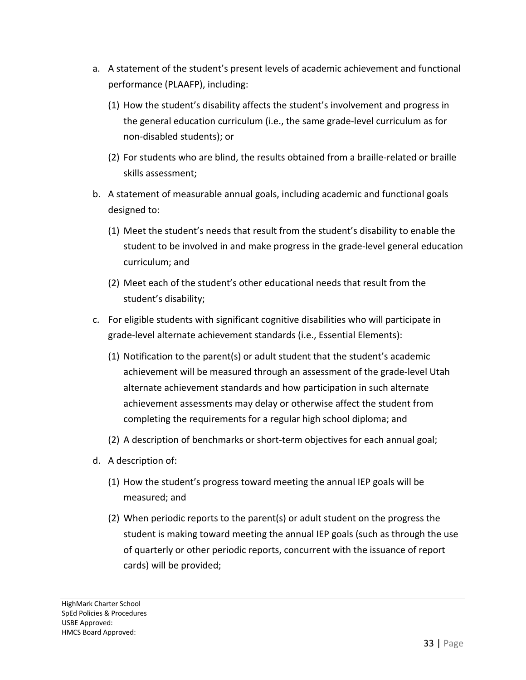- a. A statement of the student's present levels of academic achievement and functional performance (PLAAFP), including:
	- (1) How the student's disability affects the student's involvement and progress in the general education curriculum (i.e., the same grade-level curriculum as for non-disabled students); or
	- (2) For students who are blind, the results obtained from a braille-related or braille skills assessment;
- b. A statement of measurable annual goals, including academic and functional goals designed to:
	- (1) Meet the student's needs that result from the student's disability to enable the student to be involved in and make progress in the grade-level general education curriculum; and
	- (2) Meet each of the student's other educational needs that result from the student's disability;
- c. For eligible students with significant cognitive disabilities who will participate in grade-level alternate achievement standards (i.e., Essential Elements):
	- (1) Notification to the parent(s) or adult student that the student's academic achievement will be measured through an assessment of the grade-level Utah alternate achievement standards and how participation in such alternate achievement assessments may delay or otherwise affect the student from completing the requirements for a regular high school diploma; and
	- (2) A description of benchmarks or short-term objectives for each annual goal;
- d. A description of:
	- (1) How the student's progress toward meeting the annual IEP goals will be measured; and
	- (2) When periodic reports to the parent(s) or adult student on the progress the student is making toward meeting the annual IEP goals (such as through the use of quarterly or other periodic reports, concurrent with the issuance of report cards) will be provided;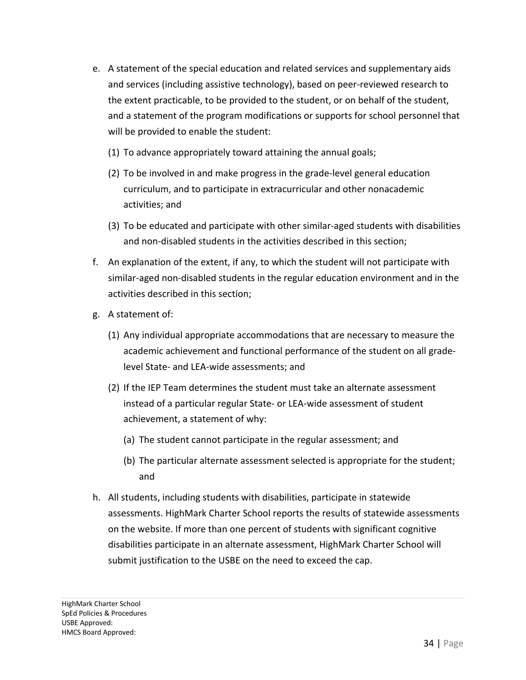- e. A statement of the special education and related services and supplementary aids and services (including assistive technology), based on peer-reviewed research to the extent practicable, to be provided to the student, or on behalf of the student, and a statement of the program modifications or supports for school personnel that will be provided to enable the student:
	- (1) To advance appropriately toward attaining the annual goals;
	- (2) To be involved in and make progress in the grade-level general education curriculum, and to participate in extracurricular and other nonacademic activities; and
	- (3) To be educated and participate with other similar-aged students with disabilities and non-disabled students in the activities described in this section;
- f. An explanation of the extent, if any, to which the student will not participate with similar-aged non-disabled students in the regular education environment and in the activities described in this section;
- g. A statement of:
	- (1) Any individual appropriate accommodations that are necessary to measure the academic achievement and functional performance of the student on all gradelevel State- and LEA-wide assessments; and
	- (2) If the IEP Team determines the student must take an alternate assessment instead of a particular regular State- or LEA-wide assessment of student achievement, a statement of why:
		- (a) The student cannot participate in the regular assessment; and
		- (b) The particular alternate assessment selected is appropriate for the student; and
- h. All students, including students with disabilities, participate in statewide assessments. HighMark Charter School reports the results of statewide assessments on the website. If more than one percent of students with significant cognitive disabilities participate in an alternate assessment, HighMark Charter School will submit justification to the USBE on the need to exceed the cap.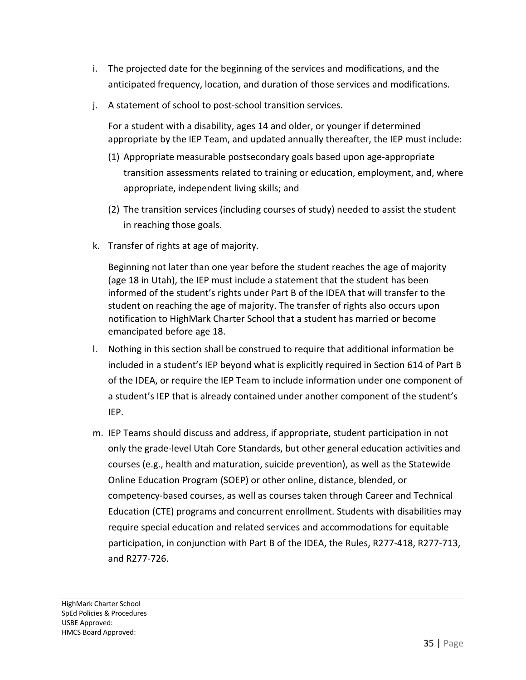- i. The projected date for the beginning of the services and modifications, and the anticipated frequency, location, and duration of those services and modifications.
- j. A statement of school to post-school transition services.

For a student with a disability, ages 14 and older, or younger if determined appropriate by the IEP Team, and updated annually thereafter, the IEP must include:

- (1) Appropriate measurable postsecondary goals based upon age-appropriate transition assessments related to training or education, employment, and, where appropriate, independent living skills; and
- (2) The transition services (including courses of study) needed to assist the student in reaching those goals.
- k. Transfer of rights at age of majority.

Beginning not later than one year before the student reaches the age of majority (age 18 in Utah), the IEP must include a statement that the student has been informed of the student's rights under Part B of the IDEA that will transfer to the student on reaching the age of majority. The transfer of rights also occurs upon notification to HighMark Charter School that a student has married or become emancipated before age 18.

- l. Nothing in this section shall be construed to require that additional information be included in a student's IEP beyond what is explicitly required in Section 614 of Part B of the IDEA, or require the IEP Team to include information under one component of a student's IEP that is already contained under another component of the student's IEP.
- m. IEP Teams should discuss and address, if appropriate, student participation in not only the grade-level Utah Core Standards, but other general education activities and courses (e.g., health and maturation, suicide prevention), as well as the Statewide Online Education Program (SOEP) or other online, distance, blended, or competency-based courses, as well as courses taken through Career and Technical Education (CTE) programs and concurrent enrollment. Students with disabilities may require special education and related services and accommodations for equitable participation, in conjunction with Part B of the IDEA, the Rules, R277-418, R277-713, and R277-726.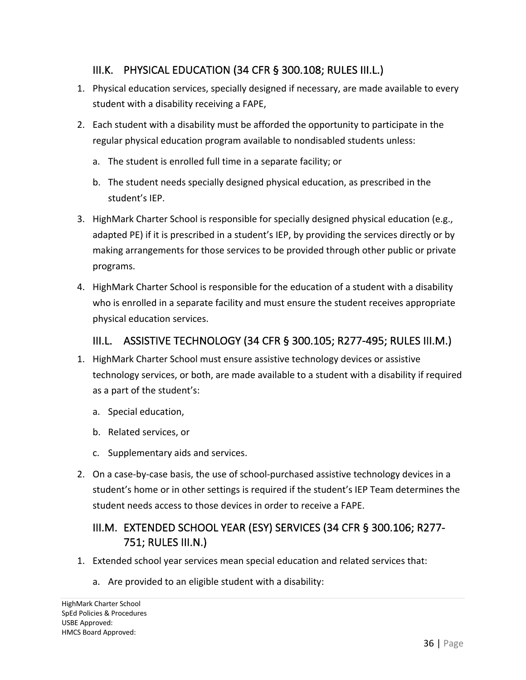### III.K. PHYSICAL EDUCATION (34 CFR § 300.108; RULES III.L.)

- 1. Physical education services, specially designed if necessary, are made available to every student with a disability receiving a FAPE,
- 2. Each student with a disability must be afforded the opportunity to participate in the regular physical education program available to nondisabled students unless:
	- a. The student is enrolled full time in a separate facility; or
	- b. The student needs specially designed physical education, as prescribed in the student's IEP.
- 3. HighMark Charter School is responsible for specially designed physical education (e.g., adapted PE) if it is prescribed in a student's IEP, by providing the services directly or by making arrangements for those services to be provided through other public or private programs.
- 4. HighMark Charter School is responsible for the education of a student with a disability who is enrolled in a separate facility and must ensure the student receives appropriate physical education services.

#### III.L. ASSISTIVE TECHNOLOGY (34 CFR § 300.105; R277-495; RULES III.M.)

- 1. HighMark Charter School must ensure assistive technology devices or assistive technology services, or both, are made available to a student with a disability if required as a part of the student's:
	- a. Special education,
	- b. Related services, or
	- c. Supplementary aids and services.
- 2. On a case-by-case basis, the use of school-purchased assistive technology devices in a student's home or in other settings is required if the student's IEP Team determines the student needs access to those devices in order to receive a FAPE.

## III.M. EXTENDED SCHOOL YEAR (ESY) SERVICES (34 CFR § 300.106; R277- 751; RULES III.N.)

- 1. Extended school year services mean special education and related services that:
	- a. Are provided to an eligible student with a disability: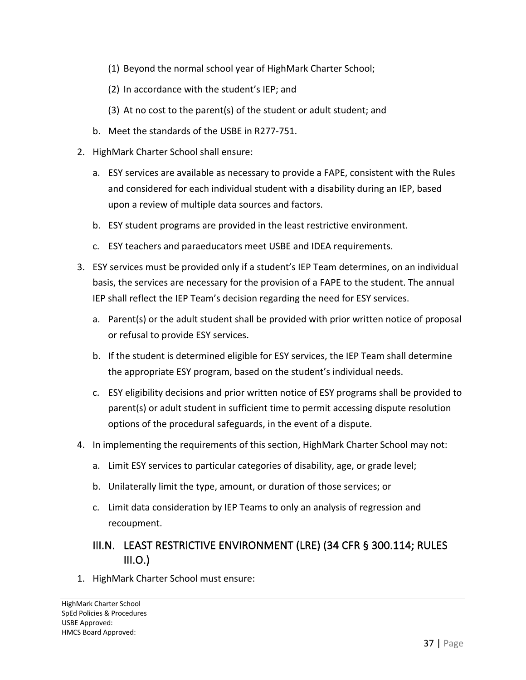- (1) Beyond the normal school year of HighMark Charter School;
- (2) In accordance with the student's IEP; and
- (3) At no cost to the parent(s) of the student or adult student; and
- b. Meet the standards of the USBE in R277-751.
- 2. HighMark Charter School shall ensure:
	- a. ESY services are available as necessary to provide a FAPE, consistent with the Rules and considered for each individual student with a disability during an IEP, based upon a review of multiple data sources and factors.
	- b. ESY student programs are provided in the least restrictive environment.
	- c. ESY teachers and paraeducators meet USBE and IDEA requirements.
- 3. ESY services must be provided only if a student's IEP Team determines, on an individual basis, the services are necessary for the provision of a FAPE to the student. The annual IEP shall reflect the IEP Team's decision regarding the need for ESY services.
	- a. Parent(s) or the adult student shall be provided with prior written notice of proposal or refusal to provide ESY services.
	- b. If the student is determined eligible for ESY services, the IEP Team shall determine the appropriate ESY program, based on the student's individual needs.
	- c. ESY eligibility decisions and prior written notice of ESY programs shall be provided to parent(s) or adult student in sufficient time to permit accessing dispute resolution options of the procedural safeguards, in the event of a dispute.
- 4. In implementing the requirements of this section, HighMark Charter School may not:
	- a. Limit ESY services to particular categories of disability, age, or grade level;
	- b. Unilaterally limit the type, amount, or duration of those services; or
	- c. Limit data consideration by IEP Teams to only an analysis of regression and recoupment.

## III.N. LEAST RESTRICTIVE ENVIRONMENT (LRE) (34 CFR § 300.114; RULES  $III.O.$ )

1. HighMark Charter School must ensure: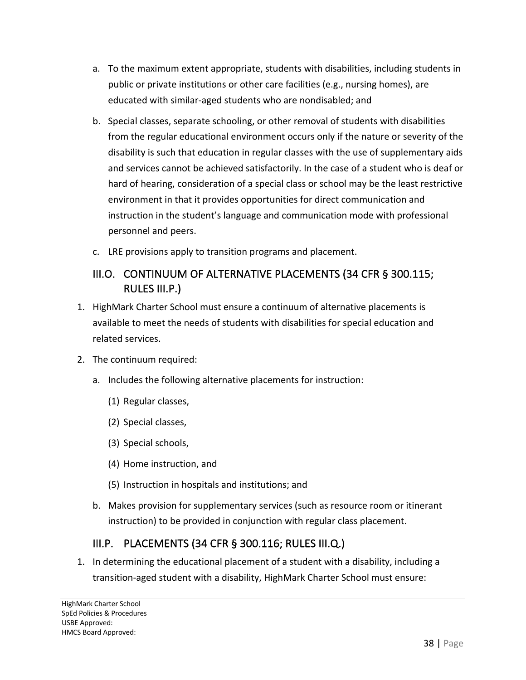- a. To the maximum extent appropriate, students with disabilities, including students in public or private institutions or other care facilities (e.g., nursing homes), are educated with similar-aged students who are nondisabled; and
- b. Special classes, separate schooling, or other removal of students with disabilities from the regular educational environment occurs only if the nature or severity of the disability is such that education in regular classes with the use of supplementary aids and services cannot be achieved satisfactorily. In the case of a student who is deaf or hard of hearing, consideration of a special class or school may be the least restrictive environment in that it provides opportunities for direct communication and instruction in the student's language and communication mode with professional personnel and peers.
- c. LRE provisions apply to transition programs and placement.

## III.O. CONTINUUM OF ALTERNATIVE PLACEMENTS (34 CFR § 300.115; RULES III.P.)

- 1. HighMark Charter School must ensure a continuum of alternative placements is available to meet the needs of students with disabilities for special education and related services.
- 2. The continuum required:
	- a. Includes the following alternative placements for instruction:
		- (1) Regular classes,
		- (2) Special classes,
		- (3) Special schools,
		- (4) Home instruction, and
		- (5) Instruction in hospitals and institutions; and
	- b. Makes provision for supplementary services (such as resource room or itinerant instruction) to be provided in conjunction with regular class placement.

## III.P. PLACEMENTS (34 CFR § 300.116; RULES III.Q.)

1. In determining the educational placement of a student with a disability, including a transition-aged student with a disability, HighMark Charter School must ensure: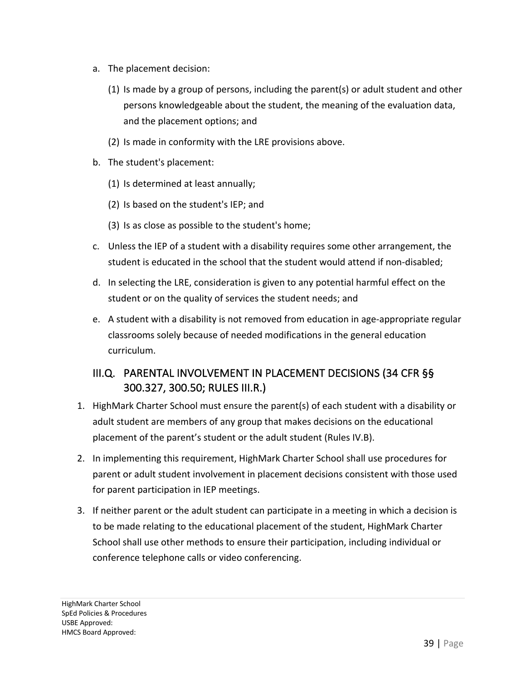- a. The placement decision:
	- (1) Is made by a group of persons, including the parent(s) or adult student and other persons knowledgeable about the student, the meaning of the evaluation data, and the placement options; and
	- (2) Is made in conformity with the LRE provisions above.
- b. The student's placement:
	- (1) Is determined at least annually;
	- (2) Is based on the student's IEP; and
	- (3) Is as close as possible to the student's home;
- c. Unless the IEP of a student with a disability requires some other arrangement, the student is educated in the school that the student would attend if non-disabled;
- d. In selecting the LRE, consideration is given to any potential harmful effect on the student or on the quality of services the student needs; and
- e. A student with a disability is not removed from education in age-appropriate regular classrooms solely because of needed modifications in the general education curriculum.

## III.Q. PARENTAL INVOLVEMENT IN PLACEMENT DECISIONS (34 CFR §§ 300.327, 300.50; RULES III.R.)

- 1. HighMark Charter School must ensure the parent(s) of each student with a disability or adult student are members of any group that makes decisions on the educational placement of the parent's student or the adult student (Rules IV.B).
- 2. In implementing this requirement, HighMark Charter School shall use procedures for parent or adult student involvement in placement decisions consistent with those used for parent participation in IEP meetings.
- 3. If neither parent or the adult student can participate in a meeting in which a decision is to be made relating to the educational placement of the student, HighMark Charter School shall use other methods to ensure their participation, including individual or conference telephone calls or video conferencing.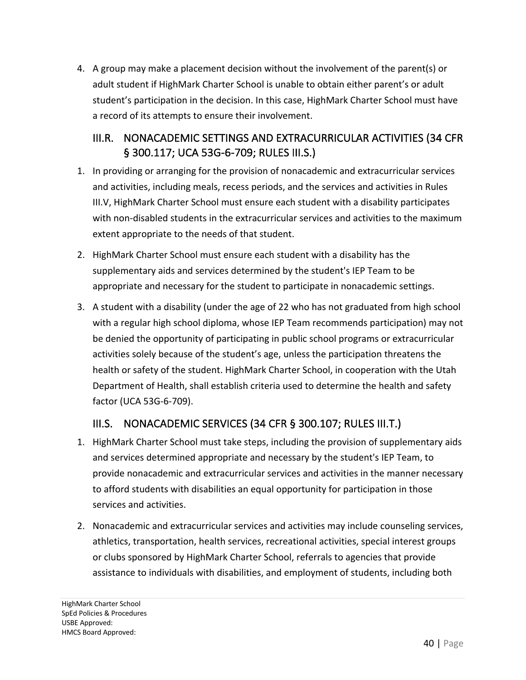4. A group may make a placement decision without the involvement of the parent(s) or adult student if HighMark Charter School is unable to obtain either parent's or adult student's participation in the decision. In this case, HighMark Charter School must have a record of its attempts to ensure their involvement.

## III.R. NONACADEMIC SETTINGS AND EXTRACURRICULAR ACTIVITIES (34 CFR § 300.117; UCA 53G-6-709; RULES III.S.)

- 1. In providing or arranging for the provision of nonacademic and extracurricular services and activities, including meals, recess periods, and the services and activities in Rules III.V, HighMark Charter School must ensure each student with a disability participates with non-disabled students in the extracurricular services and activities to the maximum extent appropriate to the needs of that student.
- 2. HighMark Charter School must ensure each student with a disability has the supplementary aids and services determined by the student's IEP Team to be appropriate and necessary for the student to participate in nonacademic settings.
- 3. A student with a disability (under the age of 22 who has not graduated from high school with a regular high school diploma, whose IEP Team recommends participation) may not be denied the opportunity of participating in public school programs or extracurricular activities solely because of the student's age, unless the participation threatens the health or safety of the student. HighMark Charter School, in cooperation with the Utah Department of Health, shall establish criteria used to determine the health and safety factor (UCA 53G-6-709).

## III.S. NONACADEMIC SERVICES (34 CFR § 300.107; RULES III.T.)

- 1. HighMark Charter School must take steps, including the provision of supplementary aids and services determined appropriate and necessary by the student's IEP Team, to provide nonacademic and extracurricular services and activities in the manner necessary to afford students with disabilities an equal opportunity for participation in those services and activities.
- 2. Nonacademic and extracurricular services and activities may include counseling services, athletics, transportation, health services, recreational activities, special interest groups or clubs sponsored by HighMark Charter School, referrals to agencies that provide assistance to individuals with disabilities, and employment of students, including both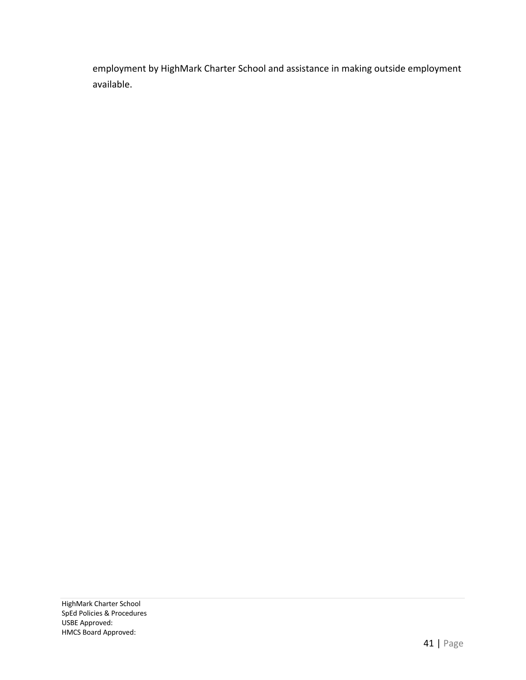employment by HighMark Charter School and assistance in making outside employment available.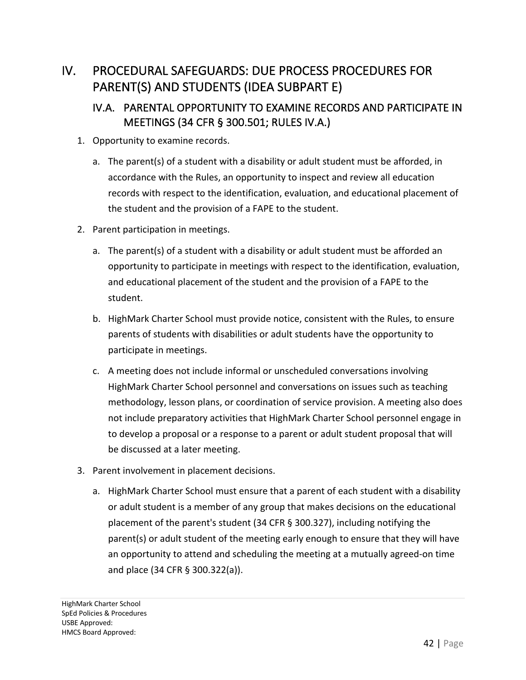# IV. PROCEDURAL SAFEGUARDS: DUE PROCESS PROCEDURES FOR PARENT(S) AND STUDENTS (IDEA SUBPART E)

# IV.A. PARENTAL OPPORTUNITY TO EXAMINE RECORDS AND PARTICIPATE IN MEETINGS (34 CFR § 300.501; RULES IV.A.)

- 1. Opportunity to examine records.
	- a. The parent(s) of a student with a disability or adult student must be afforded, in accordance with the Rules, an opportunity to inspect and review all education records with respect to the identification, evaluation, and educational placement of the student and the provision of a FAPE to the student.
- 2. Parent participation in meetings.
	- a. The parent(s) of a student with a disability or adult student must be afforded an opportunity to participate in meetings with respect to the identification, evaluation, and educational placement of the student and the provision of a FAPE to the student.
	- b. HighMark Charter School must provide notice, consistent with the Rules, to ensure parents of students with disabilities or adult students have the opportunity to participate in meetings.
	- c. A meeting does not include informal or unscheduled conversations involving HighMark Charter School personnel and conversations on issues such as teaching methodology, lesson plans, or coordination of service provision. A meeting also does not include preparatory activities that HighMark Charter School personnel engage in to develop a proposal or a response to a parent or adult student proposal that will be discussed at a later meeting.
- 3. Parent involvement in placement decisions.
	- a. HighMark Charter School must ensure that a parent of each student with a disability or adult student is a member of any group that makes decisions on the educational placement of the parent's student (34 CFR § 300.327), including notifying the parent(s) or adult student of the meeting early enough to ensure that they will have an opportunity to attend and scheduling the meeting at a mutually agreed-on time and place (34 CFR § 300.322(a)).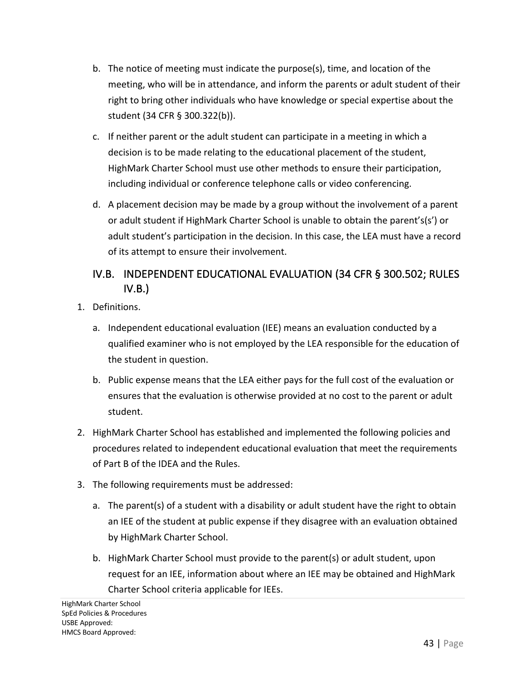- b. The notice of meeting must indicate the purpose(s), time, and location of the meeting, who will be in attendance, and inform the parents or adult student of their right to bring other individuals who have knowledge or special expertise about the student (34 CFR § 300.322(b)).
- c. If neither parent or the adult student can participate in a meeting in which a decision is to be made relating to the educational placement of the student, HighMark Charter School must use other methods to ensure their participation, including individual or conference telephone calls or video conferencing.
- d. A placement decision may be made by a group without the involvement of a parent or adult student if HighMark Charter School is unable to obtain the parent's(s') or adult student's participation in the decision. In this case, the LEA must have a record of its attempt to ensure their involvement.

# IV.B. INDEPENDENT EDUCATIONAL EVALUATION (34 CFR § 300.502; RULES  $IV.B.$

- 1. Definitions.
	- a. Independent educational evaluation (IEE) means an evaluation conducted by a qualified examiner who is not employed by the LEA responsible for the education of the student in question.
	- b. Public expense means that the LEA either pays for the full cost of the evaluation or ensures that the evaluation is otherwise provided at no cost to the parent or adult student.
- 2. HighMark Charter School has established and implemented the following policies and procedures related to independent educational evaluation that meet the requirements of Part B of the IDEA and the Rules.
- 3. The following requirements must be addressed:
	- a. The parent(s) of a student with a disability or adult student have the right to obtain an IEE of the student at public expense if they disagree with an evaluation obtained by HighMark Charter School.
	- b. HighMark Charter School must provide to the parent(s) or adult student, upon request for an IEE, information about where an IEE may be obtained and HighMark Charter School criteria applicable for IEEs.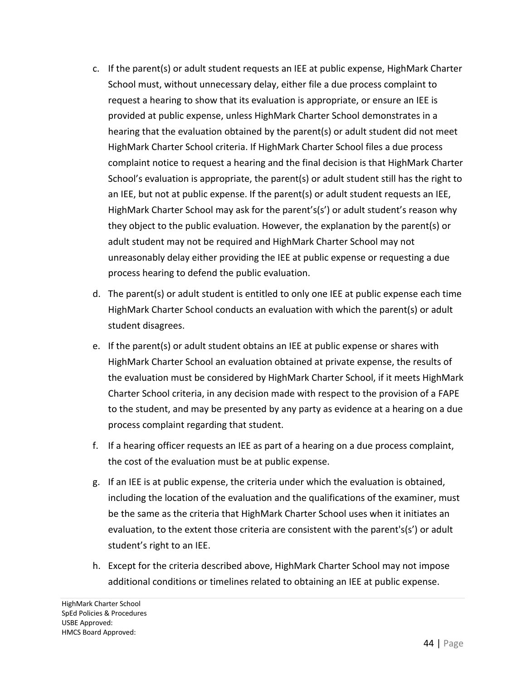- c. If the parent(s) or adult student requests an IEE at public expense, HighMark Charter School must, without unnecessary delay, either file a due process complaint to request a hearing to show that its evaluation is appropriate, or ensure an IEE is provided at public expense, unless HighMark Charter School demonstrates in a hearing that the evaluation obtained by the parent(s) or adult student did not meet HighMark Charter School criteria. If HighMark Charter School files a due process complaint notice to request a hearing and the final decision is that HighMark Charter School's evaluation is appropriate, the parent(s) or adult student still has the right to an IEE, but not at public expense. If the parent(s) or adult student requests an IEE, HighMark Charter School may ask for the parent's(s') or adult student's reason why they object to the public evaluation. However, the explanation by the parent(s) or adult student may not be required and HighMark Charter School may not unreasonably delay either providing the IEE at public expense or requesting a due process hearing to defend the public evaluation.
- d. The parent(s) or adult student is entitled to only one IEE at public expense each time HighMark Charter School conducts an evaluation with which the parent(s) or adult student disagrees.
- e. If the parent(s) or adult student obtains an IEE at public expense or shares with HighMark Charter School an evaluation obtained at private expense, the results of the evaluation must be considered by HighMark Charter School, if it meets HighMark Charter School criteria, in any decision made with respect to the provision of a FAPE to the student, and may be presented by any party as evidence at a hearing on a due process complaint regarding that student.
- f. If a hearing officer requests an IEE as part of a hearing on a due process complaint, the cost of the evaluation must be at public expense.
- g. If an IEE is at public expense, the criteria under which the evaluation is obtained, including the location of the evaluation and the qualifications of the examiner, must be the same as the criteria that HighMark Charter School uses when it initiates an evaluation, to the extent those criteria are consistent with the parent's(s') or adult student's right to an IEE.
- h. Except for the criteria described above, HighMark Charter School may not impose additional conditions or timelines related to obtaining an IEE at public expense.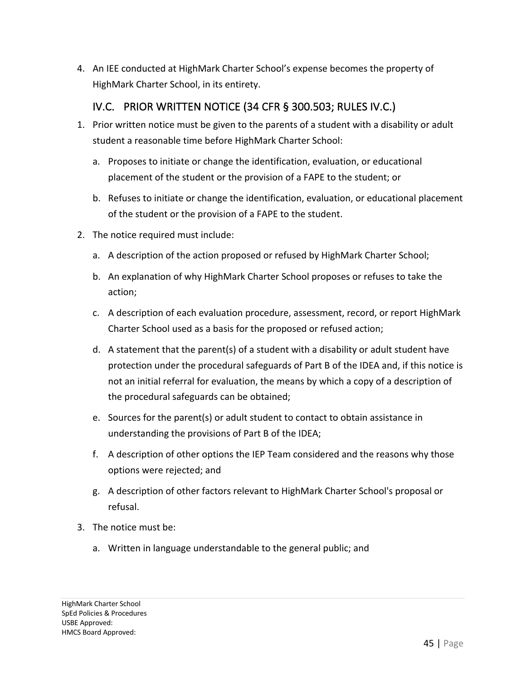4. An IEE conducted at HighMark Charter School's expense becomes the property of HighMark Charter School, in its entirety.

#### IV.C. PRIOR WRITTEN NOTICE (34 CFR § 300.503; RULES IV.C.)

- 1. Prior written notice must be given to the parents of a student with a disability or adult student a reasonable time before HighMark Charter School:
	- a. Proposes to initiate or change the identification, evaluation, or educational placement of the student or the provision of a FAPE to the student; or
	- b. Refuses to initiate or change the identification, evaluation, or educational placement of the student or the provision of a FAPE to the student.
- 2. The notice required must include:
	- a. A description of the action proposed or refused by HighMark Charter School;
	- b. An explanation of why HighMark Charter School proposes or refuses to take the action;
	- c. A description of each evaluation procedure, assessment, record, or report HighMark Charter School used as a basis for the proposed or refused action;
	- d. A statement that the parent(s) of a student with a disability or adult student have protection under the procedural safeguards of Part B of the IDEA and, if this notice is not an initial referral for evaluation, the means by which a copy of a description of the procedural safeguards can be obtained;
	- e. Sources for the parent(s) or adult student to contact to obtain assistance in understanding the provisions of Part B of the IDEA;
	- f. A description of other options the IEP Team considered and the reasons why those options were rejected; and
	- g. A description of other factors relevant to HighMark Charter School's proposal or refusal.
- 3. The notice must be:
	- a. Written in language understandable to the general public; and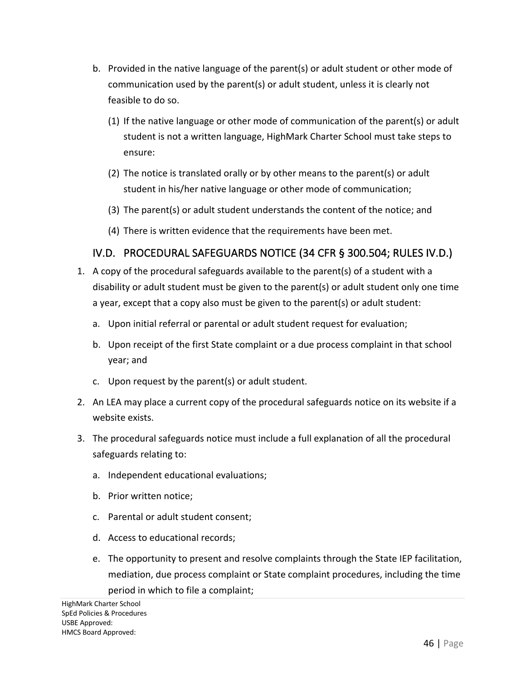- b. Provided in the native language of the parent(s) or adult student or other mode of communication used by the parent(s) or adult student, unless it is clearly not feasible to do so.
	- (1) If the native language or other mode of communication of the parent(s) or adult student is not a written language, HighMark Charter School must take steps to ensure:
	- (2) The notice is translated orally or by other means to the parent(s) or adult student in his/her native language or other mode of communication;
	- (3) The parent(s) or adult student understands the content of the notice; and
	- (4) There is written evidence that the requirements have been met.

#### IV.D. PROCEDURAL SAFEGUARDS NOTICE (34 CFR § 300.504; RULES IV.D.)

- 1. A copy of the procedural safeguards available to the parent(s) of a student with a disability or adult student must be given to the parent(s) or adult student only one time a year, except that a copy also must be given to the parent(s) or adult student:
	- a. Upon initial referral or parental or adult student request for evaluation;
	- b. Upon receipt of the first State complaint or a due process complaint in that school year; and
	- c. Upon request by the parent(s) or adult student.
- 2. An LEA may place a current copy of the procedural safeguards notice on its website if a website exists.
- 3. The procedural safeguards notice must include a full explanation of all the procedural safeguards relating to:
	- a. Independent educational evaluations;
	- b. Prior written notice;
	- c. Parental or adult student consent;
	- d. Access to educational records;
	- e. The opportunity to present and resolve complaints through the State IEP facilitation, mediation, due process complaint or State complaint procedures, including the time period in which to file a complaint;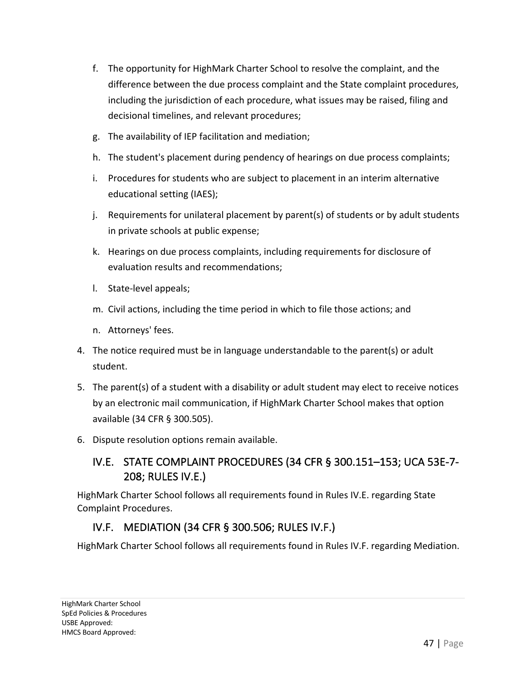- f. The opportunity for HighMark Charter School to resolve the complaint, and the difference between the due process complaint and the State complaint procedures, including the jurisdiction of each procedure, what issues may be raised, filing and decisional timelines, and relevant procedures;
- g. The availability of IEP facilitation and mediation;
- h. The student's placement during pendency of hearings on due process complaints;
- i. Procedures for students who are subject to placement in an interim alternative educational setting (IAES);
- j. Requirements for unilateral placement by parent(s) of students or by adult students in private schools at public expense;
- k. Hearings on due process complaints, including requirements for disclosure of evaluation results and recommendations;
- l. State-level appeals;
- m. Civil actions, including the time period in which to file those actions; and
- n. Attorneys' fees.
- 4. The notice required must be in language understandable to the parent(s) or adult student.
- 5. The parent(s) of a student with a disability or adult student may elect to receive notices by an electronic mail communication, if HighMark Charter School makes that option available (34 CFR § 300.505).
- 6. Dispute resolution options remain available.

# IV.E. STATE COMPLAINT PROCEDURES (34 CFR § 300.151–153; UCA 53E-7- 208; RULES IV.E.)

HighMark Charter School follows all requirements found in Rules IV.E. regarding State Complaint Procedures.

# IV.F. MEDIATION (34 CFR § 300.506; RULES IV.F.)

HighMark Charter School follows all requirements found in Rules IV.F. regarding Mediation.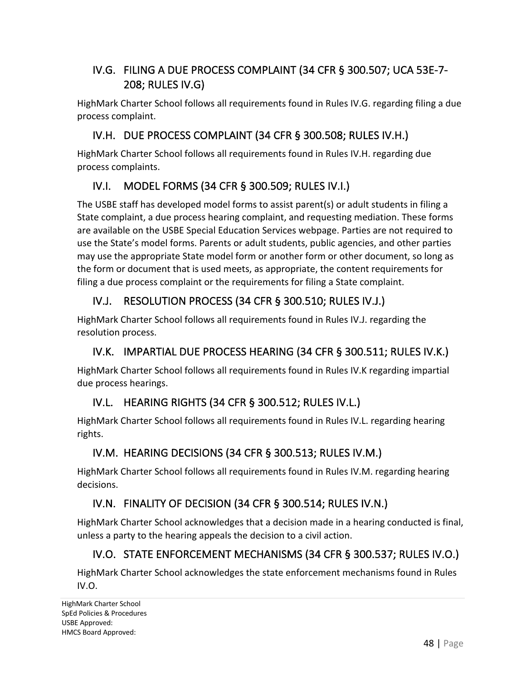## IV.G. FILING A DUE PROCESS COMPLAINT (34 CFR § 300.507; UCA 53E-7- 208; RULES IV.G)

HighMark Charter School follows all requirements found in Rules IV.G. regarding filing a due process complaint.

#### IV.H. DUE PROCESS COMPLAINT (34 CFR § 300.508; RULES IV.H.)

HighMark Charter School follows all requirements found in Rules IV.H. regarding due process complaints.

## IV.I. MODEL FORMS (34 CFR § 300.509; RULES IV.I.)

The USBE staff has developed model forms to assist parent(s) or adult students in filing a State complaint, a due process hearing complaint, and requesting mediation. These forms are available on the USBE Special Education Services webpage. Parties are not required to use the State's model forms. Parents or adult students, public agencies, and other parties may use the appropriate State model form or another form or other document, so long as the form or document that is used meets, as appropriate, the content requirements for filing a due process complaint or the requirements for filing a State complaint.

# IV.J. RESOLUTION PROCESS (34 CFR § 300.510; RULES IV.J.)

HighMark Charter School follows all requirements found in Rules IV.J. regarding the resolution process.

## IV.K. IMPARTIAL DUE PROCESS HEARING (34 CFR § 300.511; RULES IV.K.)

HighMark Charter School follows all requirements found in Rules IV.K regarding impartial due process hearings.

## IV.L. HEARING RIGHTS (34 CFR § 300.512; RULES IV.L.)

HighMark Charter School follows all requirements found in Rules IV.L. regarding hearing rights.

## IV.M. HEARING DECISIONS (34 CFR § 300.513; RULES IV.M.)

HighMark Charter School follows all requirements found in Rules IV.M. regarding hearing decisions.

#### IV.N. FINALITY OF DECISION (34 CFR § 300.514; RULES IV.N.)

HighMark Charter School acknowledges that a decision made in a hearing conducted is final, unless a party to the hearing appeals the decision to a civil action.

## IV.O. STATE ENFORCEMENT MECHANISMS (34 CFR § 300.537; RULES IV.O.)

HighMark Charter School acknowledges the state enforcement mechanisms found in Rules IV.O.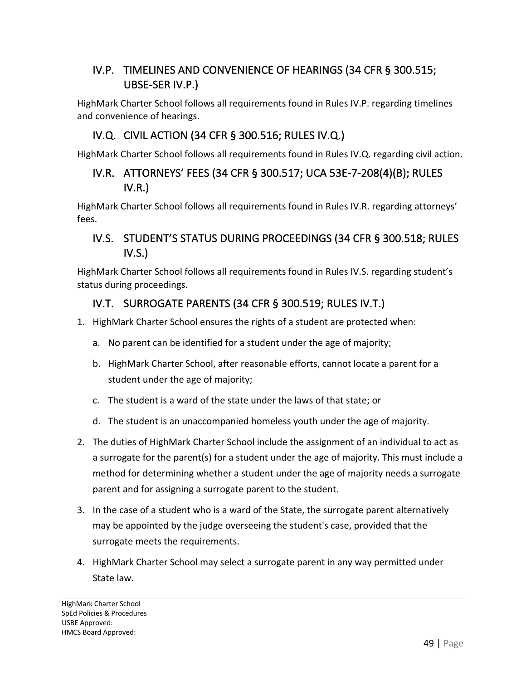# IV.P. TIMELINES AND CONVENIENCE OF HEARINGS (34 CFR § 300.515; UBSE-SER IV.P.)

HighMark Charter School follows all requirements found in Rules IV.P. regarding timelines and convenience of hearings.

#### IV.Q. CIVIL ACTION (34 CFR § 300.516; RULES IV.Q.)

HighMark Charter School follows all requirements found in Rules IV.Q. regarding civil action.

#### IV.R. ATTORNEYS' FEES (34 CFR § 300.517; UCA 53E-7-208(4)(B); RULES IV.R.)

HighMark Charter School follows all requirements found in Rules IV.R. regarding attorneys' fees.

#### IV.S. STUDENT'S STATUS DURING PROCEEDINGS (34 CFR § 300.518; RULES IV.S.)

HighMark Charter School follows all requirements found in Rules IV.S. regarding student's status during proceedings.

#### IV.T. SURROGATE PARENTS (34 CFR § 300.519; RULES IV.T.)

- 1. HighMark Charter School ensures the rights of a student are protected when:
	- a. No parent can be identified for a student under the age of majority;
	- b. HighMark Charter School, after reasonable efforts, cannot locate a parent for a student under the age of majority;
	- c. The student is a ward of the state under the laws of that state; or
	- d. The student is an unaccompanied homeless youth under the age of majority.
- 2. The duties of HighMark Charter School include the assignment of an individual to act as a surrogate for the parent(s) for a student under the age of majority. This must include a method for determining whether a student under the age of majority needs a surrogate parent and for assigning a surrogate parent to the student.
- 3. In the case of a student who is a ward of the State, the surrogate parent alternatively may be appointed by the judge overseeing the student's case, provided that the surrogate meets the requirements.
- 4. HighMark Charter School may select a surrogate parent in any way permitted under State law.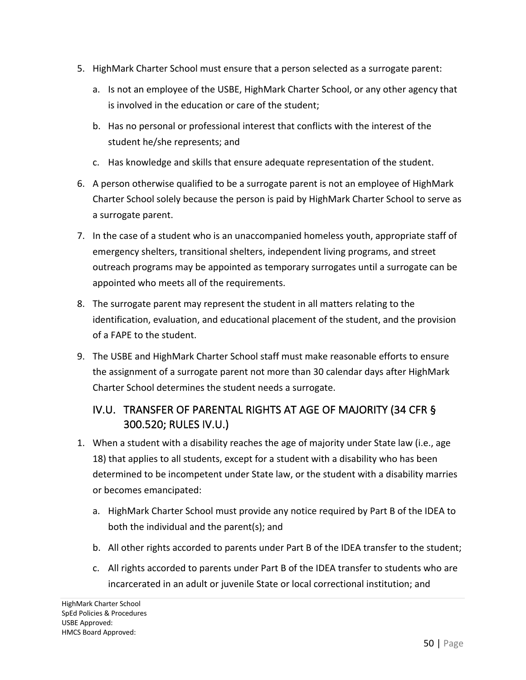- 5. HighMark Charter School must ensure that a person selected as a surrogate parent:
	- a. Is not an employee of the USBE, HighMark Charter School, or any other agency that is involved in the education or care of the student;
	- b. Has no personal or professional interest that conflicts with the interest of the student he/she represents; and
	- c. Has knowledge and skills that ensure adequate representation of the student.
- 6. A person otherwise qualified to be a surrogate parent is not an employee of HighMark Charter School solely because the person is paid by HighMark Charter School to serve as a surrogate parent.
- 7. In the case of a student who is an unaccompanied homeless youth, appropriate staff of emergency shelters, transitional shelters, independent living programs, and street outreach programs may be appointed as temporary surrogates until a surrogate can be appointed who meets all of the requirements.
- 8. The surrogate parent may represent the student in all matters relating to the identification, evaluation, and educational placement of the student, and the provision of a FAPE to the student.
- 9. The USBE and HighMark Charter School staff must make reasonable efforts to ensure the assignment of a surrogate parent not more than 30 calendar days after HighMark Charter School determines the student needs a surrogate.

# IV.U. TRANSFER OF PARENTAL RIGHTS AT AGE OF MAJORITY (34 CFR § 300.520; RULES IV.U.)

- 1. When a student with a disability reaches the age of majority under State law (i.e., age 18) that applies to all students, except for a student with a disability who has been determined to be incompetent under State law, or the student with a disability marries or becomes emancipated:
	- a. HighMark Charter School must provide any notice required by Part B of the IDEA to both the individual and the parent(s); and
	- b. All other rights accorded to parents under Part B of the IDEA transfer to the student;
	- c. All rights accorded to parents under Part B of the IDEA transfer to students who are incarcerated in an adult or juvenile State or local correctional institution; and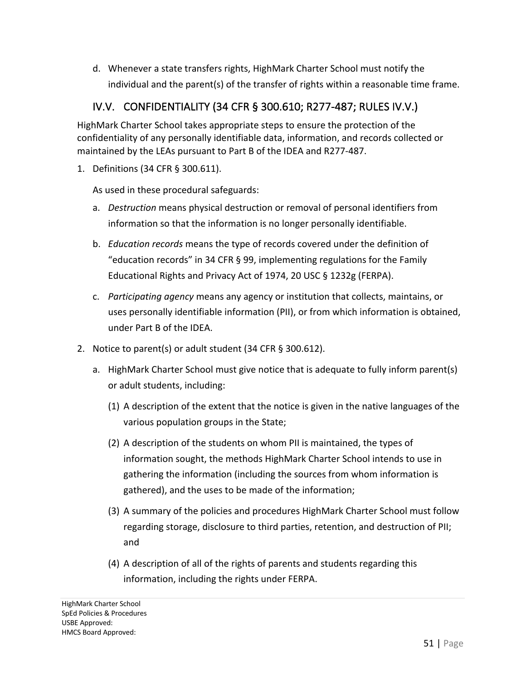d. Whenever a state transfers rights, HighMark Charter School must notify the individual and the parent(s) of the transfer of rights within a reasonable time frame.

# IV.V. CONFIDENTIALITY (34 CFR § 300.610; R277-487; RULES IV.V.)

HighMark Charter School takes appropriate steps to ensure the protection of the confidentiality of any personally identifiable data, information, and records collected or maintained by the LEAs pursuant to Part B of the IDEA and R277-487.

1. Definitions (34 CFR § 300.611).

As used in these procedural safeguards:

- a. *Destruction* means physical destruction or removal of personal identifiers from information so that the information is no longer personally identifiable.
- b. *Education records* means the type of records covered under the definition of "education records" in 34 CFR § 99, implementing regulations for the Family Educational Rights and Privacy Act of 1974, 20 USC § 1232g (FERPA).
- c. *Participating agency* means any agency or institution that collects, maintains, or uses personally identifiable information (PII), or from which information is obtained, under Part B of the IDEA.
- 2. Notice to parent(s) or adult student (34 CFR § 300.612).
	- a. HighMark Charter School must give notice that is adequate to fully inform parent(s) or adult students, including:
		- (1) A description of the extent that the notice is given in the native languages of the various population groups in the State;
		- (2) A description of the students on whom PII is maintained, the types of information sought, the methods HighMark Charter School intends to use in gathering the information (including the sources from whom information is gathered), and the uses to be made of the information;
		- (3) A summary of the policies and procedures HighMark Charter School must follow regarding storage, disclosure to third parties, retention, and destruction of PII; and
		- (4) A description of all of the rights of parents and students regarding this information, including the rights under FERPA.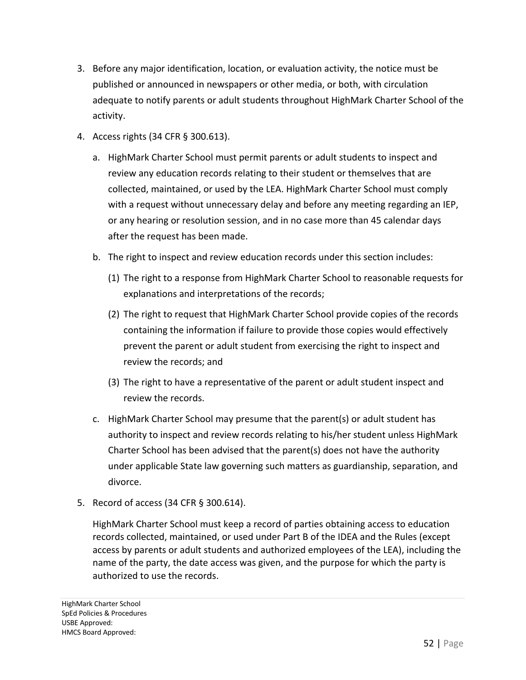- 3. Before any major identification, location, or evaluation activity, the notice must be published or announced in newspapers or other media, or both, with circulation adequate to notify parents or adult students throughout HighMark Charter School of the activity.
- 4. Access rights (34 CFR § 300.613).
	- a. HighMark Charter School must permit parents or adult students to inspect and review any education records relating to their student or themselves that are collected, maintained, or used by the LEA. HighMark Charter School must comply with a request without unnecessary delay and before any meeting regarding an IEP, or any hearing or resolution session, and in no case more than 45 calendar days after the request has been made.
	- b. The right to inspect and review education records under this section includes:
		- (1) The right to a response from HighMark Charter School to reasonable requests for explanations and interpretations of the records;
		- (2) The right to request that HighMark Charter School provide copies of the records containing the information if failure to provide those copies would effectively prevent the parent or adult student from exercising the right to inspect and review the records; and
		- (3) The right to have a representative of the parent or adult student inspect and review the records.
	- c. HighMark Charter School may presume that the parent(s) or adult student has authority to inspect and review records relating to his/her student unless HighMark Charter School has been advised that the parent(s) does not have the authority under applicable State law governing such matters as guardianship, separation, and divorce.
- 5. Record of access (34 CFR § 300.614).

HighMark Charter School must keep a record of parties obtaining access to education records collected, maintained, or used under Part B of the IDEA and the Rules (except access by parents or adult students and authorized employees of the LEA), including the name of the party, the date access was given, and the purpose for which the party is authorized to use the records.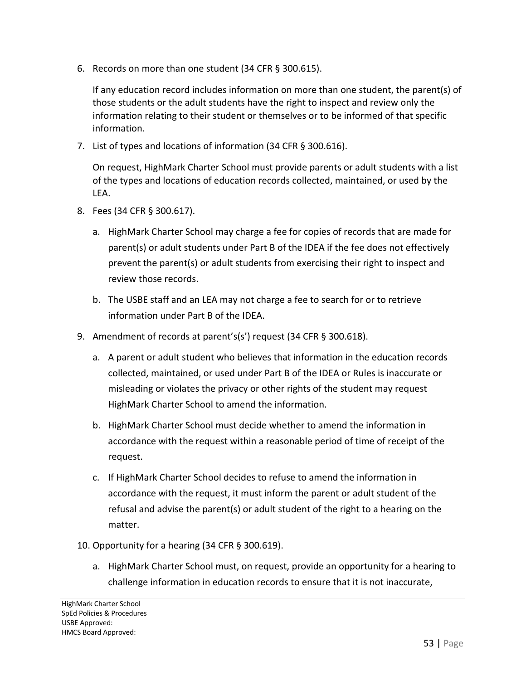6. Records on more than one student (34 CFR § 300.615).

If any education record includes information on more than one student, the parent(s) of those students or the adult students have the right to inspect and review only the information relating to their student or themselves or to be informed of that specific information.

7. List of types and locations of information (34 CFR § 300.616).

On request, HighMark Charter School must provide parents or adult students with a list of the types and locations of education records collected, maintained, or used by the LEA.

- 8. Fees (34 CFR § 300.617).
	- a. HighMark Charter School may charge a fee for copies of records that are made for parent(s) or adult students under Part B of the IDEA if the fee does not effectively prevent the parent(s) or adult students from exercising their right to inspect and review those records.
	- b. The USBE staff and an LEA may not charge a fee to search for or to retrieve information under Part B of the IDEA.
- 9. Amendment of records at parent's(s') request (34 CFR § 300.618).
	- a. A parent or adult student who believes that information in the education records collected, maintained, or used under Part B of the IDEA or Rules is inaccurate or misleading or violates the privacy or other rights of the student may request HighMark Charter School to amend the information.
	- b. HighMark Charter School must decide whether to amend the information in accordance with the request within a reasonable period of time of receipt of the request.
	- c. If HighMark Charter School decides to refuse to amend the information in accordance with the request, it must inform the parent or adult student of the refusal and advise the parent(s) or adult student of the right to a hearing on the matter.
- 10. Opportunity for a hearing (34 CFR § 300.619).
	- a. HighMark Charter School must, on request, provide an opportunity for a hearing to challenge information in education records to ensure that it is not inaccurate,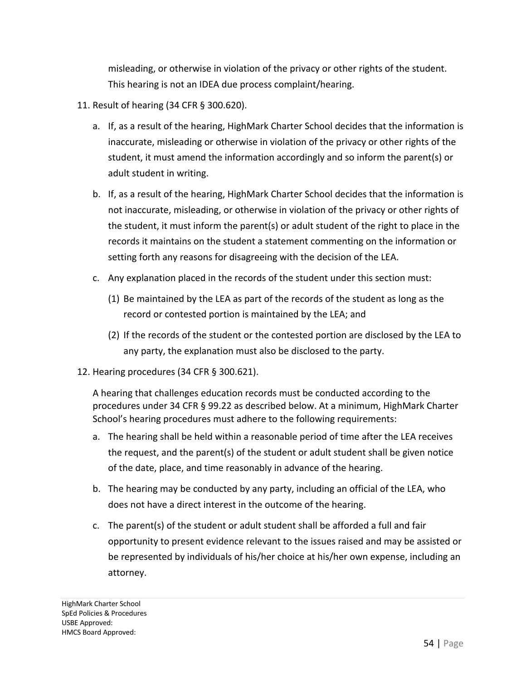misleading, or otherwise in violation of the privacy or other rights of the student. This hearing is not an IDEA due process complaint/hearing.

- 11. Result of hearing (34 CFR § 300.620).
	- a. If, as a result of the hearing, HighMark Charter School decides that the information is inaccurate, misleading or otherwise in violation of the privacy or other rights of the student, it must amend the information accordingly and so inform the parent(s) or adult student in writing.
	- b. If, as a result of the hearing, HighMark Charter School decides that the information is not inaccurate, misleading, or otherwise in violation of the privacy or other rights of the student, it must inform the parent(s) or adult student of the right to place in the records it maintains on the student a statement commenting on the information or setting forth any reasons for disagreeing with the decision of the LEA.
	- c. Any explanation placed in the records of the student under this section must:
		- (1) Be maintained by the LEA as part of the records of the student as long as the record or contested portion is maintained by the LEA; and
		- (2) If the records of the student or the contested portion are disclosed by the LEA to any party, the explanation must also be disclosed to the party.
- 12. Hearing procedures (34 CFR § 300.621).

A hearing that challenges education records must be conducted according to the procedures under 34 CFR § 99.22 as described below. At a minimum, HighMark Charter School's hearing procedures must adhere to the following requirements:

- a. The hearing shall be held within a reasonable period of time after the LEA receives the request, and the parent(s) of the student or adult student shall be given notice of the date, place, and time reasonably in advance of the hearing.
- b. The hearing may be conducted by any party, including an official of the LEA, who does not have a direct interest in the outcome of the hearing.
- c. The parent(s) of the student or adult student shall be afforded a full and fair opportunity to present evidence relevant to the issues raised and may be assisted or be represented by individuals of his/her choice at his/her own expense, including an attorney.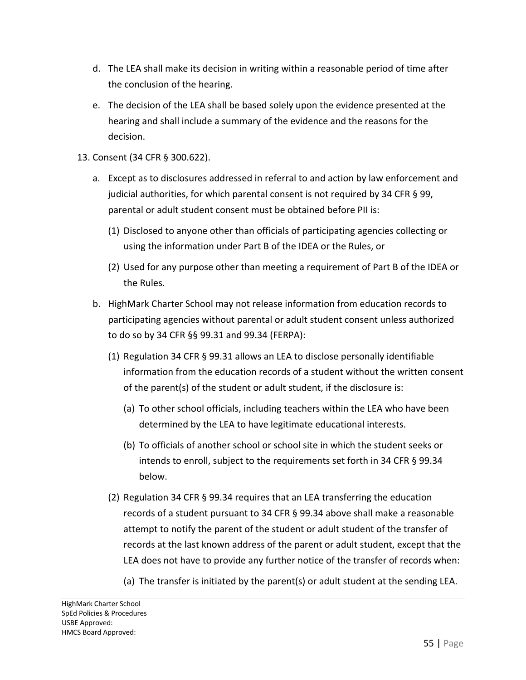- d. The LEA shall make its decision in writing within a reasonable period of time after the conclusion of the hearing.
- e. The decision of the LEA shall be based solely upon the evidence presented at the hearing and shall include a summary of the evidence and the reasons for the decision.
- 13. Consent (34 CFR § 300.622).
	- a. Except as to disclosures addressed in referral to and action by law enforcement and judicial authorities, for which parental consent is not required by 34 CFR § 99, parental or adult student consent must be obtained before PII is:
		- (1) Disclosed to anyone other than officials of participating agencies collecting or using the information under Part B of the IDEA or the Rules, or
		- (2) Used for any purpose other than meeting a requirement of Part B of the IDEA or the Rules.
	- b. HighMark Charter School may not release information from education records to participating agencies without parental or adult student consent unless authorized to do so by 34 CFR §§ 99.31 and 99.34 (FERPA):
		- (1) Regulation 34 CFR § 99.31 allows an LEA to disclose personally identifiable information from the education records of a student without the written consent of the parent(s) of the student or adult student, if the disclosure is:
			- (a) To other school officials, including teachers within the LEA who have been determined by the LEA to have legitimate educational interests.
			- (b) To officials of another school or school site in which the student seeks or intends to enroll, subject to the requirements set forth in 34 CFR § 99.34 below.
		- (2) Regulation 34 CFR § 99.34 requires that an LEA transferring the education records of a student pursuant to 34 CFR § 99.34 above shall make a reasonable attempt to notify the parent of the student or adult student of the transfer of records at the last known address of the parent or adult student, except that the LEA does not have to provide any further notice of the transfer of records when:
			- (a) The transfer is initiated by the parent(s) or adult student at the sending LEA.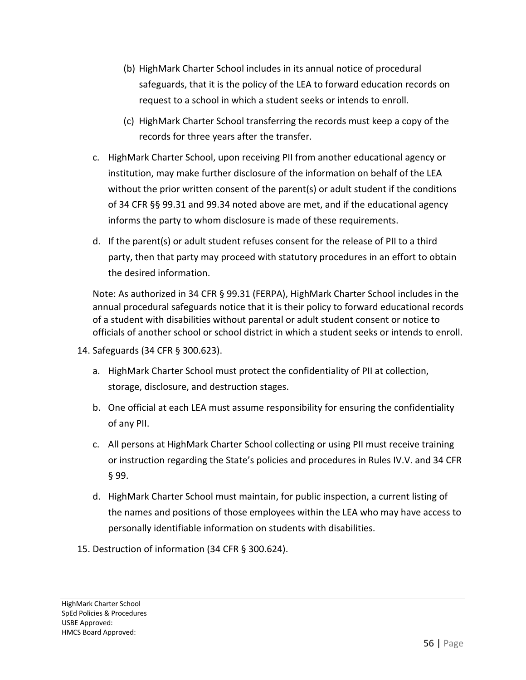- (b) HighMark Charter School includes in its annual notice of procedural safeguards, that it is the policy of the LEA to forward education records on request to a school in which a student seeks or intends to enroll.
- (c) HighMark Charter School transferring the records must keep a copy of the records for three years after the transfer.
- c. HighMark Charter School, upon receiving PII from another educational agency or institution, may make further disclosure of the information on behalf of the LEA without the prior written consent of the parent(s) or adult student if the conditions of 34 CFR §§ 99.31 and 99.34 noted above are met, and if the educational agency informs the party to whom disclosure is made of these requirements.
- d. If the parent(s) or adult student refuses consent for the release of PII to a third party, then that party may proceed with statutory procedures in an effort to obtain the desired information.

Note: As authorized in 34 CFR § 99.31 (FERPA), HighMark Charter School includes in the annual procedural safeguards notice that it is their policy to forward educational records of a student with disabilities without parental or adult student consent or notice to officials of another school or school district in which a student seeks or intends to enroll.

- 14. Safeguards (34 CFR § 300.623).
	- a. HighMark Charter School must protect the confidentiality of PII at collection, storage, disclosure, and destruction stages.
	- b. One official at each LEA must assume responsibility for ensuring the confidentiality of any PII.
	- c. All persons at HighMark Charter School collecting or using PII must receive training or instruction regarding the State's policies and procedures in Rules IV.V. and 34 CFR § 99.
	- d. HighMark Charter School must maintain, for public inspection, a current listing of the names and positions of those employees within the LEA who may have access to personally identifiable information on students with disabilities.
- 15. Destruction of information (34 CFR § 300.624).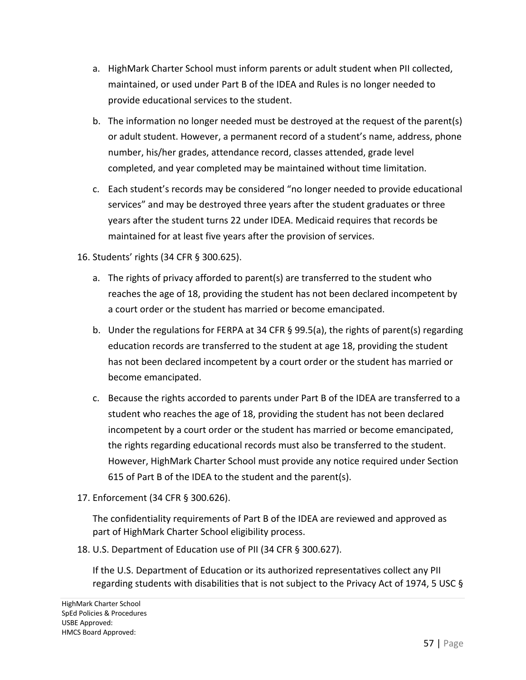- a. HighMark Charter School must inform parents or adult student when PII collected, maintained, or used under Part B of the IDEA and Rules is no longer needed to provide educational services to the student.
- b. The information no longer needed must be destroyed at the request of the parent(s) or adult student. However, a permanent record of a student's name, address, phone number, his/her grades, attendance record, classes attended, grade level completed, and year completed may be maintained without time limitation.
- c. Each student's records may be considered "no longer needed to provide educational services" and may be destroyed three years after the student graduates or three years after the student turns 22 under IDEA. Medicaid requires that records be maintained for at least five years after the provision of services.

#### 16. Students' rights (34 CFR § 300.625).

- a. The rights of privacy afforded to parent(s) are transferred to the student who reaches the age of 18, providing the student has not been declared incompetent by a court order or the student has married or become emancipated.
- b. Under the regulations for FERPA at 34 CFR § 99.5(a), the rights of parent(s) regarding education records are transferred to the student at age 18, providing the student has not been declared incompetent by a court order or the student has married or become emancipated.
- c. Because the rights accorded to parents under Part B of the IDEA are transferred to a student who reaches the age of 18, providing the student has not been declared incompetent by a court order or the student has married or become emancipated, the rights regarding educational records must also be transferred to the student. However, HighMark Charter School must provide any notice required under Section 615 of Part B of the IDEA to the student and the parent(s).
- 17. Enforcement (34 CFR § 300.626).

The confidentiality requirements of Part B of the IDEA are reviewed and approved as part of HighMark Charter School eligibility process.

18. U.S. Department of Education use of PII (34 CFR § 300.627).

If the U.S. Department of Education or its authorized representatives collect any PII regarding students with disabilities that is not subject to the Privacy Act of 1974, 5 USC §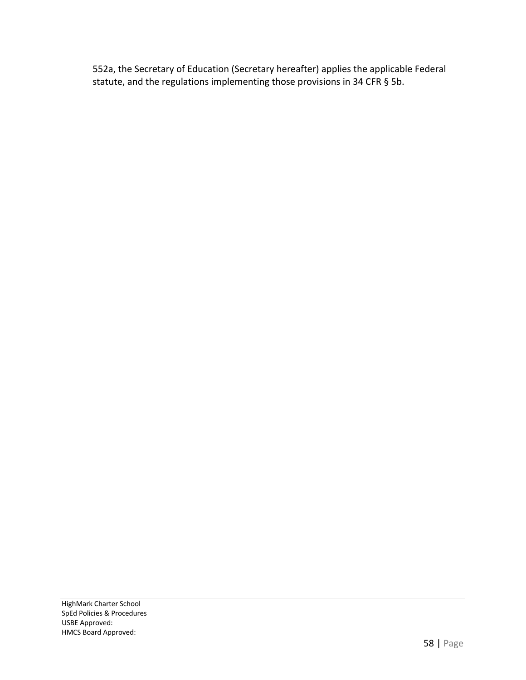552a, the Secretary of Education (Secretary hereafter) applies the applicable Federal statute, and the regulations implementing those provisions in 34 CFR § 5b.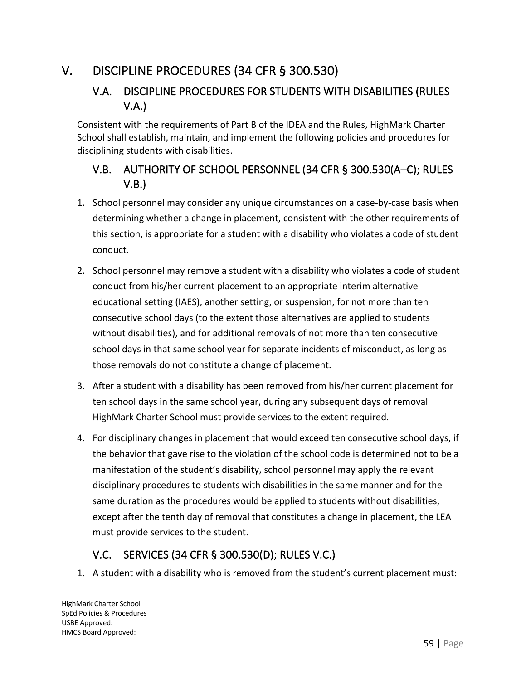# V. DISCIPLINE PROCEDURES (34 CFR § 300.530)

# V.A. DISCIPLINE PROCEDURES FOR STUDENTS WITH DISABILITIES (RULES V.A.)

Consistent with the requirements of Part B of the IDEA and the Rules, HighMark Charter School shall establish, maintain, and implement the following policies and procedures for disciplining students with disabilities.

# V.B. AUTHORITY OF SCHOOL PERSONNEL (34 CFR § 300.530(A–C); RULES V.B.)

- 1. School personnel may consider any unique circumstances on a case-by-case basis when determining whether a change in placement, consistent with the other requirements of this section, is appropriate for a student with a disability who violates a code of student conduct.
- 2. School personnel may remove a student with a disability who violates a code of student conduct from his/her current placement to an appropriate interim alternative educational setting (IAES), another setting, or suspension, for not more than ten consecutive school days (to the extent those alternatives are applied to students without disabilities), and for additional removals of not more than ten consecutive school days in that same school year for separate incidents of misconduct, as long as those removals do not constitute a change of placement.
- 3. After a student with a disability has been removed from his/her current placement for ten school days in the same school year, during any subsequent days of removal HighMark Charter School must provide services to the extent required.
- 4. For disciplinary changes in placement that would exceed ten consecutive school days, if the behavior that gave rise to the violation of the school code is determined not to be a manifestation of the student's disability, school personnel may apply the relevant disciplinary procedures to students with disabilities in the same manner and for the same duration as the procedures would be applied to students without disabilities, except after the tenth day of removal that constitutes a change in placement, the LEA must provide services to the student.

# V.C. SERVICES (34 CFR § 300.530(D); RULES V.C.)

1. A student with a disability who is removed from the student's current placement must: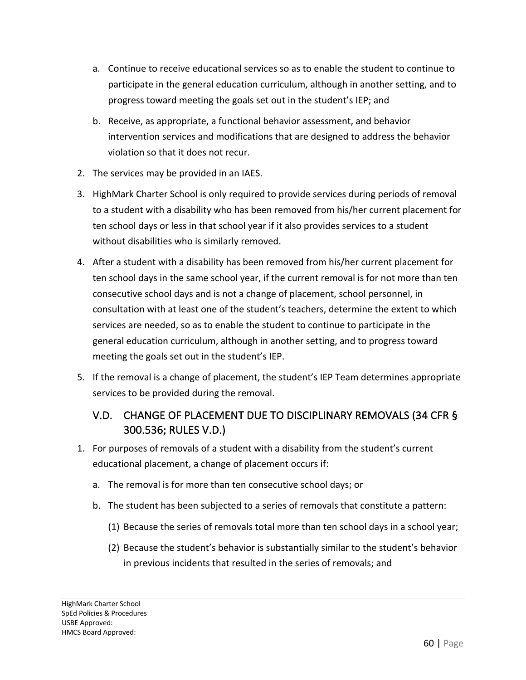- a. Continue to receive educational services so as to enable the student to continue to participate in the general education curriculum, although in another setting, and to progress toward meeting the goals set out in the student's IEP; and
- b. Receive, as appropriate, a functional behavior assessment, and behavior intervention services and modifications that are designed to address the behavior violation so that it does not recur.
- 2. The services may be provided in an IAES.
- 3. HighMark Charter School is only required to provide services during periods of removal to a student with a disability who has been removed from his/her current placement for ten school days or less in that school year if it also provides services to a student without disabilities who is similarly removed.
- 4. After a student with a disability has been removed from his/her current placement for ten school days in the same school year, if the current removal is for not more than ten consecutive school days and is not a change of placement, school personnel, in consultation with at least one of the student's teachers, determine the extent to which services are needed, so as to enable the student to continue to participate in the general education curriculum, although in another setting, and to progress toward meeting the goals set out in the student's IEP.
- 5. If the removal is a change of placement, the student's IEP Team determines appropriate services to be provided during the removal.

## V.D. CHANGE OF PLACEMENT DUE TO DISCIPLINARY REMOVALS (34 CFR § 300.536; RULES V.D.)

- 1. For purposes of removals of a student with a disability from the student's current educational placement, a change of placement occurs if:
	- a. The removal is for more than ten consecutive school days; or
	- b. The student has been subjected to a series of removals that constitute a pattern:
		- (1) Because the series of removals total more than ten school days in a school year;
		- (2) Because the student's behavior is substantially similar to the student's behavior in previous incidents that resulted in the series of removals; and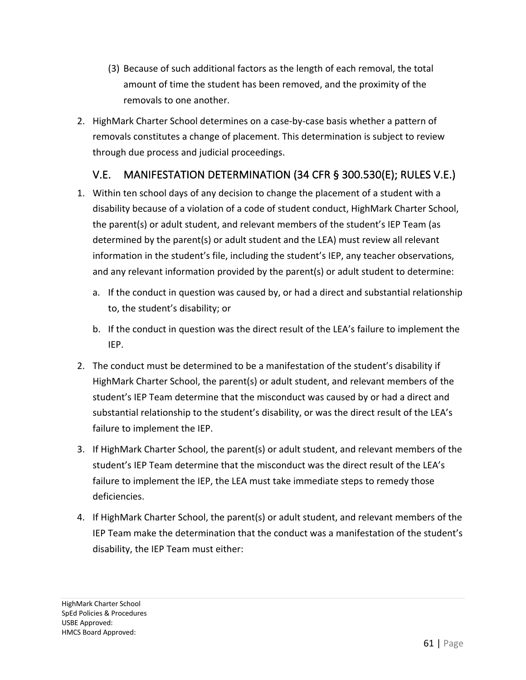- (3) Because of such additional factors as the length of each removal, the total amount of time the student has been removed, and the proximity of the removals to one another.
- 2. HighMark Charter School determines on a case-by-case basis whether a pattern of removals constitutes a change of placement. This determination is subject to review through due process and judicial proceedings.

## V.E. MANIFESTATION DETERMINATION (34 CFR § 300.530(E); RULES V.E.)

- 1. Within ten school days of any decision to change the placement of a student with a disability because of a violation of a code of student conduct, HighMark Charter School, the parent(s) or adult student, and relevant members of the student's IEP Team (as determined by the parent(s) or adult student and the LEA) must review all relevant information in the student's file, including the student's IEP, any teacher observations, and any relevant information provided by the parent(s) or adult student to determine:
	- a. If the conduct in question was caused by, or had a direct and substantial relationship to, the student's disability; or
	- b. If the conduct in question was the direct result of the LEA's failure to implement the IEP.
- 2. The conduct must be determined to be a manifestation of the student's disability if HighMark Charter School, the parent(s) or adult student, and relevant members of the student's IEP Team determine that the misconduct was caused by or had a direct and substantial relationship to the student's disability, or was the direct result of the LEA's failure to implement the IEP.
- 3. If HighMark Charter School, the parent(s) or adult student, and relevant members of the student's IEP Team determine that the misconduct was the direct result of the LEA's failure to implement the IEP, the LEA must take immediate steps to remedy those deficiencies.
- 4. If HighMark Charter School, the parent(s) or adult student, and relevant members of the IEP Team make the determination that the conduct was a manifestation of the student's disability, the IEP Team must either: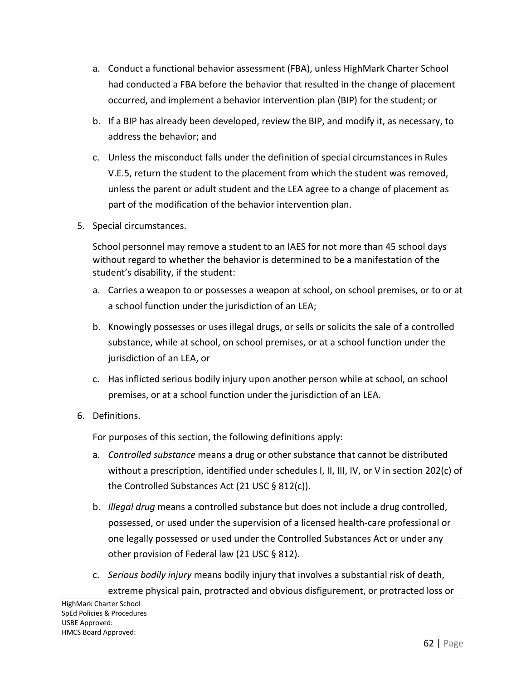- a. Conduct a functional behavior assessment (FBA), unless HighMark Charter School had conducted a FBA before the behavior that resulted in the change of placement occurred, and implement a behavior intervention plan (BIP) for the student; or
- b. If a BIP has already been developed, review the BIP, and modify it, as necessary, to address the behavior; and
- c. Unless the misconduct falls under the definition of special circumstances in Rules V.E.5, return the student to the placement from which the student was removed, unless the parent or adult student and the LEA agree to a change of placement as part of the modification of the behavior intervention plan.
- 5. Special circumstances.

School personnel may remove a student to an IAES for not more than 45 school days without regard to whether the behavior is determined to be a manifestation of the student's disability, if the student:

- a. Carries a weapon to or possesses a weapon at school, on school premises, or to or at a school function under the jurisdiction of an LEA;
- b. Knowingly possesses or uses illegal drugs, or sells or solicits the sale of a controlled substance, while at school, on school premises, or at a school function under the jurisdiction of an LEA, or
- c. Has inflicted serious bodily injury upon another person while at school, on school premises, or at a school function under the jurisdiction of an LEA.
- 6. Definitions.

For purposes of this section, the following definitions apply:

- a. *Controlled substance* means a drug or other substance that cannot be distributed without a prescription, identified under schedules I, II, III, IV, or V in section 202(c) of the Controlled Substances Act (21 USC § 812(c)).
- b. *Illegal drug* means a controlled substance but does not include a drug controlled, possessed, or used under the supervision of a licensed health-care professional or one legally possessed or used under the Controlled Substances Act or under any other provision of Federal law (21 USC § 812).
- c. *Serious bodily injury* means bodily injury that involves a substantial risk of death, extreme physical pain, protracted and obvious disfigurement, or protracted loss or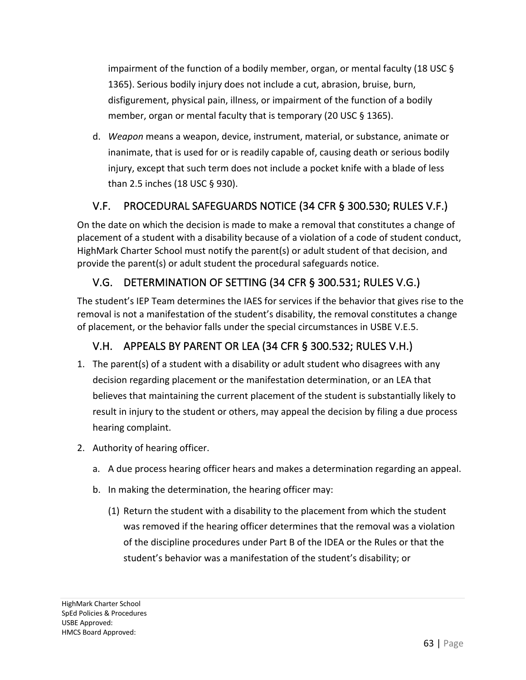impairment of the function of a bodily member, organ, or mental faculty (18 USC § 1365). Serious bodily injury does not include a cut, abrasion, bruise, burn, disfigurement, physical pain, illness, or impairment of the function of a bodily member, organ or mental faculty that is temporary (20 USC § 1365).

d. *Weapon* means a weapon, device, instrument, material, or substance, animate or inanimate, that is used for or is readily capable of, causing death or serious bodily injury, except that such term does not include a pocket knife with a blade of less than 2.5 inches (18 USC § 930).

# V.F. PROCEDURAL SAFEGUARDS NOTICE (34 CFR § 300.530; RULES V.F.)

On the date on which the decision is made to make a removal that constitutes a change of placement of a student with a disability because of a violation of a code of student conduct, HighMark Charter School must notify the parent(s) or adult student of that decision, and provide the parent(s) or adult student the procedural safeguards notice.

# V.G. DETERMINATION OF SETTING (34 CFR § 300.531; RULES V.G.)

The student's IEP Team determines the IAES for services if the behavior that gives rise to the removal is not a manifestation of the student's disability, the removal constitutes a change of placement, or the behavior falls under the special circumstances in USBE V.E.5.

# V.H. APPEALS BY PARENT OR LEA (34 CFR § 300.532; RULES V.H.)

- 1. The parent(s) of a student with a disability or adult student who disagrees with any decision regarding placement or the manifestation determination, or an LEA that believes that maintaining the current placement of the student is substantially likely to result in injury to the student or others, may appeal the decision by filing a due process hearing complaint.
- 2. Authority of hearing officer.
	- a. A due process hearing officer hears and makes a determination regarding an appeal.
	- b. In making the determination, the hearing officer may:
		- (1) Return the student with a disability to the placement from which the student was removed if the hearing officer determines that the removal was a violation of the discipline procedures under Part B of the IDEA or the Rules or that the student's behavior was a manifestation of the student's disability; or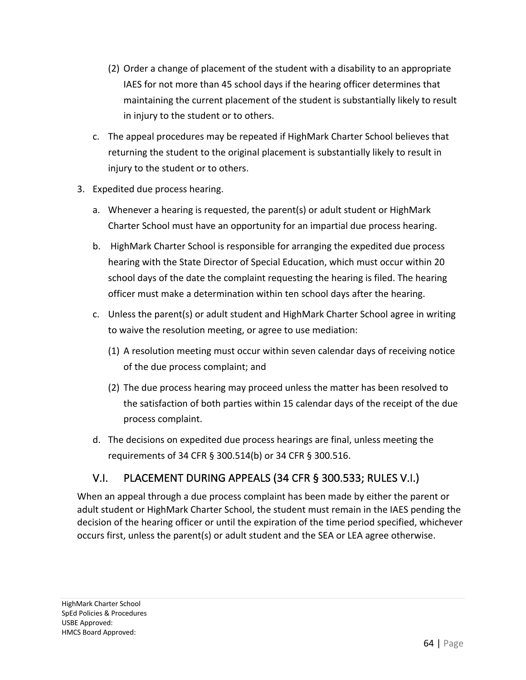- (2) Order a change of placement of the student with a disability to an appropriate IAES for not more than 45 school days if the hearing officer determines that maintaining the current placement of the student is substantially likely to result in injury to the student or to others.
- c. The appeal procedures may be repeated if HighMark Charter School believes that returning the student to the original placement is substantially likely to result in injury to the student or to others.
- 3. Expedited due process hearing.
	- a. Whenever a hearing is requested, the parent(s) or adult student or HighMark Charter School must have an opportunity for an impartial due process hearing.
	- b. HighMark Charter School is responsible for arranging the expedited due process hearing with the State Director of Special Education, which must occur within 20 school days of the date the complaint requesting the hearing is filed. The hearing officer must make a determination within ten school days after the hearing.
	- c. Unless the parent(s) or adult student and HighMark Charter School agree in writing to waive the resolution meeting, or agree to use mediation:
		- (1) A resolution meeting must occur within seven calendar days of receiving notice of the due process complaint; and
		- (2) The due process hearing may proceed unless the matter has been resolved to the satisfaction of both parties within 15 calendar days of the receipt of the due process complaint.
	- d. The decisions on expedited due process hearings are final, unless meeting the requirements of 34 CFR § 300.514(b) or 34 CFR § 300.516.

## V.I. PLACEMENT DURING APPEALS (34 CFR § 300.533; RULES V.I.)

When an appeal through a due process complaint has been made by either the parent or adult student or HighMark Charter School, the student must remain in the IAES pending the decision of the hearing officer or until the expiration of the time period specified, whichever occurs first, unless the parent(s) or adult student and the SEA or LEA agree otherwise.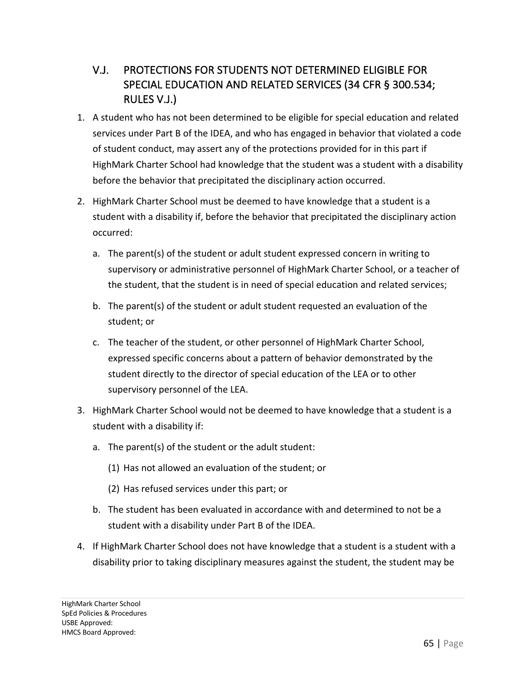# V.J. PROTECTIONS FOR STUDENTS NOT DETERMINED ELIGIBLE FOR SPECIAL EDUCATION AND RELATED SERVICES (34 CFR § 300.534; RULES V.J.)

- 1. A student who has not been determined to be eligible for special education and related services under Part B of the IDEA, and who has engaged in behavior that violated a code of student conduct, may assert any of the protections provided for in this part if HighMark Charter School had knowledge that the student was a student with a disability before the behavior that precipitated the disciplinary action occurred.
- 2. HighMark Charter School must be deemed to have knowledge that a student is a student with a disability if, before the behavior that precipitated the disciplinary action occurred:
	- a. The parent(s) of the student or adult student expressed concern in writing to supervisory or administrative personnel of HighMark Charter School, or a teacher of the student, that the student is in need of special education and related services;
	- b. The parent(s) of the student or adult student requested an evaluation of the student; or
	- c. The teacher of the student, or other personnel of HighMark Charter School, expressed specific concerns about a pattern of behavior demonstrated by the student directly to the director of special education of the LEA or to other supervisory personnel of the LEA.
- 3. HighMark Charter School would not be deemed to have knowledge that a student is a student with a disability if:
	- a. The parent(s) of the student or the adult student:
		- (1) Has not allowed an evaluation of the student; or
		- (2) Has refused services under this part; or
	- b. The student has been evaluated in accordance with and determined to not be a student with a disability under Part B of the IDEA.
- 4. If HighMark Charter School does not have knowledge that a student is a student with a disability prior to taking disciplinary measures against the student, the student may be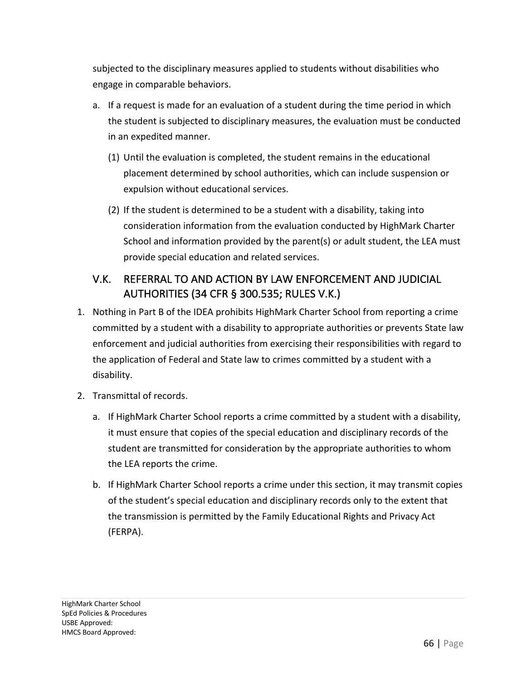subjected to the disciplinary measures applied to students without disabilities who engage in comparable behaviors.

- a. If a request is made for an evaluation of a student during the time period in which the student is subjected to disciplinary measures, the evaluation must be conducted in an expedited manner.
	- (1) Until the evaluation is completed, the student remains in the educational placement determined by school authorities, which can include suspension or expulsion without educational services.
	- (2) If the student is determined to be a student with a disability, taking into consideration information from the evaluation conducted by HighMark Charter School and information provided by the parent(s) or adult student, the LEA must provide special education and related services.

# V.K. REFERRAL TO AND ACTION BY LAW ENFORCEMENT AND JUDICIAL AUTHORITIES (34 CFR § 300.535; RULES V.K.)

- 1. Nothing in Part B of the IDEA prohibits HighMark Charter School from reporting a crime committed by a student with a disability to appropriate authorities or prevents State law enforcement and judicial authorities from exercising their responsibilities with regard to the application of Federal and State law to crimes committed by a student with a disability.
- 2. Transmittal of records.
	- a. If HighMark Charter School reports a crime committed by a student with a disability, it must ensure that copies of the special education and disciplinary records of the student are transmitted for consideration by the appropriate authorities to whom the LEA reports the crime.
	- b. If HighMark Charter School reports a crime under this section, it may transmit copies of the student's special education and disciplinary records only to the extent that the transmission is permitted by the Family Educational Rights and Privacy Act (FERPA).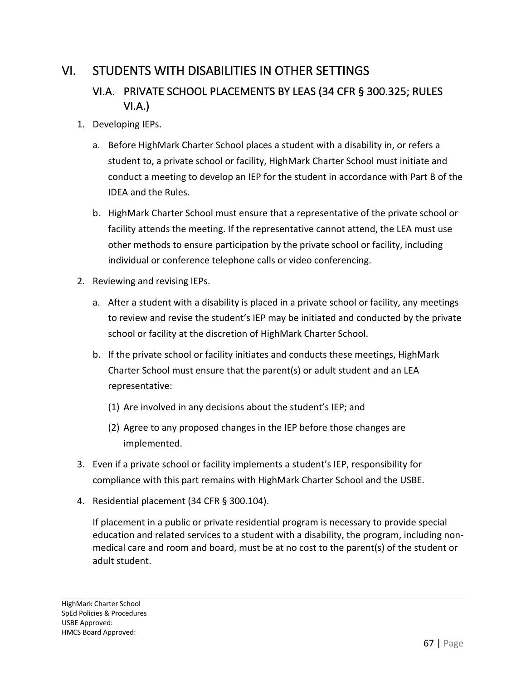# VI. STUDENTS WITH DISABILITIES IN OTHER SETTINGS

## VI.A. PRIVATE SCHOOL PLACEMENTS BY LEAS (34 CFR § 300.325; RULES VI.A.)

- 1. Developing IEPs.
	- a. Before HighMark Charter School places a student with a disability in, or refers a student to, a private school or facility, HighMark Charter School must initiate and conduct a meeting to develop an IEP for the student in accordance with Part B of the IDEA and the Rules.
	- b. HighMark Charter School must ensure that a representative of the private school or facility attends the meeting. If the representative cannot attend, the LEA must use other methods to ensure participation by the private school or facility, including individual or conference telephone calls or video conferencing.
- 2. Reviewing and revising IEPs.
	- a. After a student with a disability is placed in a private school or facility, any meetings to review and revise the student's IEP may be initiated and conducted by the private school or facility at the discretion of HighMark Charter School.
	- b. If the private school or facility initiates and conducts these meetings, HighMark Charter School must ensure that the parent(s) or adult student and an LEA representative:
		- (1) Are involved in any decisions about the student's IEP; and
		- (2) Agree to any proposed changes in the IEP before those changes are implemented.
- 3. Even if a private school or facility implements a student's IEP, responsibility for compliance with this part remains with HighMark Charter School and the USBE.
- 4. Residential placement (34 CFR § 300.104).

If placement in a public or private residential program is necessary to provide special education and related services to a student with a disability, the program, including nonmedical care and room and board, must be at no cost to the parent(s) of the student or adult student.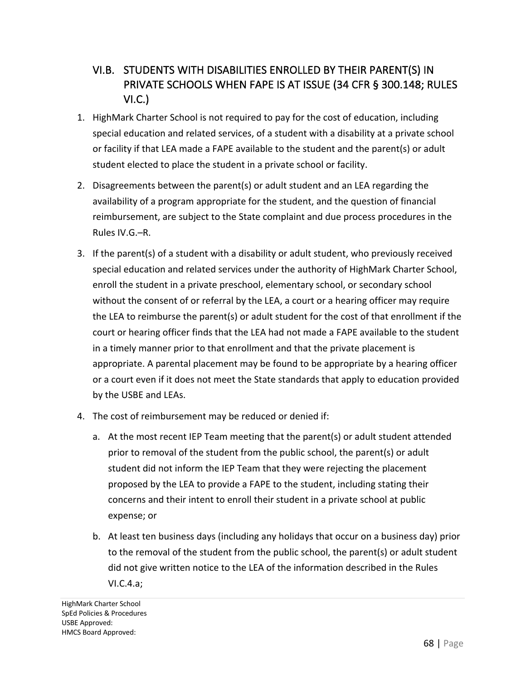# VI.B. STUDENTS WITH DISABILITIES ENROLLED BY THEIR PARENT(S) IN PRIVATE SCHOOLS WHEN FAPE IS AT ISSUE (34 CFR § 300.148; RULES VI.C.)

- 1. HighMark Charter School is not required to pay for the cost of education, including special education and related services, of a student with a disability at a private school or facility if that LEA made a FAPE available to the student and the parent(s) or adult student elected to place the student in a private school or facility.
- 2. Disagreements between the parent(s) or adult student and an LEA regarding the availability of a program appropriate for the student, and the question of financial reimbursement, are subject to the State complaint and due process procedures in the Rules IV.G.–R.
- 3. If the parent(s) of a student with a disability or adult student, who previously received special education and related services under the authority of HighMark Charter School, enroll the student in a private preschool, elementary school, or secondary school without the consent of or referral by the LEA, a court or a hearing officer may require the LEA to reimburse the parent(s) or adult student for the cost of that enrollment if the court or hearing officer finds that the LEA had not made a FAPE available to the student in a timely manner prior to that enrollment and that the private placement is appropriate. A parental placement may be found to be appropriate by a hearing officer or a court even if it does not meet the State standards that apply to education provided by the USBE and LEAs.
- 4. The cost of reimbursement may be reduced or denied if:
	- a. At the most recent IEP Team meeting that the parent(s) or adult student attended prior to removal of the student from the public school, the parent(s) or adult student did not inform the IEP Team that they were rejecting the placement proposed by the LEA to provide a FAPE to the student, including stating their concerns and their intent to enroll their student in a private school at public expense; or
	- b. At least ten business days (including any holidays that occur on a business day) prior to the removal of the student from the public school, the parent(s) or adult student did not give written notice to the LEA of the information described in the Rules VI.C.4.a;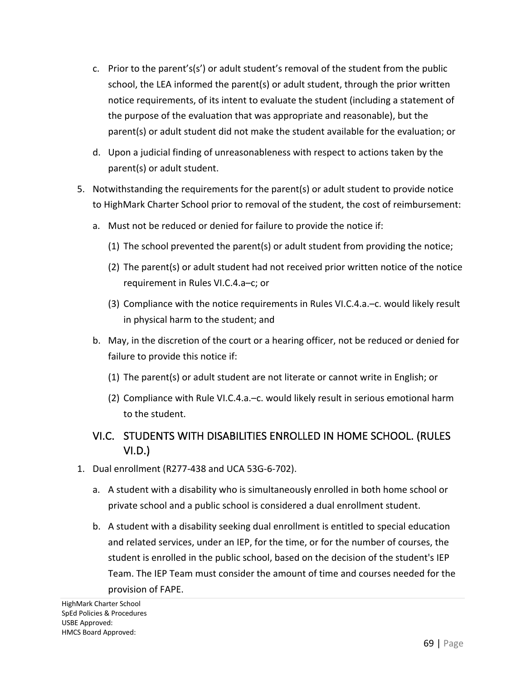- c. Prior to the parent's(s') or adult student's removal of the student from the public school, the LEA informed the parent(s) or adult student, through the prior written notice requirements, of its intent to evaluate the student (including a statement of the purpose of the evaluation that was appropriate and reasonable), but the parent(s) or adult student did not make the student available for the evaluation; or
- d. Upon a judicial finding of unreasonableness with respect to actions taken by the parent(s) or adult student.
- 5. Notwithstanding the requirements for the parent(s) or adult student to provide notice to HighMark Charter School prior to removal of the student, the cost of reimbursement:
	- a. Must not be reduced or denied for failure to provide the notice if:
		- (1) The school prevented the parent(s) or adult student from providing the notice;
		- (2) The parent(s) or adult student had not received prior written notice of the notice requirement in Rules VI.C.4.a–c; or
		- (3) Compliance with the notice requirements in Rules VI.C.4.a.–c. would likely result in physical harm to the student; and
	- b. May, in the discretion of the court or a hearing officer, not be reduced or denied for failure to provide this notice if:
		- (1) The parent(s) or adult student are not literate or cannot write in English; or
		- (2) Compliance with Rule VI.C.4.a.–c. would likely result in serious emotional harm to the student.

#### VI.C. STUDENTS WITH DISABILITIES ENROLLED IN HOME SCHOOL. (RULES VI.D.)

- 1. Dual enrollment (R277-438 and UCA 53G-6-702).
	- a. A student with a disability who is simultaneously enrolled in both home school or private school and a public school is considered a dual enrollment student.
	- b. A student with a disability seeking dual enrollment is entitled to special education and related services, under an IEP, for the time, or for the number of courses, the student is enrolled in the public school, based on the decision of the student's IEP Team. The IEP Team must consider the amount of time and courses needed for the provision of FAPE.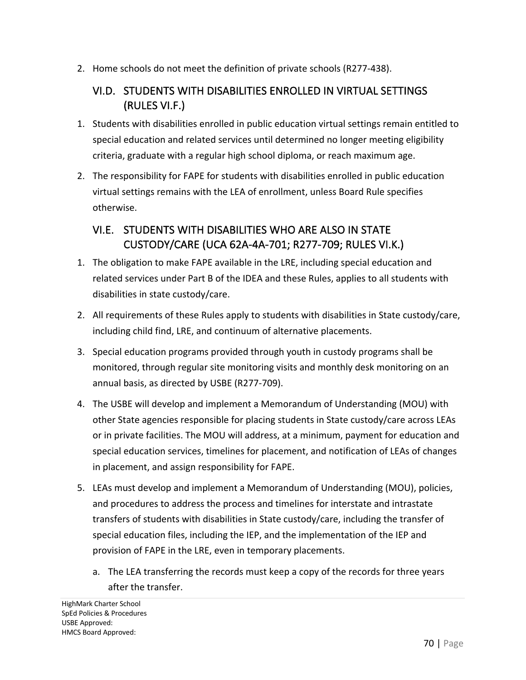2. Home schools do not meet the definition of private schools (R277-438).

#### VI.D. STUDENTS WITH DISABILITIES ENROLLED IN VIRTUAL SETTINGS (RULES VI.F.)

- 1. Students with disabilities enrolled in public education virtual settings remain entitled to special education and related services until determined no longer meeting eligibility criteria, graduate with a regular high school diploma, or reach maximum age.
- 2. The responsibility for FAPE for students with disabilities enrolled in public education virtual settings remains with the LEA of enrollment, unless Board Rule specifies otherwise.

#### VI.E. STUDENTS WITH DISABILITIES WHO ARE ALSO IN STATE CUSTODY/CARE (UCA 62A-4A-701; R277-709; RULES VI.K.)

- 1. The obligation to make FAPE available in the LRE, including special education and related services under Part B of the IDEA and these Rules, applies to all students with disabilities in state custody/care.
- 2. All requirements of these Rules apply to students with disabilities in State custody/care, including child find, LRE, and continuum of alternative placements.
- 3. Special education programs provided through youth in custody programs shall be monitored, through regular site monitoring visits and monthly desk monitoring on an annual basis, as directed by USBE (R277-709).
- 4. The USBE will develop and implement a Memorandum of Understanding (MOU) with other State agencies responsible for placing students in State custody/care across LEAs or in private facilities. The MOU will address, at a minimum, payment for education and special education services, timelines for placement, and notification of LEAs of changes in placement, and assign responsibility for FAPE.
- 5. LEAs must develop and implement a Memorandum of Understanding (MOU), policies, and procedures to address the process and timelines for interstate and intrastate transfers of students with disabilities in State custody/care, including the transfer of special education files, including the IEP, and the implementation of the IEP and provision of FAPE in the LRE, even in temporary placements.
	- a. The LEA transferring the records must keep a copy of the records for three years after the transfer.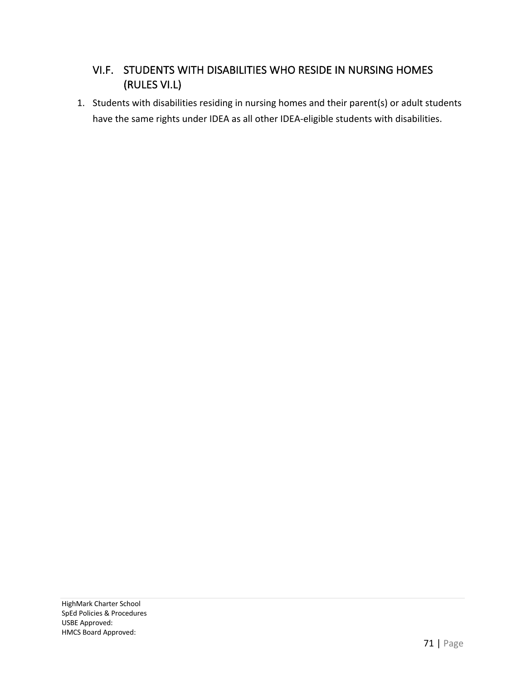#### VI.F. STUDENTS WITH DISABILITIES WHO RESIDE IN NURSING HOMES (RULES VI.L)

1. Students with disabilities residing in nursing homes and their parent(s) or adult students have the same rights under IDEA as all other IDEA-eligible students with disabilities.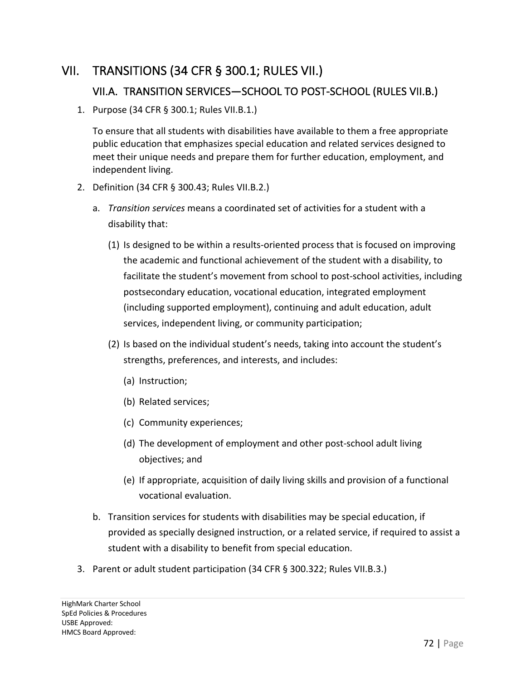# VII. TRANSITIONS (34 CFR § 300.1; RULES VII.)

#### VII.A. TRANSITION SERVICES—SCHOOL TO POST-SCHOOL (RULES VII.B.)

1. Purpose (34 CFR § 300.1; Rules VII.B.1.)

To ensure that all students with disabilities have available to them a free appropriate public education that emphasizes special education and related services designed to meet their unique needs and prepare them for further education, employment, and independent living.

- 2. Definition (34 CFR § 300.43; Rules VII.B.2.)
	- a. *Transition services* means a coordinated set of activities for a student with a disability that:
		- (1) Is designed to be within a results-oriented process that is focused on improving the academic and functional achievement of the student with a disability, to facilitate the student's movement from school to post-school activities, including postsecondary education, vocational education, integrated employment (including supported employment), continuing and adult education, adult services, independent living, or community participation;
		- (2) Is based on the individual student's needs, taking into account the student's strengths, preferences, and interests, and includes:
			- (a) Instruction;
			- (b) Related services;
			- (c) Community experiences;
			- (d) The development of employment and other post-school adult living objectives; and
			- (e) If appropriate, acquisition of daily living skills and provision of a functional vocational evaluation.
	- b. Transition services for students with disabilities may be special education, if provided as specially designed instruction, or a related service, if required to assist a student with a disability to benefit from special education.
- 3. Parent or adult student participation (34 CFR § 300.322; Rules VII.B.3.)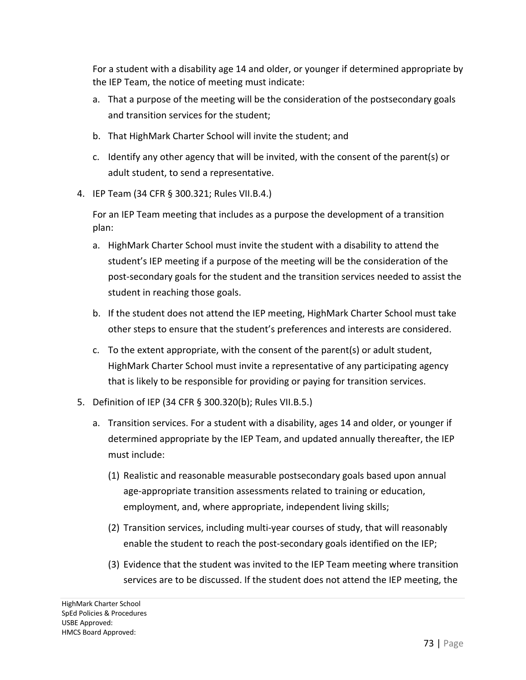For a student with a disability age 14 and older, or younger if determined appropriate by the IEP Team, the notice of meeting must indicate:

- a. That a purpose of the meeting will be the consideration of the postsecondary goals and transition services for the student;
- b. That HighMark Charter School will invite the student; and
- c. Identify any other agency that will be invited, with the consent of the parent(s) or adult student, to send a representative.
- 4. IEP Team (34 CFR § 300.321; Rules VII.B.4.)

For an IEP Team meeting that includes as a purpose the development of a transition plan:

- a. HighMark Charter School must invite the student with a disability to attend the student's IEP meeting if a purpose of the meeting will be the consideration of the post-secondary goals for the student and the transition services needed to assist the student in reaching those goals.
- b. If the student does not attend the IEP meeting, HighMark Charter School must take other steps to ensure that the student's preferences and interests are considered.
- c. To the extent appropriate, with the consent of the parent(s) or adult student, HighMark Charter School must invite a representative of any participating agency that is likely to be responsible for providing or paying for transition services.
- 5. Definition of IEP (34 CFR § 300.320(b); Rules VII.B.5.)
	- a. Transition services. For a student with a disability, ages 14 and older, or younger if determined appropriate by the IEP Team, and updated annually thereafter, the IEP must include:
		- (1) Realistic and reasonable measurable postsecondary goals based upon annual age-appropriate transition assessments related to training or education, employment, and, where appropriate, independent living skills;
		- (2) Transition services, including multi-year courses of study, that will reasonably enable the student to reach the post-secondary goals identified on the IEP;
		- (3) Evidence that the student was invited to the IEP Team meeting where transition services are to be discussed. If the student does not attend the IEP meeting, the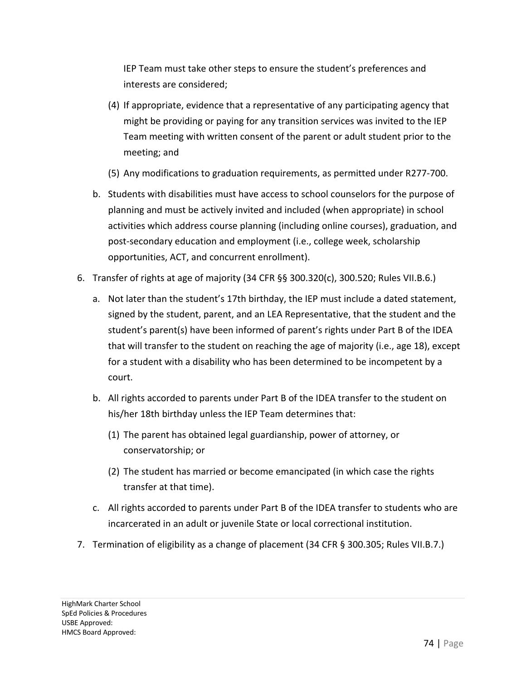IEP Team must take other steps to ensure the student's preferences and interests are considered;

- (4) If appropriate, evidence that a representative of any participating agency that might be providing or paying for any transition services was invited to the IEP Team meeting with written consent of the parent or adult student prior to the meeting; and
- (5) Any modifications to graduation requirements, as permitted under R277-700.
- b. Students with disabilities must have access to school counselors for the purpose of planning and must be actively invited and included (when appropriate) in school activities which address course planning (including online courses), graduation, and post-secondary education and employment (i.e., college week, scholarship opportunities, ACT, and concurrent enrollment).
- 6. Transfer of rights at age of majority (34 CFR §§ 300.320(c), 300.520; Rules VII.B.6.)
	- a. Not later than the student's 17th birthday, the IEP must include a dated statement, signed by the student, parent, and an LEA Representative, that the student and the student's parent(s) have been informed of parent's rights under Part B of the IDEA that will transfer to the student on reaching the age of majority (i.e., age 18), except for a student with a disability who has been determined to be incompetent by a court.
	- b. All rights accorded to parents under Part B of the IDEA transfer to the student on his/her 18th birthday unless the IEP Team determines that:
		- (1) The parent has obtained legal guardianship, power of attorney, or conservatorship; or
		- (2) The student has married or become emancipated (in which case the rights transfer at that time).
	- c. All rights accorded to parents under Part B of the IDEA transfer to students who are incarcerated in an adult or juvenile State or local correctional institution.
- 7. Termination of eligibility as a change of placement (34 CFR § 300.305; Rules VII.B.7.)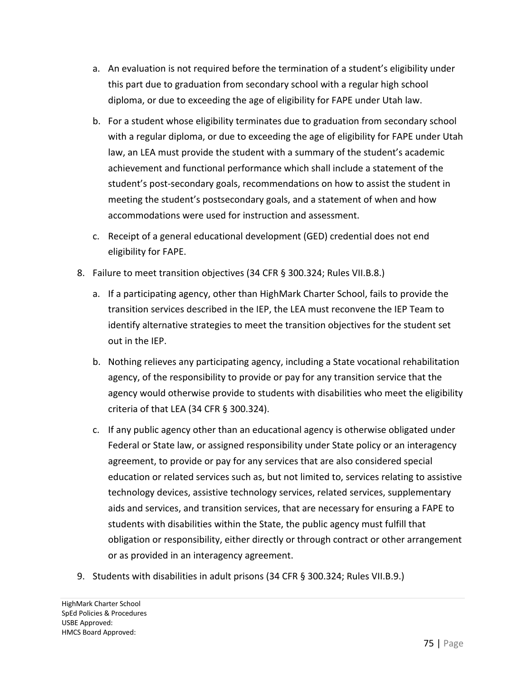- a. An evaluation is not required before the termination of a student's eligibility under this part due to graduation from secondary school with a regular high school diploma, or due to exceeding the age of eligibility for FAPE under Utah law.
- b. For a student whose eligibility terminates due to graduation from secondary school with a regular diploma, or due to exceeding the age of eligibility for FAPE under Utah law, an LEA must provide the student with a summary of the student's academic achievement and functional performance which shall include a statement of the student's post-secondary goals, recommendations on how to assist the student in meeting the student's postsecondary goals, and a statement of when and how accommodations were used for instruction and assessment.
- c. Receipt of a general educational development (GED) credential does not end eligibility for FAPE.
- 8. Failure to meet transition objectives (34 CFR § 300.324; Rules VII.B.8.)
	- a. If a participating agency, other than HighMark Charter School, fails to provide the transition services described in the IEP, the LEA must reconvene the IEP Team to identify alternative strategies to meet the transition objectives for the student set out in the IEP.
	- b. Nothing relieves any participating agency, including a State vocational rehabilitation agency, of the responsibility to provide or pay for any transition service that the agency would otherwise provide to students with disabilities who meet the eligibility criteria of that LEA (34 CFR § 300.324).
	- c. If any public agency other than an educational agency is otherwise obligated under Federal or State law, or assigned responsibility under State policy or an interagency agreement, to provide or pay for any services that are also considered special education or related services such as, but not limited to, services relating to assistive technology devices, assistive technology services, related services, supplementary aids and services, and transition services, that are necessary for ensuring a FAPE to students with disabilities within the State, the public agency must fulfill that obligation or responsibility, either directly or through contract or other arrangement or as provided in an interagency agreement.
- 9. Students with disabilities in adult prisons (34 CFR § 300.324; Rules VII.B.9.)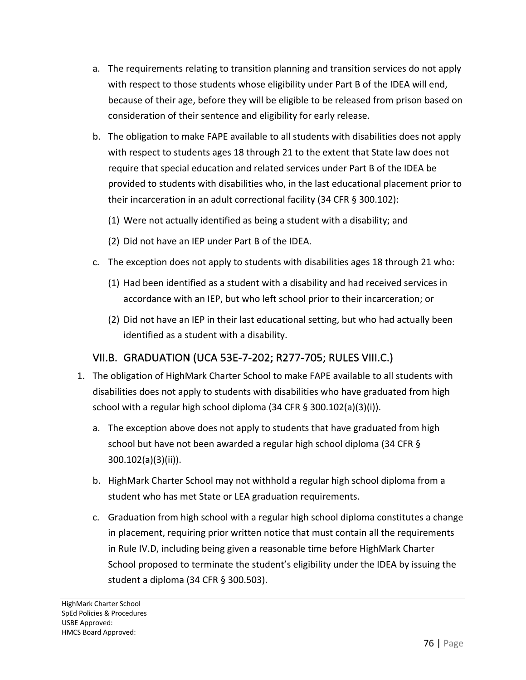- a. The requirements relating to transition planning and transition services do not apply with respect to those students whose eligibility under Part B of the IDEA will end, because of their age, before they will be eligible to be released from prison based on consideration of their sentence and eligibility for early release.
- b. The obligation to make FAPE available to all students with disabilities does not apply with respect to students ages 18 through 21 to the extent that State law does not require that special education and related services under Part B of the IDEA be provided to students with disabilities who, in the last educational placement prior to their incarceration in an adult correctional facility (34 CFR § 300.102):
	- (1) Were not actually identified as being a student with a disability; and
	- (2) Did not have an IEP under Part B of the IDEA.
- c. The exception does not apply to students with disabilities ages 18 through 21 who:
	- (1) Had been identified as a student with a disability and had received services in accordance with an IEP, but who left school prior to their incarceration; or
	- (2) Did not have an IEP in their last educational setting, but who had actually been identified as a student with a disability.

#### VII.B. GRADUATION (UCA 53E-7-202; R277-705; RULES VIII.C.)

- 1. The obligation of HighMark Charter School to make FAPE available to all students with disabilities does not apply to students with disabilities who have graduated from high school with a regular high school diploma (34 CFR § 300.102(a)(3)(i)).
	- a. The exception above does not apply to students that have graduated from high school but have not been awarded a regular high school diploma (34 CFR § 300.102(a)(3)(ii)).
	- b. HighMark Charter School may not withhold a regular high school diploma from a student who has met State or LEA graduation requirements.
	- c. Graduation from high school with a regular high school diploma constitutes a change in placement, requiring prior written notice that must contain all the requirements in Rule IV.D, including being given a reasonable time before HighMark Charter School proposed to terminate the student's eligibility under the IDEA by issuing the student a diploma (34 CFR § 300.503).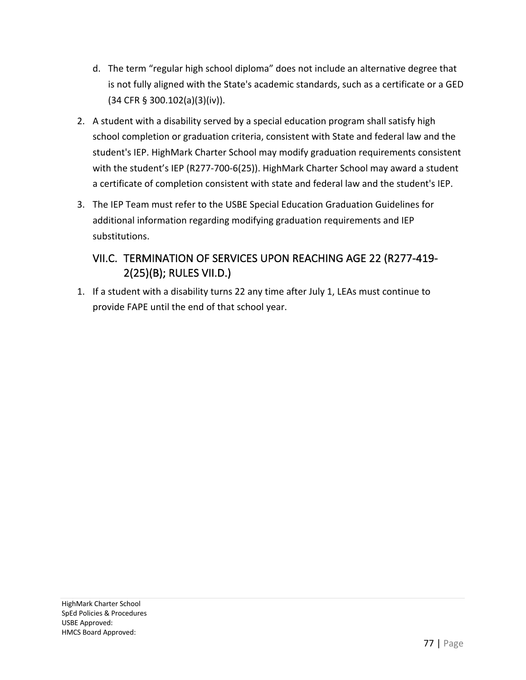- d. The term "regular high school diploma" does not include an alternative degree that is not fully aligned with the State's academic standards, such as a certificate or a GED (34 CFR § 300.102(a)(3)(iv)).
- 2. A student with a disability served by a special education program shall satisfy high school completion or graduation criteria, consistent with State and federal law and the student's IEP. HighMark Charter School may modify graduation requirements consistent with the student's IEP (R277-700-6(25)). HighMark Charter School may award a student a certificate of completion consistent with state and federal law and the student's IEP.
- 3. The IEP Team must refer to the USBE Special Education Graduation Guidelines for additional information regarding modifying graduation requirements and IEP substitutions.

# VII.C. TERMINATION OF SERVICES UPON REACHING AGE 22 (R277-419- 2(25)(B); RULES VII.D.)

1. If a student with a disability turns 22 any time after July 1, LEAs must continue to provide FAPE until the end of that school year.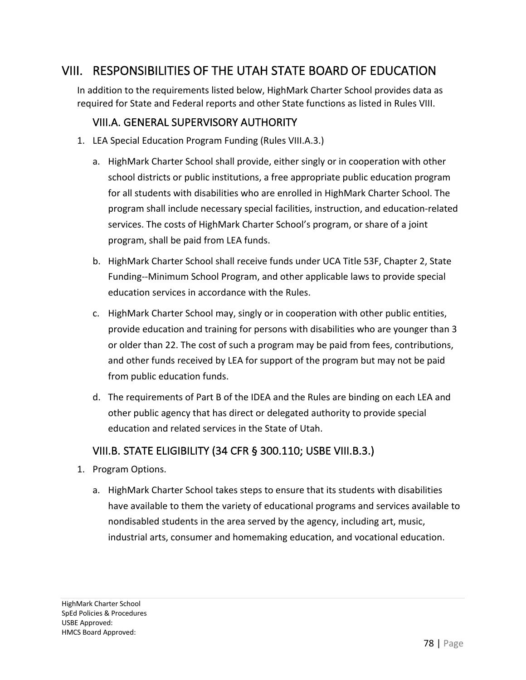# VIII. RESPONSIBILITIES OF THE UTAH STATE BOARD OF EDUCATION

In addition to the requirements listed below, HighMark Charter School provides data as required for State and Federal reports and other State functions as listed in Rules VIII.

#### VIII.A. GENERAL SUPERVISORY AUTHORITY

- 1. LEA Special Education Program Funding (Rules VIII.A.3.)
	- a. HighMark Charter School shall provide, either singly or in cooperation with other school districts or public institutions, a free appropriate public education program for all students with disabilities who are enrolled in HighMark Charter School. The program shall include necessary special facilities, instruction, and education-related services. The costs of HighMark Charter School's program, or share of a joint program, shall be paid from LEA funds.
	- b. HighMark Charter School shall receive funds under UCA Title 53F, Chapter 2, State Funding--Minimum School Program, and other applicable laws to provide special education services in accordance with the Rules.
	- c. HighMark Charter School may, singly or in cooperation with other public entities, provide education and training for persons with disabilities who are younger than 3 or older than 22. The cost of such a program may be paid from fees, contributions, and other funds received by LEA for support of the program but may not be paid from public education funds.
	- d. The requirements of Part B of the IDEA and the Rules are binding on each LEA and other public agency that has direct or delegated authority to provide special education and related services in the State of Utah.

#### VIII.B. STATE ELIGIBILITY (34 CFR § 300.110; USBE VIII.B.3.)

- 1. Program Options.
	- a. HighMark Charter School takes steps to ensure that its students with disabilities have available to them the variety of educational programs and services available to nondisabled students in the area served by the agency, including art, music, industrial arts, consumer and homemaking education, and vocational education.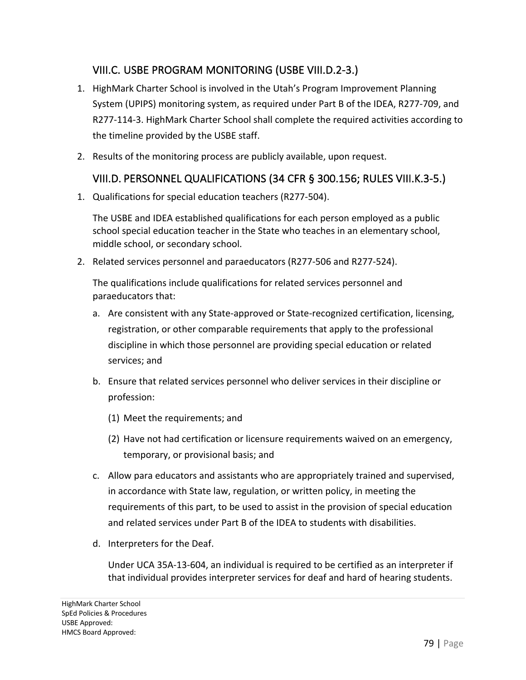## VIII.C. USBE PROGRAM MONITORING (USBE VIII.D.2-3.)

- 1. HighMark Charter School is involved in the Utah's Program Improvement Planning System (UPIPS) monitoring system, as required under Part B of the IDEA, R277-709, and R277-114-3. HighMark Charter School shall complete the required activities according to the timeline provided by the USBE staff.
- 2. Results of the monitoring process are publicly available, upon request.

#### VIII.D. PERSONNEL QUALIFICATIONS (34 CFR § 300.156; RULES VIII.K.3-5.)

1. Qualifications for special education teachers (R277-504).

The USBE and IDEA established qualifications for each person employed as a public school special education teacher in the State who teaches in an elementary school, middle school, or secondary school.

2. Related services personnel and paraeducators (R277-506 and R277-524).

The qualifications include qualifications for related services personnel and paraeducators that:

- a. Are consistent with any State-approved or State-recognized certification, licensing, registration, or other comparable requirements that apply to the professional discipline in which those personnel are providing special education or related services; and
- b. Ensure that related services personnel who deliver services in their discipline or profession:
	- (1) Meet the requirements; and
	- (2) Have not had certification or licensure requirements waived on an emergency, temporary, or provisional basis; and
- c. Allow para educators and assistants who are appropriately trained and supervised, in accordance with State law, regulation, or written policy, in meeting the requirements of this part, to be used to assist in the provision of special education and related services under Part B of the IDEA to students with disabilities.
- d. Interpreters for the Deaf.

Under UCA 35A-13-604, an individual is required to be certified as an interpreter if that individual provides interpreter services for deaf and hard of hearing students.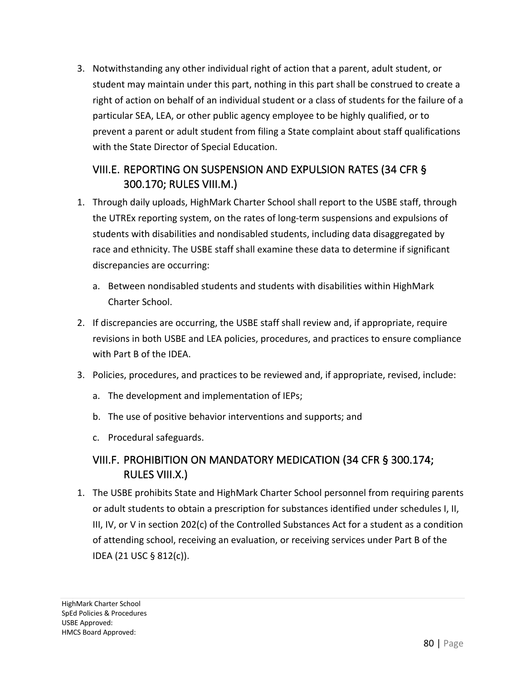3. Notwithstanding any other individual right of action that a parent, adult student, or student may maintain under this part, nothing in this part shall be construed to create a right of action on behalf of an individual student or a class of students for the failure of a particular SEA, LEA, or other public agency employee to be highly qualified, or to prevent a parent or adult student from filing a State complaint about staff qualifications with the State Director of Special Education.

## VIII.E. REPORTING ON SUSPENSION AND EXPULSION RATES (34 CFR § 300.170; RULES VIII.M.)

- 1. Through daily uploads, HighMark Charter School shall report to the USBE staff, through the UTREx reporting system, on the rates of long-term suspensions and expulsions of students with disabilities and nondisabled students, including data disaggregated by race and ethnicity. The USBE staff shall examine these data to determine if significant discrepancies are occurring:
	- a. Between nondisabled students and students with disabilities within HighMark Charter School.
- 2. If discrepancies are occurring, the USBE staff shall review and, if appropriate, require revisions in both USBE and LEA policies, procedures, and practices to ensure compliance with Part B of the IDEA.
- 3. Policies, procedures, and practices to be reviewed and, if appropriate, revised, include:
	- a. The development and implementation of IEPs;
	- b. The use of positive behavior interventions and supports; and
	- c. Procedural safeguards.

#### VIII.F. PROHIBITION ON MANDATORY MEDICATION (34 CFR § 300.174; RULES VIII.X.)

1. The USBE prohibits State and HighMark Charter School personnel from requiring parents or adult students to obtain a prescription for substances identified under schedules I, II, III, IV, or V in section 202(c) of the Controlled Substances Act for a student as a condition of attending school, receiving an evaluation, or receiving services under Part B of the IDEA (21 USC § 812(c)).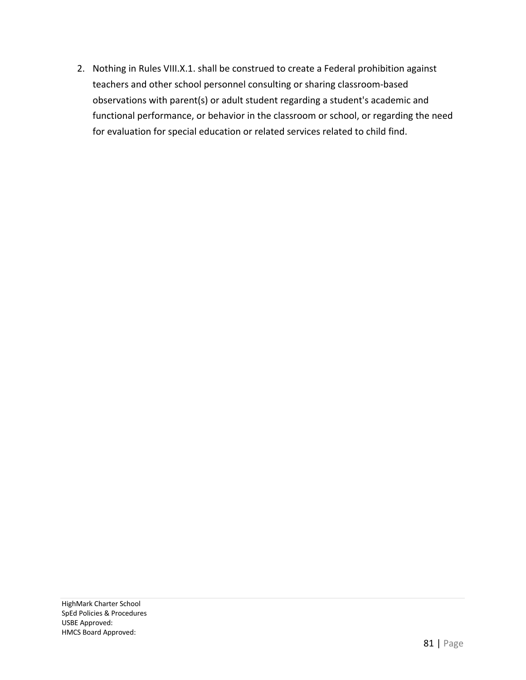2. Nothing in Rules VIII.X.1. shall be construed to create a Federal prohibition against teachers and other school personnel consulting or sharing classroom-based observations with parent(s) or adult student regarding a student's academic and functional performance, or behavior in the classroom or school, or regarding the need for evaluation for special education or related services related to child find.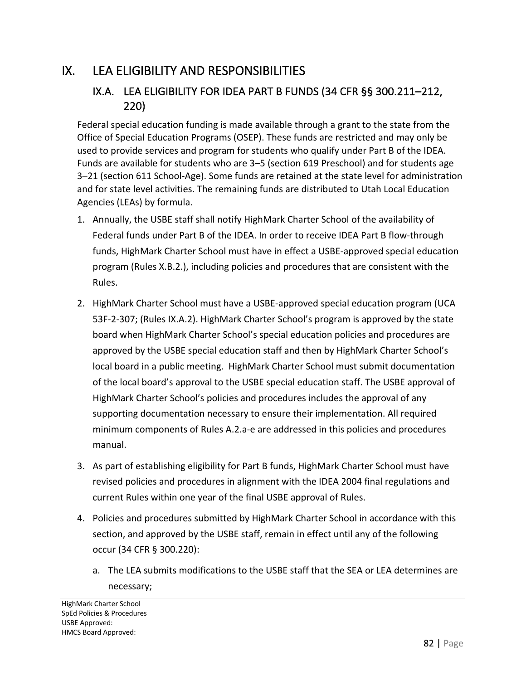# IX. LEA ELIGIBILITY AND RESPONSIBILITIES

#### IX.A. LEA ELIGIBILITY FOR IDEA PART B FUNDS (34 CFR §§ 300.211–212, 220)

Federal special education funding is made available through a grant to the state from the Office of Special Education Programs (OSEP). These funds are restricted and may only be used to provide services and program for students who qualify under Part B of the IDEA. Funds are available for students who are 3–5 (section 619 Preschool) and for students age 3–21 (section 611 School-Age). Some funds are retained at the state level for administration and for state level activities. The remaining funds are distributed to Utah Local Education Agencies (LEAs) by formula.

- 1. Annually, the USBE staff shall notify HighMark Charter School of the availability of Federal funds under Part B of the IDEA. In order to receive IDEA Part B flow-through funds, HighMark Charter School must have in effect a USBE-approved special education program (Rules X.B.2.), including policies and procedures that are consistent with the Rules.
- 2. HighMark Charter School must have a USBE-approved special education program (UCA 53F-2-307; (Rules IX.A.2). HighMark Charter School's program is approved by the state board when HighMark Charter School's special education policies and procedures are approved by the USBE special education staff and then by HighMark Charter School's local board in a public meeting. HighMark Charter School must submit documentation of the local board's approval to the USBE special education staff. The USBE approval of HighMark Charter School's policies and procedures includes the approval of any supporting documentation necessary to ensure their implementation. All required minimum components of Rules A.2.a-e are addressed in this policies and procedures manual.
- 3. As part of establishing eligibility for Part B funds, HighMark Charter School must have revised policies and procedures in alignment with the IDEA 2004 final regulations and current Rules within one year of the final USBE approval of Rules.
- 4. Policies and procedures submitted by HighMark Charter School in accordance with this section, and approved by the USBE staff, remain in effect until any of the following occur (34 CFR § 300.220):
	- a. The LEA submits modifications to the USBE staff that the SEA or LEA determines are necessary;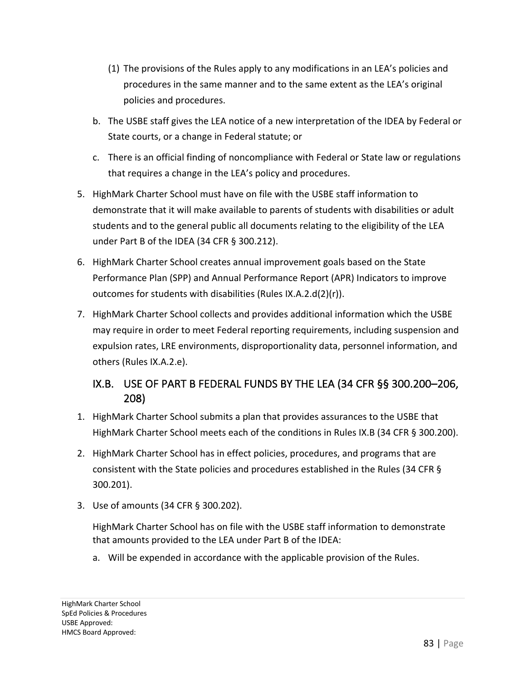- (1) The provisions of the Rules apply to any modifications in an LEA's policies and procedures in the same manner and to the same extent as the LEA's original policies and procedures.
- b. The USBE staff gives the LEA notice of a new interpretation of the IDEA by Federal or State courts, or a change in Federal statute; or
- c. There is an official finding of noncompliance with Federal or State law or regulations that requires a change in the LEA's policy and procedures.
- 5. HighMark Charter School must have on file with the USBE staff information to demonstrate that it will make available to parents of students with disabilities or adult students and to the general public all documents relating to the eligibility of the LEA under Part B of the IDEA (34 CFR § 300.212).
- 6. HighMark Charter School creates annual improvement goals based on the State Performance Plan (SPP) and Annual Performance Report (APR) Indicators to improve outcomes for students with disabilities (Rules IX.A.2.d(2)(r)).
- 7. HighMark Charter School collects and provides additional information which the USBE may require in order to meet Federal reporting requirements, including suspension and expulsion rates, LRE environments, disproportionality data, personnel information, and others (Rules IX.A.2.e).

# IX.B. USE OF PART B FEDERAL FUNDS BY THE LEA (34 CFR §§ 300.200–206, 208)

- 1. HighMark Charter School submits a plan that provides assurances to the USBE that HighMark Charter School meets each of the conditions in Rules IX.B (34 CFR § 300.200).
- 2. HighMark Charter School has in effect policies, procedures, and programs that are consistent with the State policies and procedures established in the Rules (34 CFR § 300.201).
- 3. Use of amounts (34 CFR § 300.202).

HighMark Charter School has on file with the USBE staff information to demonstrate that amounts provided to the LEA under Part B of the IDEA:

a. Will be expended in accordance with the applicable provision of the Rules.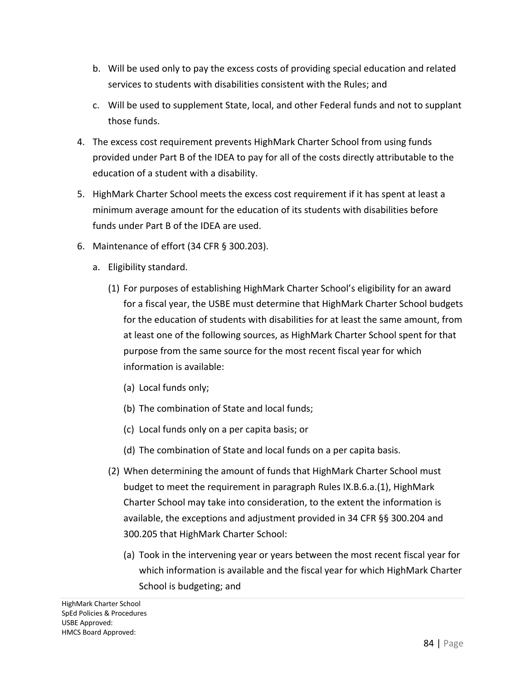- b. Will be used only to pay the excess costs of providing special education and related services to students with disabilities consistent with the Rules; and
- c. Will be used to supplement State, local, and other Federal funds and not to supplant those funds.
- 4. The excess cost requirement prevents HighMark Charter School from using funds provided under Part B of the IDEA to pay for all of the costs directly attributable to the education of a student with a disability.
- 5. HighMark Charter School meets the excess cost requirement if it has spent at least a minimum average amount for the education of its students with disabilities before funds under Part B of the IDEA are used.
- 6. Maintenance of effort (34 CFR § 300.203).
	- a. Eligibility standard.
		- (1) For purposes of establishing HighMark Charter School's eligibility for an award for a fiscal year, the USBE must determine that HighMark Charter School budgets for the education of students with disabilities for at least the same amount, from at least one of the following sources, as HighMark Charter School spent for that purpose from the same source for the most recent fiscal year for which information is available:
			- (a) Local funds only;
			- (b) The combination of State and local funds;
			- (c) Local funds only on a per capita basis; or
			- (d) The combination of State and local funds on a per capita basis.
		- (2) When determining the amount of funds that HighMark Charter School must budget to meet the requirement in paragraph Rules IX.B.6.a.(1), HighMark Charter School may take into consideration, to the extent the information is available, the exceptions and adjustment provided in 34 CFR §§ 300.204 and 300.205 that HighMark Charter School:
			- (a) Took in the intervening year or years between the most recent fiscal year for which information is available and the fiscal year for which HighMark Charter School is budgeting; and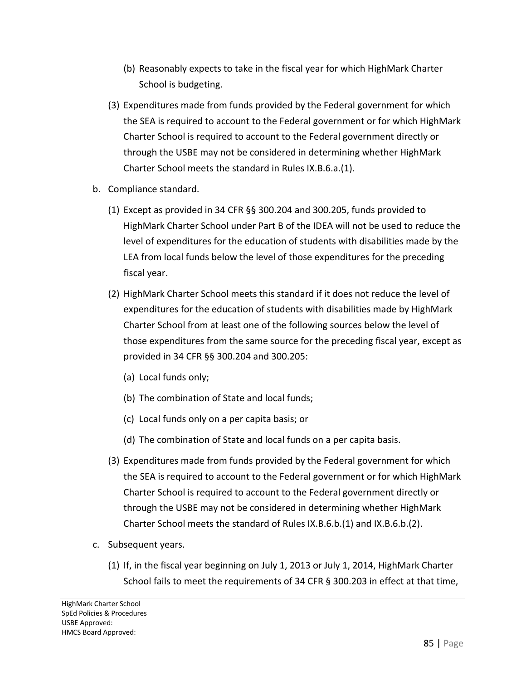- (b) Reasonably expects to take in the fiscal year for which HighMark Charter School is budgeting.
- (3) Expenditures made from funds provided by the Federal government for which the SEA is required to account to the Federal government or for which HighMark Charter School is required to account to the Federal government directly or through the USBE may not be considered in determining whether HighMark Charter School meets the standard in Rules IX.B.6.a.(1).
- b. Compliance standard.
	- (1) Except as provided in 34 CFR §§ 300.204 and 300.205, funds provided to HighMark Charter School under Part B of the IDEA will not be used to reduce the level of expenditures for the education of students with disabilities made by the LEA from local funds below the level of those expenditures for the preceding fiscal year.
	- (2) HighMark Charter School meets this standard if it does not reduce the level of expenditures for the education of students with disabilities made by HighMark Charter School from at least one of the following sources below the level of those expenditures from the same source for the preceding fiscal year, except as provided in 34 CFR §§ 300.204 and 300.205:
		- (a) Local funds only;
		- (b) The combination of State and local funds;
		- (c) Local funds only on a per capita basis; or
		- (d) The combination of State and local funds on a per capita basis.
	- (3) Expenditures made from funds provided by the Federal government for which the SEA is required to account to the Federal government or for which HighMark Charter School is required to account to the Federal government directly or through the USBE may not be considered in determining whether HighMark Charter School meets the standard of Rules IX.B.6.b.(1) and IX.B.6.b.(2).
- c. Subsequent years.
	- (1) If, in the fiscal year beginning on July 1, 2013 or July 1, 2014, HighMark Charter School fails to meet the requirements of 34 CFR § 300.203 in effect at that time,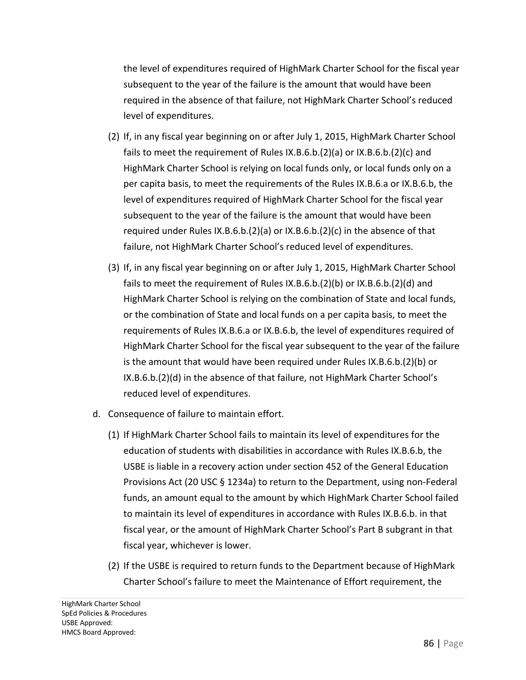the level of expenditures required of HighMark Charter School for the fiscal year subsequent to the year of the failure is the amount that would have been required in the absence of that failure, not HighMark Charter School's reduced level of expenditures.

- (2) If, in any fiscal year beginning on or after July 1, 2015, HighMark Charter School fails to meet the requirement of Rules IX.B.6.b.(2)(a) or IX.B.6.b.(2)(c) and HighMark Charter School is relying on local funds only, or local funds only on a per capita basis, to meet the requirements of the Rules IX.B.6.a or IX.B.6.b, the level of expenditures required of HighMark Charter School for the fiscal year subsequent to the year of the failure is the amount that would have been required under Rules IX.B.6.b.(2)(a) or IX.B.6.b.(2)(c) in the absence of that failure, not HighMark Charter School's reduced level of expenditures.
- (3) If, in any fiscal year beginning on or after July 1, 2015, HighMark Charter School fails to meet the requirement of Rules IX.B.6.b.(2)(b) or IX.B.6.b.(2)(d) and HighMark Charter School is relying on the combination of State and local funds, or the combination of State and local funds on a per capita basis, to meet the requirements of Rules IX.B.6.a or IX.B.6.b, the level of expenditures required of HighMark Charter School for the fiscal year subsequent to the year of the failure is the amount that would have been required under Rules IX.B.6.b.(2)(b) or IX.B.6.b.(2)(d) in the absence of that failure, not HighMark Charter School's reduced level of expenditures.
- d. Consequence of failure to maintain effort.
	- (1) If HighMark Charter School fails to maintain its level of expenditures for the education of students with disabilities in accordance with Rules IX.B.6.b, the USBE is liable in a recovery action under section 452 of the General Education Provisions Act (20 USC § 1234a) to return to the Department, using non-Federal funds, an amount equal to the amount by which HighMark Charter School failed to maintain its level of expenditures in accordance with Rules IX.B.6.b. in that fiscal year, or the amount of HighMark Charter School's Part B subgrant in that fiscal year, whichever is lower.
	- (2) If the USBE is required to return funds to the Department because of HighMark Charter School's failure to meet the Maintenance of Effort requirement, the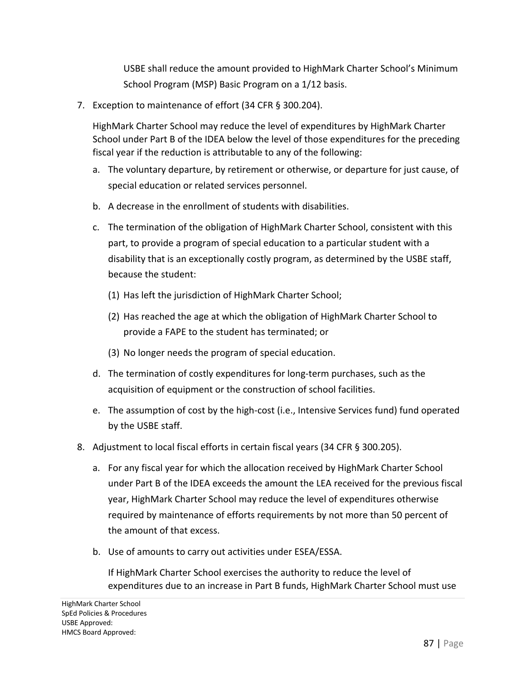USBE shall reduce the amount provided to HighMark Charter School's Minimum School Program (MSP) Basic Program on a 1/12 basis.

7. Exception to maintenance of effort (34 CFR § 300.204).

HighMark Charter School may reduce the level of expenditures by HighMark Charter School under Part B of the IDEA below the level of those expenditures for the preceding fiscal year if the reduction is attributable to any of the following:

- a. The voluntary departure, by retirement or otherwise, or departure for just cause, of special education or related services personnel.
- b. A decrease in the enrollment of students with disabilities.
- c. The termination of the obligation of HighMark Charter School, consistent with this part, to provide a program of special education to a particular student with a disability that is an exceptionally costly program, as determined by the USBE staff, because the student:
	- (1) Has left the jurisdiction of HighMark Charter School;
	- (2) Has reached the age at which the obligation of HighMark Charter School to provide a FAPE to the student has terminated; or
	- (3) No longer needs the program of special education.
- d. The termination of costly expenditures for long-term purchases, such as the acquisition of equipment or the construction of school facilities.
- e. The assumption of cost by the high-cost (i.e., Intensive Services fund) fund operated by the USBE staff.
- 8. Adjustment to local fiscal efforts in certain fiscal years (34 CFR § 300.205).
	- a. For any fiscal year for which the allocation received by HighMark Charter School under Part B of the IDEA exceeds the amount the LEA received for the previous fiscal year, HighMark Charter School may reduce the level of expenditures otherwise required by maintenance of efforts requirements by not more than 50 percent of the amount of that excess.
	- b. Use of amounts to carry out activities under ESEA/ESSA.

If HighMark Charter School exercises the authority to reduce the level of expenditures due to an increase in Part B funds, HighMark Charter School must use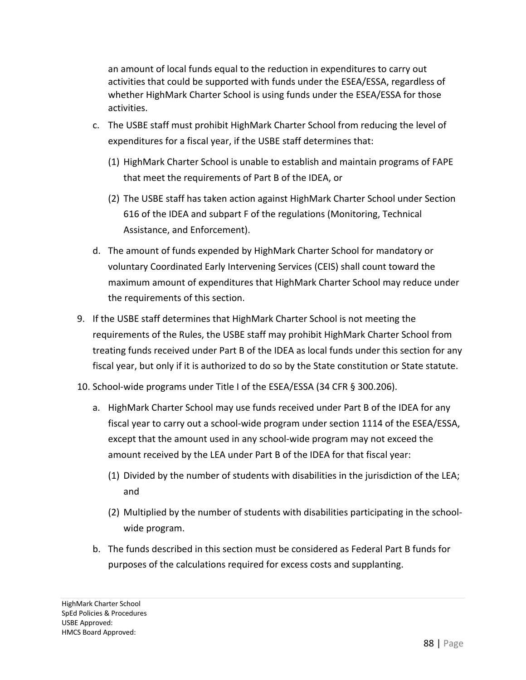an amount of local funds equal to the reduction in expenditures to carry out activities that could be supported with funds under the ESEA/ESSA, regardless of whether HighMark Charter School is using funds under the ESEA/ESSA for those activities.

- c. The USBE staff must prohibit HighMark Charter School from reducing the level of expenditures for a fiscal year, if the USBE staff determines that:
	- (1) HighMark Charter School is unable to establish and maintain programs of FAPE that meet the requirements of Part B of the IDEA, or
	- (2) The USBE staff has taken action against HighMark Charter School under Section 616 of the IDEA and subpart F of the regulations (Monitoring, Technical Assistance, and Enforcement).
- d. The amount of funds expended by HighMark Charter School for mandatory or voluntary Coordinated Early Intervening Services (CEIS) shall count toward the maximum amount of expenditures that HighMark Charter School may reduce under the requirements of this section.
- 9. If the USBE staff determines that HighMark Charter School is not meeting the requirements of the Rules, the USBE staff may prohibit HighMark Charter School from treating funds received under Part B of the IDEA as local funds under this section for any fiscal year, but only if it is authorized to do so by the State constitution or State statute.
- 10. School-wide programs under Title I of the ESEA/ESSA (34 CFR § 300.206).
	- a. HighMark Charter School may use funds received under Part B of the IDEA for any fiscal year to carry out a school-wide program under section 1114 of the ESEA/ESSA, except that the amount used in any school-wide program may not exceed the amount received by the LEA under Part B of the IDEA for that fiscal year:
		- (1) Divided by the number of students with disabilities in the jurisdiction of the LEA; and
		- (2) Multiplied by the number of students with disabilities participating in the schoolwide program.
	- b. The funds described in this section must be considered as Federal Part B funds for purposes of the calculations required for excess costs and supplanting.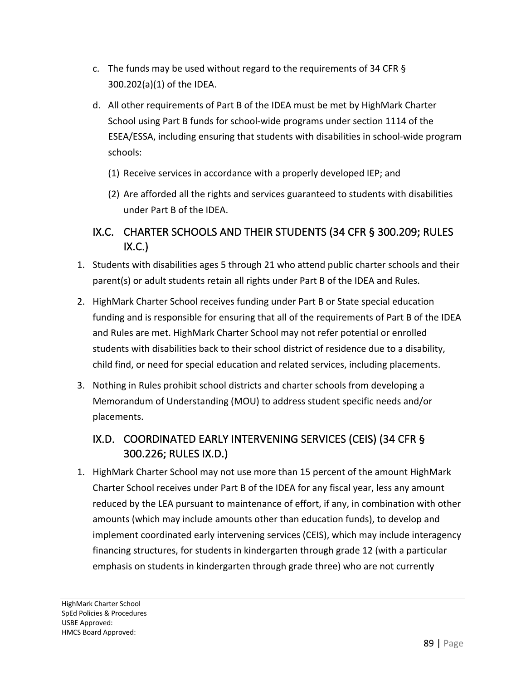- c. The funds may be used without regard to the requirements of 34 CFR § 300.202(a)(1) of the IDEA.
- d. All other requirements of Part B of the IDEA must be met by HighMark Charter School using Part B funds for school-wide programs under section 1114 of the ESEA/ESSA, including ensuring that students with disabilities in school-wide program schools:
	- (1) Receive services in accordance with a properly developed IEP; and
	- (2) Are afforded all the rights and services guaranteed to students with disabilities under Part B of the IDEA.

#### IX.C. CHARTER SCHOOLS AND THEIR STUDENTS (34 CFR § 300.209; RULES  $IX.C.$

- 1. Students with disabilities ages 5 through 21 who attend public charter schools and their parent(s) or adult students retain all rights under Part B of the IDEA and Rules.
- 2. HighMark Charter School receives funding under Part B or State special education funding and is responsible for ensuring that all of the requirements of Part B of the IDEA and Rules are met. HighMark Charter School may not refer potential or enrolled students with disabilities back to their school district of residence due to a disability, child find, or need for special education and related services, including placements.
- 3. Nothing in Rules prohibit school districts and charter schools from developing a Memorandum of Understanding (MOU) to address student specific needs and/or placements.

#### IX.D. COORDINATED EARLY INTERVENING SERVICES (CEIS) (34 CFR § 300.226; RULES IX.D.)

1. HighMark Charter School may not use more than 15 percent of the amount HighMark Charter School receives under Part B of the IDEA for any fiscal year, less any amount reduced by the LEA pursuant to maintenance of effort, if any, in combination with other amounts (which may include amounts other than education funds), to develop and implement coordinated early intervening services (CEIS), which may include interagency financing structures, for students in kindergarten through grade 12 (with a particular emphasis on students in kindergarten through grade three) who are not currently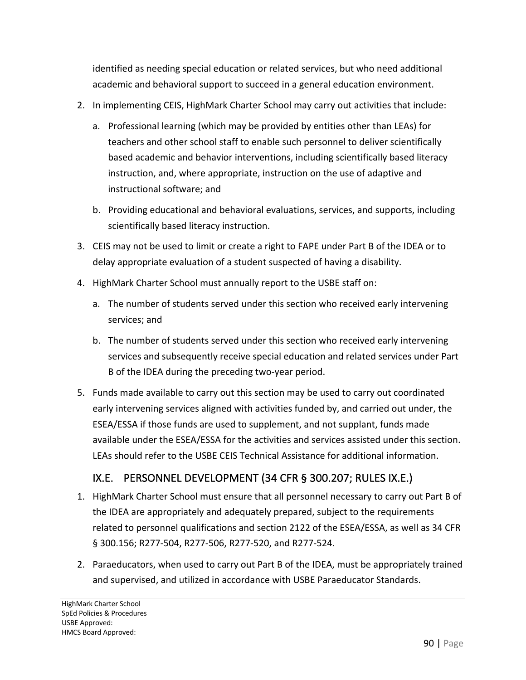identified as needing special education or related services, but who need additional academic and behavioral support to succeed in a general education environment.

- 2. In implementing CEIS, HighMark Charter School may carry out activities that include:
	- a. Professional learning (which may be provided by entities other than LEAs) for teachers and other school staff to enable such personnel to deliver scientifically based academic and behavior interventions, including scientifically based literacy instruction, and, where appropriate, instruction on the use of adaptive and instructional software; and
	- b. Providing educational and behavioral evaluations, services, and supports, including scientifically based literacy instruction.
- 3. CEIS may not be used to limit or create a right to FAPE under Part B of the IDEA or to delay appropriate evaluation of a student suspected of having a disability.
- 4. HighMark Charter School must annually report to the USBE staff on:
	- a. The number of students served under this section who received early intervening services; and
	- b. The number of students served under this section who received early intervening services and subsequently receive special education and related services under Part B of the IDEA during the preceding two-year period.
- 5. Funds made available to carry out this section may be used to carry out coordinated early intervening services aligned with activities funded by, and carried out under, the ESEA/ESSA if those funds are used to supplement, and not supplant, funds made available under the ESEA/ESSA for the activities and services assisted under this section. LEAs should refer to the USBE CEIS Technical Assistance for additional information.

# IX.E. PERSONNEL DEVELOPMENT (34 CFR § 300.207; RULES IX.E.)

- 1. HighMark Charter School must ensure that all personnel necessary to carry out Part B of the IDEA are appropriately and adequately prepared, subject to the requirements related to personnel qualifications and section 2122 of the ESEA/ESSA, as well as 34 CFR § 300.156; R277-504, R277-506, R277-520, and R277-524.
- 2. Paraeducators, when used to carry out Part B of the IDEA, must be appropriately trained and supervised, and utilized in accordance with USBE Paraeducator Standards.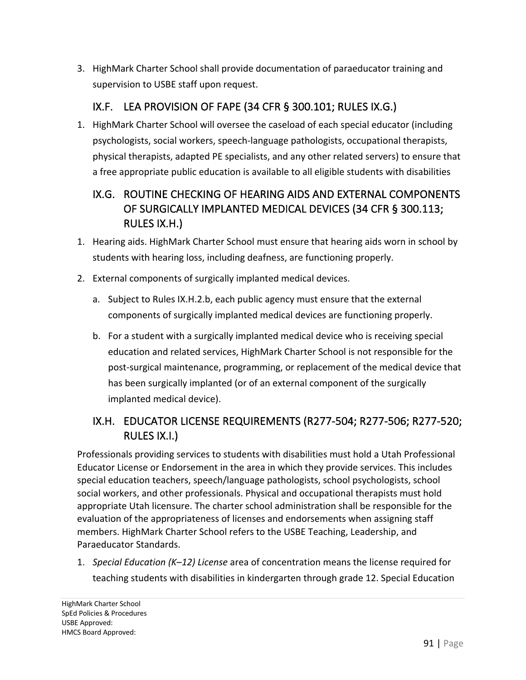3. HighMark Charter School shall provide documentation of paraeducator training and supervision to USBE staff upon request.

# IX.F. LEA PROVISION OF FAPE (34 CFR § 300.101; RULES IX.G.)

1. HighMark Charter School will oversee the caseload of each special educator (including psychologists, social workers, speech-language pathologists, occupational therapists, physical therapists, adapted PE specialists, and any other related servers) to ensure that a free appropriate public education is available to all eligible students with disabilities

# IX.G. ROUTINE CHECKING OF HEARING AIDS AND EXTERNAL COMPONENTS OF SURGICALLY IMPLANTED MEDICAL DEVICES (34 CFR § 300.113; RULES IX.H.)

- 1. Hearing aids. HighMark Charter School must ensure that hearing aids worn in school by students with hearing loss, including deafness, are functioning properly.
- 2. External components of surgically implanted medical devices.
	- a. Subject to Rules IX.H.2.b, each public agency must ensure that the external components of surgically implanted medical devices are functioning properly.
	- b. For a student with a surgically implanted medical device who is receiving special education and related services, HighMark Charter School is not responsible for the post-surgical maintenance, programming, or replacement of the medical device that has been surgically implanted (or of an external component of the surgically implanted medical device).

# IX.H. EDUCATOR LICENSE REQUIREMENTS (R277-504; R277-506; R277-520; RULES IX.I.)

Professionals providing services to students with disabilities must hold a Utah Professional Educator License or Endorsement in the area in which they provide services. This includes special education teachers, speech/language pathologists, school psychologists, school social workers, and other professionals. Physical and occupational therapists must hold appropriate Utah licensure. The charter school administration shall be responsible for the evaluation of the appropriateness of licenses and endorsements when assigning staff members. HighMark Charter School refers to the USBE Teaching, Leadership, and Paraeducator Standards.

1. *Special Education (K–12) License* area of concentration means the license required for teaching students with disabilities in kindergarten through grade 12. Special Education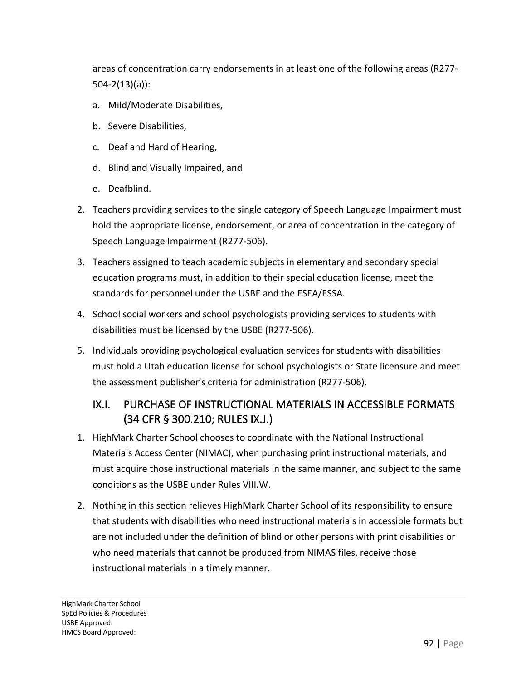areas of concentration carry endorsements in at least one of the following areas (R277- 504-2(13)(a)):

- a. Mild/Moderate Disabilities,
- b. Severe Disabilities,
- c. Deaf and Hard of Hearing,
- d. Blind and Visually Impaired, and
- e. Deafblind.
- 2. Teachers providing services to the single category of Speech Language Impairment must hold the appropriate license, endorsement, or area of concentration in the category of Speech Language Impairment (R277-506).
- 3. Teachers assigned to teach academic subjects in elementary and secondary special education programs must, in addition to their special education license, meet the standards for personnel under the USBE and the ESEA/ESSA.
- 4. School social workers and school psychologists providing services to students with disabilities must be licensed by the USBE (R277-506).
- 5. Individuals providing psychological evaluation services for students with disabilities must hold a Utah education license for school psychologists or State licensure and meet the assessment publisher's criteria for administration (R277-506).

#### IX.I. PURCHASE OF INSTRUCTIONAL MATERIALS IN ACCESSIBLE FORMATS (34 CFR § 300.210; RULES IX.J.)

- 1. HighMark Charter School chooses to coordinate with the National Instructional Materials Access Center (NIMAC), when purchasing print instructional materials, and must acquire those instructional materials in the same manner, and subject to the same conditions as the USBE under Rules VIII.W.
- 2. Nothing in this section relieves HighMark Charter School of its responsibility to ensure that students with disabilities who need instructional materials in accessible formats but are not included under the definition of blind or other persons with print disabilities or who need materials that cannot be produced from NIMAS files, receive those instructional materials in a timely manner.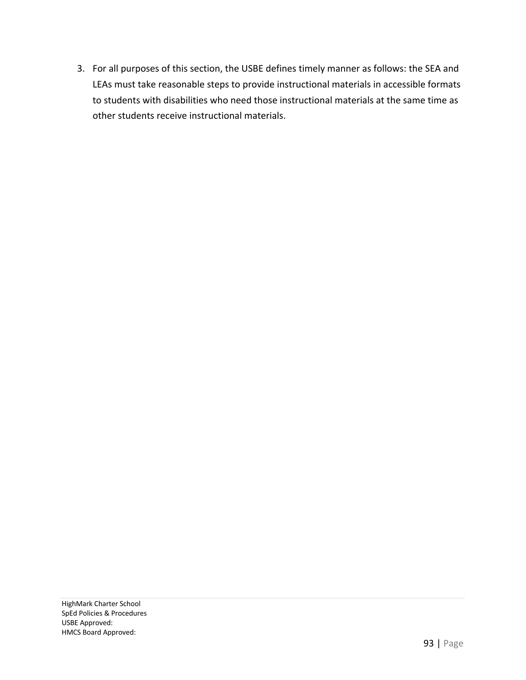3. For all purposes of this section, the USBE defines timely manner as follows: the SEA and LEAs must take reasonable steps to provide instructional materials in accessible formats to students with disabilities who need those instructional materials at the same time as other students receive instructional materials.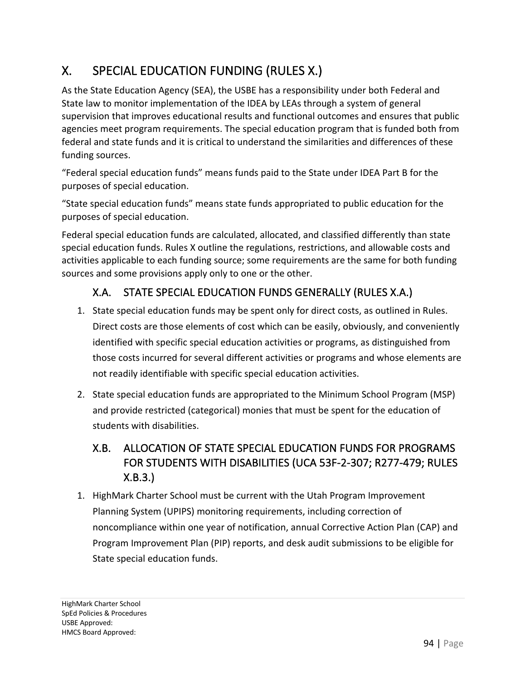# X. SPECIAL EDUCATION FUNDING (RULES X.)

As the State Education Agency (SEA), the USBE has a responsibility under both Federal and State law to monitor implementation of the IDEA by LEAs through a system of general supervision that improves educational results and functional outcomes and ensures that public agencies meet program requirements. The special education program that is funded both from federal and state funds and it is critical to understand the similarities and differences of these funding sources.

"Federal special education funds" means funds paid to the State under IDEA Part B for the purposes of special education.

"State special education funds" means state funds appropriated to public education for the purposes of special education.

Federal special education funds are calculated, allocated, and classified differently than state special education funds. Rules X outline the regulations, restrictions, and allowable costs and activities applicable to each funding source; some requirements are the same for both funding sources and some provisions apply only to one or the other.

# X.A. STATE SPECIAL EDUCATION FUNDS GENERALLY (RULES X.A.)

- 1. State special education funds may be spent only for direct costs, as outlined in Rules. Direct costs are those elements of cost which can be easily, obviously, and conveniently identified with specific special education activities or programs, as distinguished from those costs incurred for several different activities or programs and whose elements are not readily identifiable with specific special education activities.
- 2. State special education funds are appropriated to the Minimum School Program (MSP) and provide restricted (categorical) monies that must be spent for the education of students with disabilities.

# X.B. ALLOCATION OF STATE SPECIAL EDUCATION FUNDS FOR PROGRAMS FOR STUDENTS WITH DISABILITIES (UCA 53F-2-307; R277-479; RULES X.B.3.)

1. HighMark Charter School must be current with the Utah Program Improvement Planning System (UPIPS) monitoring requirements, including correction of noncompliance within one year of notification, annual Corrective Action Plan (CAP) and Program Improvement Plan (PIP) reports, and desk audit submissions to be eligible for State special education funds.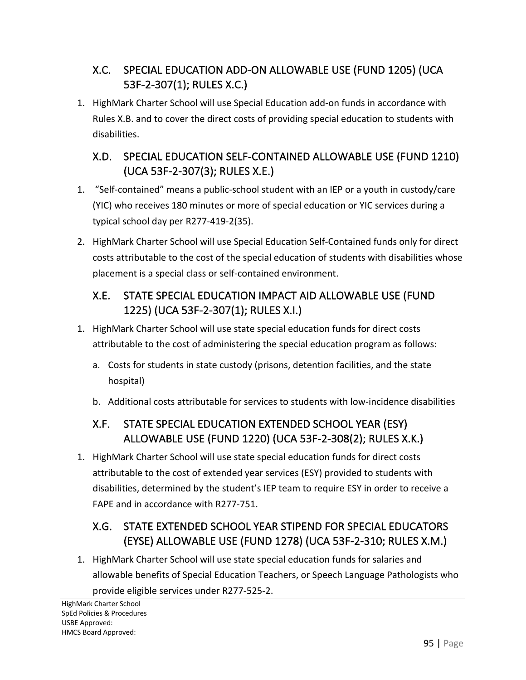# X.C. SPECIAL EDUCATION ADD-ON ALLOWABLE USE (FUND 1205) (UCA 53F-2-307(1); RULES X.C.)

1. HighMark Charter School will use Special Education add-on funds in accordance with Rules X.B. and to cover the direct costs of providing special education to students with disabilities.

# X.D. SPECIAL EDUCATION SELF-CONTAINED ALLOWABLE USE (FUND 1210) (UCA 53F-2-307(3); RULES X.E.)

- 1. "Self-contained" means a public-school student with an IEP or a youth in custody/care (YIC) who receives 180 minutes or more of special education or YIC services during a typical school day per R277-419-2(35).
- 2. HighMark Charter School will use Special Education Self-Contained funds only for direct costs attributable to the cost of the special education of students with disabilities whose placement is a special class or self-contained environment.

#### X.E. STATE SPECIAL EDUCATION IMPACT AID ALLOWABLE USE (FUND 1225) (UCA 53F-2-307(1); RULES X.I.)

- 1. HighMark Charter School will use state special education funds for direct costs attributable to the cost of administering the special education program as follows:
	- a. Costs for students in state custody (prisons, detention facilities, and the state hospital)
	- b. Additional costs attributable for services to students with low-incidence disabilities

# X.F. STATE SPECIAL EDUCATION EXTENDED SCHOOL YEAR (ESY) ALLOWABLE USE (FUND 1220) (UCA 53F-2-308(2); RULES X.K.)

1. HighMark Charter School will use state special education funds for direct costs attributable to the cost of extended year services (ESY) provided to students with disabilities, determined by the student's IEP team to require ESY in order to receive a FAPE and in accordance with R277-751.

# X.G. STATE EXTENDED SCHOOL YEAR STIPEND FOR SPECIAL EDUCATORS (EYSE) ALLOWABLE USE (FUND 1278) (UCA 53F-2-310; RULES X.M.)

1. HighMark Charter School will use state special education funds for salaries and allowable benefits of Special Education Teachers, or Speech Language Pathologists who

provide eligible services under R277-525-2.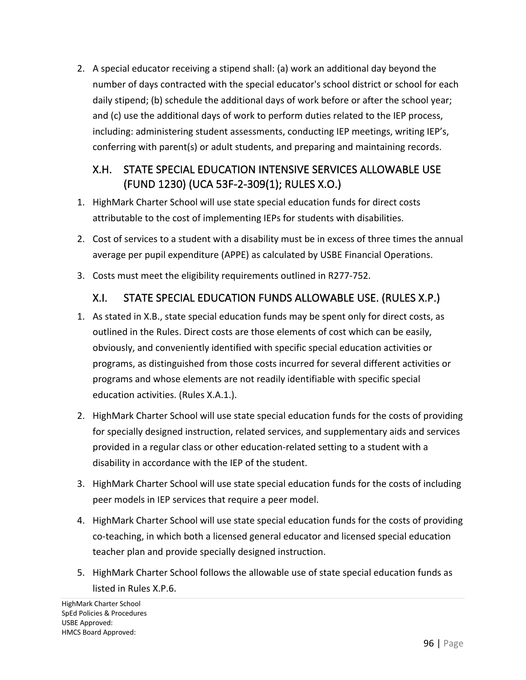2. A special educator receiving a stipend shall: (a) work an additional day beyond the number of days contracted with the special educator's school district or school for each daily stipend; (b) schedule the additional days of work before or after the school year; and (c) use the additional days of work to perform duties related to the IEP process, including: administering student assessments, conducting IEP meetings, writing IEP's, conferring with parent(s) or adult students, and preparing and maintaining records.

#### X.H. STATE SPECIAL EDUCATION INTENSIVE SERVICES ALLOWABLE USE (FUND 1230) (UCA 53F-2-309(1); RULES X.O.)

- 1. HighMark Charter School will use state special education funds for direct costs attributable to the cost of implementing IEPs for students with disabilities.
- 2. Cost of services to a student with a disability must be in excess of three times the annual average per pupil expenditure (APPE) as calculated by USBE Financial Operations.
- 3. Costs must meet the eligibility requirements outlined in R277-752.

#### X.I. STATE SPECIAL EDUCATION FUNDS ALLOWABLE USE. (RULES X.P.)

- 1. As stated in X.B., state special education funds may be spent only for direct costs, as outlined in the Rules. Direct costs are those elements of cost which can be easily, obviously, and conveniently identified with specific special education activities or programs, as distinguished from those costs incurred for several different activities or programs and whose elements are not readily identifiable with specific special education activities. (Rules X.A.1.).
- 2. HighMark Charter School will use state special education funds for the costs of providing for specially designed instruction, related services, and supplementary aids and services provided in a regular class or other education-related setting to a student with a disability in accordance with the IEP of the student.
- 3. HighMark Charter School will use state special education funds for the costs of including peer models in IEP services that require a peer model.
- 4. HighMark Charter School will use state special education funds for the costs of providing co-teaching, in which both a licensed general educator and licensed special education teacher plan and provide specially designed instruction.
- 5. HighMark Charter School follows the allowable use of state special education funds as listed in Rules X.P.6.